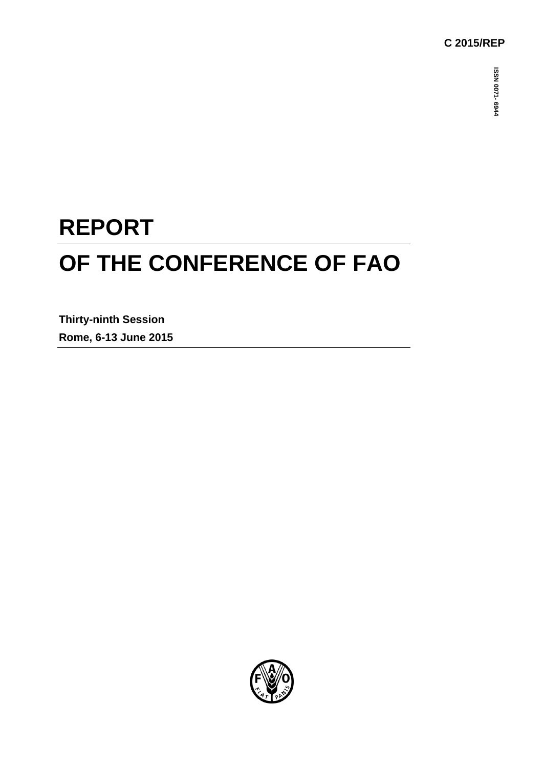## **C 2015/REP**

# **REPORT OF THE CONFERENCE OF FAO**

**Thirty-ninth Session Rome, 6-13 June 2015**

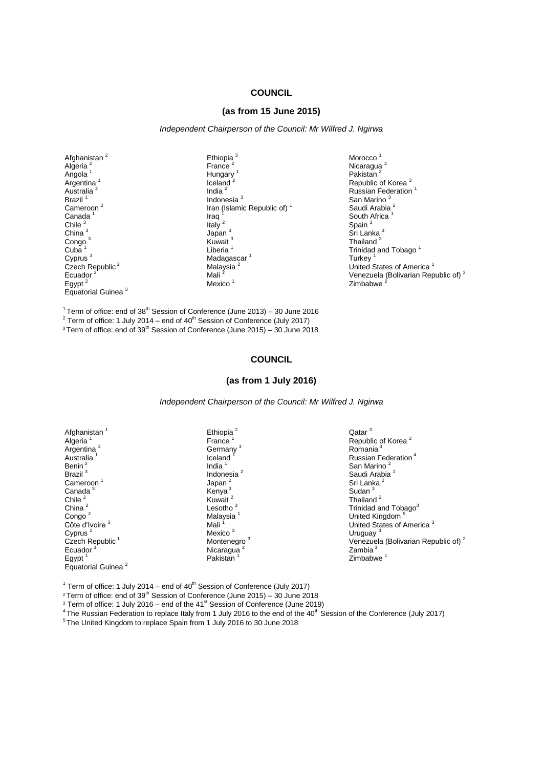#### **COUNCIL**

#### **(as from 15 June 2015)**

*Independent Chairperson of the Council: Mr Wilfred J. Ngirwa*

Afghanistan<sup>2</sup> Algeria<sup>2</sup> Angola<sup>1</sup> Argentina<sub>.</sub><sup>1</sup> Australia<sup>2</sup> Brazil<sup>1</sup> Cameroon<sup>2</sup> Canada Chile  $3$ China<sup>3</sup> Congo<sup>3</sup> Cuba Cyprus <sup>3</sup> Czech Republic<sup>2</sup> Ecuador<sup>2</sup> Egypt $<sup>2</sup>$ </sup> Equatorial Guinea <sup>3</sup> Ethiopia<sup>3</sup> France $^2$ Hungary<sup>1</sup> Iceland India $^2$ Indonesia <sup>3</sup> Iran (Islamic Republic of) $<sup>1</sup>$ </sup> Iraq <sup>1</sup> Italy<sup>2</sup> Japan  $^3$ Kuwait<sup>3</sup> Liberia $1$ Madagascar<sup>1</sup> Malaysia<sup>2</sup> Mali<sup>2</sup> Mexico<sup>1</sup>

Morocco<sup>1</sup> Nicaragua<sup>3</sup> Pakistan<sup>2</sup> Republic of Korea <sup>3</sup> Russian Federation<sup>1</sup> San Marino<sup>3</sup> Saudi Arabia<sup>2</sup> South Africa<sup>1</sup> Spain<sup>3</sup> Sri Lanka<sup>3</sup> Thailand<sup>3</sup> Trinidad and Tobago<sup>1</sup> **Turkey** United States of America<sup>1</sup> Venezuela (Bolivarian Republic of) <sup>3</sup> Zimbabwe

<sup>1</sup> Term of office: end of 38<sup>th</sup> Session of Conference (June 2013) – 30 June 2016

 $2$  Term of office: 1 July 2014 – end of 40<sup>th</sup> Session of Conference (July 2017)

 $3$ Term of office: end of 39<sup>th</sup> Session of Conference (June 2015) – 30 June 2018

#### **COUNCIL**

#### **(as from 1 July 2016)**

*Independent Chairperson of the Council: Mr Wilfred J. Ngirwa*

| Afghanistan <sup>1</sup>    |
|-----------------------------|
| Algeria                     |
| Argentina <sup>3</sup>      |
| Australia <sup>1</sup>      |
|                             |
| Benin <sup>3</sup>          |
| Brazil <sup>3</sup>         |
| Cameroon <sup>1</sup>       |
| Canada <sup>3</sup>         |
| Chile <sup>2</sup>          |
| China <sup>2</sup>          |
| Congo <sup>2</sup>          |
| Côte d'Ivoire <sup>3</sup>  |
| Cyprus <sup>2</sup>         |
| Czech Republic <sup>1</sup> |
| Ecuador <sup>1</sup>        |
| Egypt <sup>1</sup>          |
| <b>Equatorial Guinea</b>    |

Ethiopia<sup>2</sup> France Germany<sup>3</sup> **Iceland** India $1$ Indonesia<sup>2</sup> Japan<sup>2</sup> Kenya<sup>3</sup> Kuwait $^2$ Lesotho<sup>3</sup> Malaysia<sup>1</sup> Mali Mexico<sup>3</sup> Montenegro<sup>3</sup> **Nicaragua** Pakistan<sup>1</sup>

Qatar<sup>3</sup> Republic of Korea<sup>2</sup> Romania<sup>3</sup> Russian Federation <sup>4</sup> San Marino<sup>2</sup> Saudi Arabia<sup>1</sup> Sri Lanka<sup>2</sup> Sudan<sup>3</sup> Thailand<sup>2</sup> Trinidad and Tobago<sup>3</sup> United Kingdom <sup>5</sup> United States of America<sup>3</sup> Uruguay<sup>3</sup> Venezuela (Bolivarian Republic of) <sup>2</sup> Zambia<sup>3</sup> Zimbabwe<sup>1</sup>

<sup>1</sup> Term of office: 1 July 2014 – end of  $40<sup>th</sup>$  Session of Conference (July 2017)

<sup>2</sup> Term of office: end of 39<sup>th</sup> Session of Conference (June 2015) – 30 June 2018

 $3$  Term of office: 1 July 2016 – end of the 41 $^{\text{st}}$  Session of Conference (June 2019)

<sup>4</sup> The Russian Federation to replace Italy from 1 July 2016 to the end of the 40<sup>th</sup> Session of the Conference (July 2017)

5 The United Kingdom to replace Spain from 1 July 2016 to 30 June 2018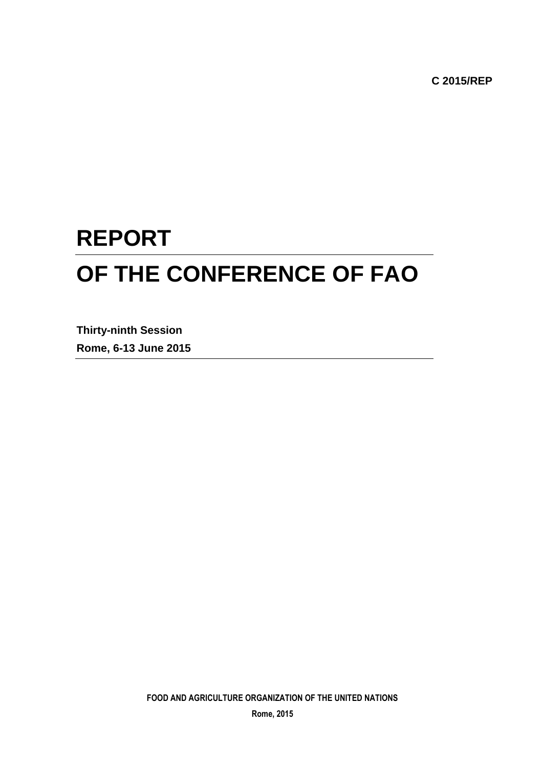**C 2015/REP**

# **REPORT OF THE CONFERENCE OF FAO**

**Thirty-ninth Session Rome, 6-13 June 2015**

**FOOD AND AGRICULTURE ORGANIZATION OF THE UNITED NATIONS**

**Rome, 2015**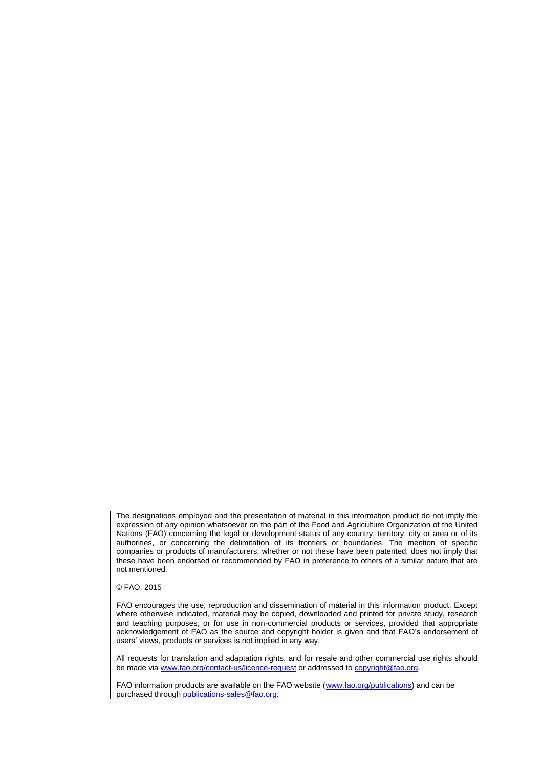The designations employed and the presentation of material in this information product do not imply the expression of any opinion whatsoever on the part of the Food and Agriculture Organization of the United Nations (FAO) concerning the legal or development status of any country, territory, city or area or of its authorities, or concerning the delimitation of its frontiers or boundaries. The mention of specific companies or products of manufacturers, whether or not these have been patented, does not imply that these have been endorsed or recommended by FAO in preference to others of a similar nature that are not mentioned.

#### © FAO, 2015

FAO encourages the use, reproduction and dissemination of material in this information product. Except where otherwise indicated, material may be copied, downloaded and printed for private study, research and teaching purposes, or for use in non-commercial products or services, provided that appropriate acknowledgement of FAO as the source and copyright holder is given and that FAO's endorsement of users' views, products or services is not implied in any way.

All requests for translation and adaptation rights, and for resale and other commercial use rights should be made via [www.fao.org/contact-us/licence-request](file://///hqfile1/cscc/GB_Docs/Council/146th%20April%202013/Report%20Final/Final%20Version/www.fao.org/contact-us/licence-request) or addressed to [copyright@fao.org.](mailto:copyright@fao.org)

FAO information products are available on the FAO website [\(www.fao.org/publications\)](http://www.fao.org/publications) and can be purchased through [publications-sales@fao.org.](mailto:publications-sales@fao.org)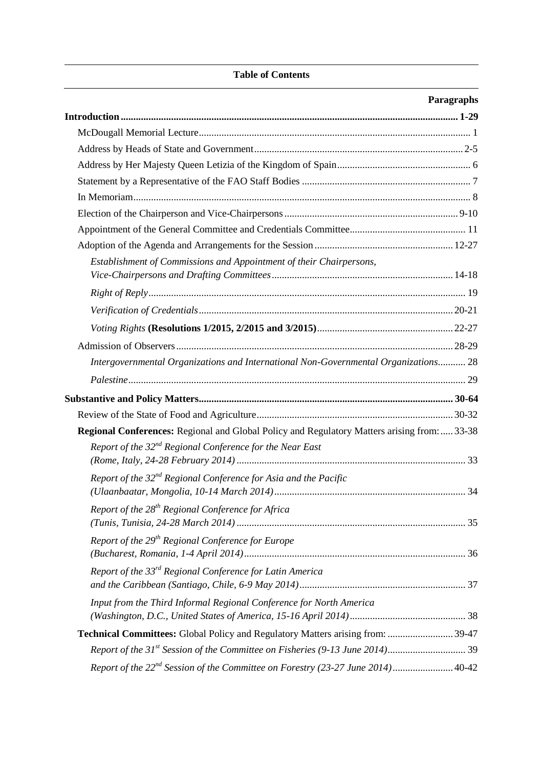#### **Table of Contents**

## **Paragraphs**

| Establishment of Commissions and Appointment of their Chairpersons,                          |  |
|----------------------------------------------------------------------------------------------|--|
|                                                                                              |  |
|                                                                                              |  |
|                                                                                              |  |
|                                                                                              |  |
| Intergovernmental Organizations and International Non-Governmental Organizations 28          |  |
|                                                                                              |  |
|                                                                                              |  |
|                                                                                              |  |
|                                                                                              |  |
| Regional Conferences: Regional and Global Policy and Regulatory Matters arising from:  33-38 |  |
| Report of the $32^{nd}$ Regional Conference for the Near East                                |  |
| Report of the $32^{nd}$ Regional Conference for Asia and the Pacific                         |  |
| Report of the $28^{th}$ Regional Conference for Africa                                       |  |
| Report of the $29th$ Regional Conference for Europe                                          |  |
| Report of the 33 <sup>rd</sup> Regional Conference for Latin America                         |  |
| Input from the Third Informal Regional Conference for North America                          |  |
| Technical Committees: Global Policy and Regulatory Matters arising from:  39-47              |  |
|                                                                                              |  |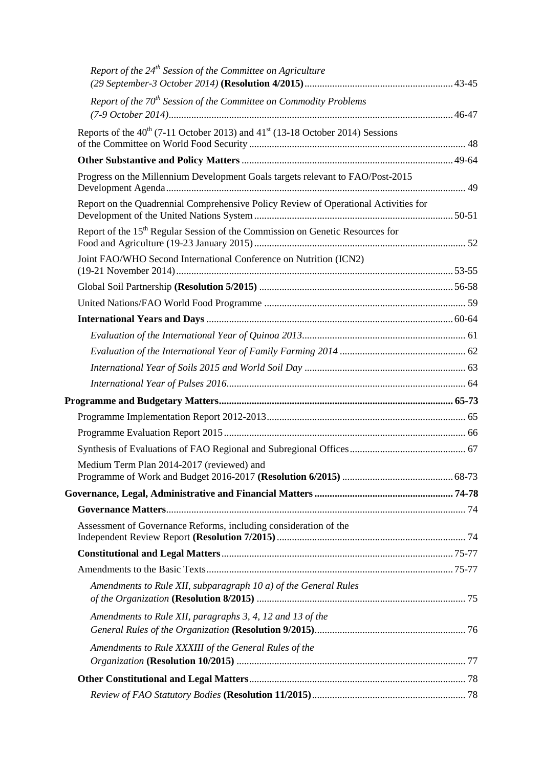| Report of the $24th$ Session of the Committee on Agriculture                              |  |
|-------------------------------------------------------------------------------------------|--|
| Report of the $70th$ Session of the Committee on Commodity Problems                       |  |
|                                                                                           |  |
| Reports of the $40^{th}$ (7-11 October 2013) and $41^{st}$ (13-18 October 2014) Sessions  |  |
|                                                                                           |  |
| Progress on the Millennium Development Goals targets relevant to FAO/Post-2015            |  |
| Report on the Quadrennial Comprehensive Policy Review of Operational Activities for       |  |
| Report of the 15 <sup>th</sup> Regular Session of the Commission on Genetic Resources for |  |
| Joint FAO/WHO Second International Conference on Nutrition (ICN2)                         |  |
|                                                                                           |  |
|                                                                                           |  |
|                                                                                           |  |
|                                                                                           |  |
|                                                                                           |  |
|                                                                                           |  |
|                                                                                           |  |
|                                                                                           |  |
|                                                                                           |  |
|                                                                                           |  |
|                                                                                           |  |
| Medium Term Plan 2014-2017 (reviewed) and                                                 |  |
|                                                                                           |  |
|                                                                                           |  |
| Assessment of Governance Reforms, including consideration of the                          |  |
|                                                                                           |  |
|                                                                                           |  |
| Amendments to Rule XII, subparagraph 10 a) of the General Rules                           |  |
| Amendments to Rule XII, paragraphs 3, 4, 12 and 13 of the                                 |  |
| Amendments to Rule XXXIII of the General Rules of the                                     |  |
|                                                                                           |  |
|                                                                                           |  |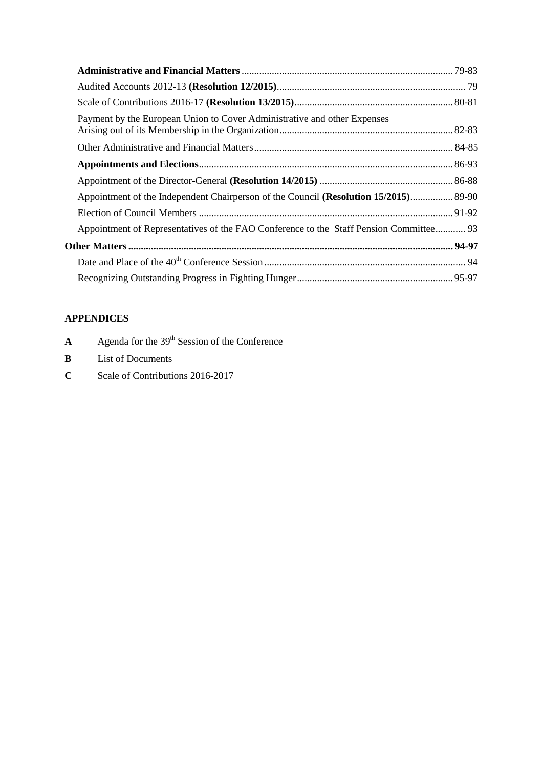| Payment by the European Union to Cover Administrative and other Expenses               |  |
|----------------------------------------------------------------------------------------|--|
|                                                                                        |  |
|                                                                                        |  |
|                                                                                        |  |
| Appointment of the Independent Chairperson of the Council (Resolution 15/2015) 89-90   |  |
|                                                                                        |  |
| Appointment of Representatives of the FAO Conference to the Staff Pension Committee 93 |  |
|                                                                                        |  |
|                                                                                        |  |
|                                                                                        |  |

## **APPENDICES**

- **A** Agenda for the  $39<sup>th</sup>$  Session of the Conference
- **B** List of Documents
- **C** Scale of Contributions 2016-2017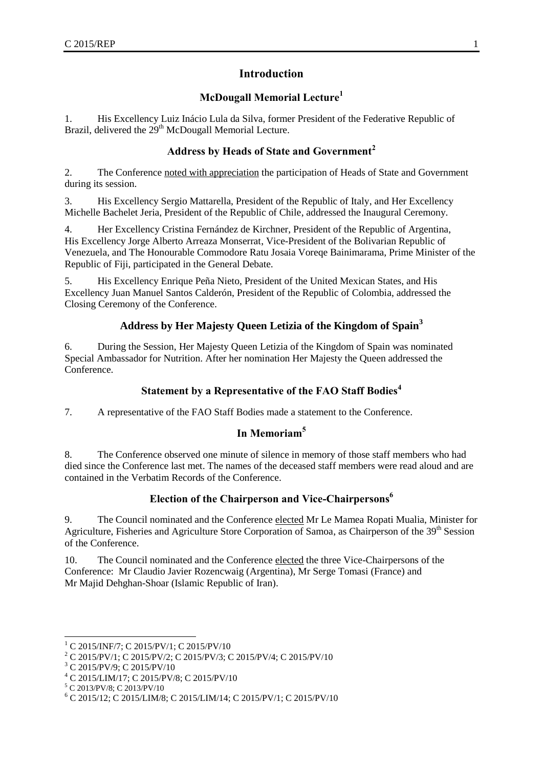## **Introduction**

## **McDougall Memorial Lecture<sup>1</sup>**

<span id="page-8-2"></span><span id="page-8-1"></span><span id="page-8-0"></span>1. His Excellency Luiz Inácio Lula da Silva, former President of the Federative Republic of Brazil, delivered the 29<sup>th</sup> McDougall Memorial Lecture.

## **Address by Heads of State and Government<sup>2</sup>**

2. The Conference noted with appreciation the participation of Heads of State and Government during its session.

3. His Excellency Sergio Mattarella, President of the Republic of Italy, and Her Excellency Michelle Bachelet Jeria, President of the Republic of Chile, addressed the Inaugural Ceremony.

4. Her Excellency Cristina Fernández de Kirchner, President of the Republic of Argentina, His Excellency Jorge Alberto Arreaza Monserrat, Vice-President of the Bolivarian Republic of Venezuela, and The Honourable Commodore Ratu Josaia Voreqe Bainimarama, Prime Minister of the Republic of Fiji, participated in the General Debate.

5. His Excellency Enrique Peña Nieto, President of the United Mexican States, and His Excellency Juan Manuel Santos Calderón, President of the Republic of Colombia, addressed the Closing Ceremony of the Conference.

## **Address by Her Majesty Queen Letizia of the Kingdom of Spain<sup>3</sup>**

<span id="page-8-3"></span>6. During the Session, Her Majesty Queen Letizia of the Kingdom of Spain was nominated Special Ambassador for Nutrition. After her nomination Her Majesty the Queen addressed the Conference.

## **Statement by a Representative of the FAO Staff Bodies<sup>4</sup>**

<span id="page-8-5"></span><span id="page-8-4"></span>7. A representative of the FAO Staff Bodies made a statement to the Conference.

## **In Memoriam<sup>5</sup>**

8. The Conference observed one minute of silence in memory of those staff members who had died since the Conference last met. The names of the deceased staff members were read aloud and are contained in the Verbatim Records of the Conference.

## **Election of the Chairperson and Vice-Chairpersons<sup>6</sup>**

<span id="page-8-6"></span>9. The Council nominated and the Conference elected Mr Le Mamea Ropati Mualia, Minister for Agriculture, Fisheries and Agriculture Store Corporation of Samoa, as Chairperson of the 39<sup>th</sup> Session of the Conference.

10. The Council nominated and the Conference elected the three Vice-Chairpersons of the Conference: Mr Claudio Javier Rozencwaig (Argentina), Mr Serge Tomasi (France) and Mr Majid Dehghan-Shoar (Islamic Republic of Iran).

 $\overline{a}$  $^{1}$  C 2015/INF/7; C 2015/PV/1; C 2015/PV/10

<sup>2</sup> C 2015/PV/1; C 2015/PV/2; C 2015/PV/3; C 2015/PV/4; C 2015/PV/10

<sup>3</sup> C 2015/PV/9; C 2015/PV/10

<sup>4</sup> C 2015/LIM/17; C 2015/PV/8; C 2015/PV/10

<sup>5</sup> C 2013/PV/8; C 2013/PV/10

<sup>6</sup> C 2015/12; C 2015/LIM/8; C 2015/LIM/14; C 2015/PV/1; C 2015/PV/10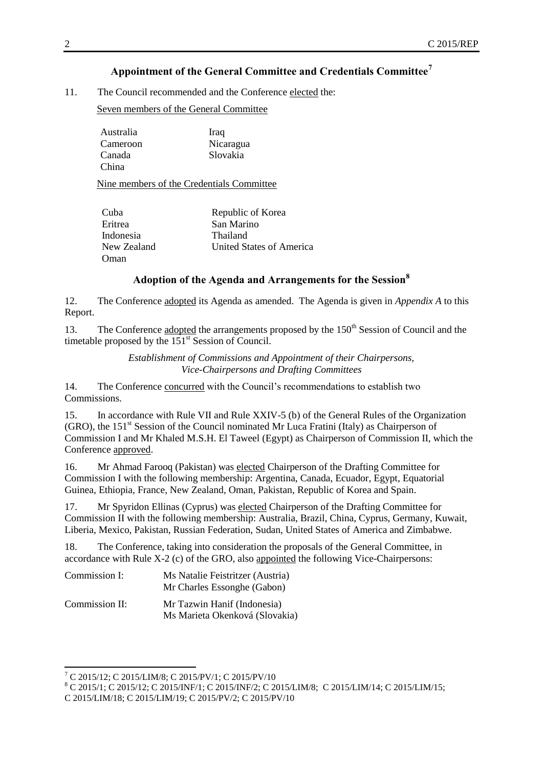## **Appointment of the General Committee and Credentials Committee<sup>7</sup>**

<span id="page-9-0"></span>11. The Council recommended and the Conference elected the:

Seven members of the General Committee

Australia Iraq Cameroon Nicaragua<br>Canada Slovakia Slovakia China

Nine members of the Credentials Committee

| Cuba        | Republic of Korea        |
|-------------|--------------------------|
| Eritrea     | San Marino               |
| Indonesia   | Thailand                 |
| New Zealand | United States of America |
| Oman        |                          |

## **Adoption of the Agenda and Arrangements for the Session<sup>8</sup>**

<span id="page-9-1"></span>12. The Conference adopted its Agenda as amended. The Agenda is given in *Appendix A* to this Report.

<span id="page-9-2"></span>13. The Conference adopted the arrangements proposed by the 150<sup>th</sup> Session of Council and the timetable proposed by the  $151<sup>st</sup>$  Session of Council.

> *Establishment of Commissions and Appointment of their Chairpersons, Vice-Chairpersons and Drafting Committees*

14. The Conference concurred with the Council's recommendations to establish two Commissions.

15. In accordance with Rule VII and Rule XXIV-5 (b) of the General Rules of the Organization (GRO), the  $151<sup>st</sup>$  Session of the Council nominated Mr Luca Fratini (Italy) as Chairperson of Commission I and Mr Khaled M.S.H. El Taweel (Egypt) as Chairperson of Commission II, which the Conference approved.

16. Mr Ahmad Farooq (Pakistan) was elected Chairperson of the Drafting Committee for Commission I with the following membership: Argentina, Canada, Ecuador, Egypt, Equatorial Guinea, Ethiopia, France, New Zealand, Oman, Pakistan, Republic of Korea and Spain.

17. Mr Spyridon Ellinas (Cyprus) was elected Chairperson of the Drafting Committee for Commission II with the following membership: Australia, Brazil, China, Cyprus, Germany, Kuwait, Liberia, Mexico, Pakistan, Russian Federation, Sudan, United States of America and Zimbabwe.

18. The Conference, taking into consideration the proposals of the General Committee, in accordance with Rule X-2 (c) of the GRO, also appointed the following Vice-Chairpersons:

| Commission I:  | Ms Natalie Feistritzer (Austria) |
|----------------|----------------------------------|
|                | Mr Charles Essonghe (Gabon)      |
| Commission II: | Mr Tazwin Hanif (Indonesia)      |

Ms Marieta Okenková (Slovakia)

l

<sup>7</sup> C 2015/12; C 2015/LIM/8; C 2015/PV/1; C 2015/PV/10

<sup>8</sup> C 2015/1; C 2015/12; C 2015/INF/1; C 2015/INF/2; C 2015/LIM/8; C 2015/LIM/14; C 2015/LIM/15;

C 2015/LIM/18; C 2015/LIM/19; C 2015/PV/2; C 2015/PV/10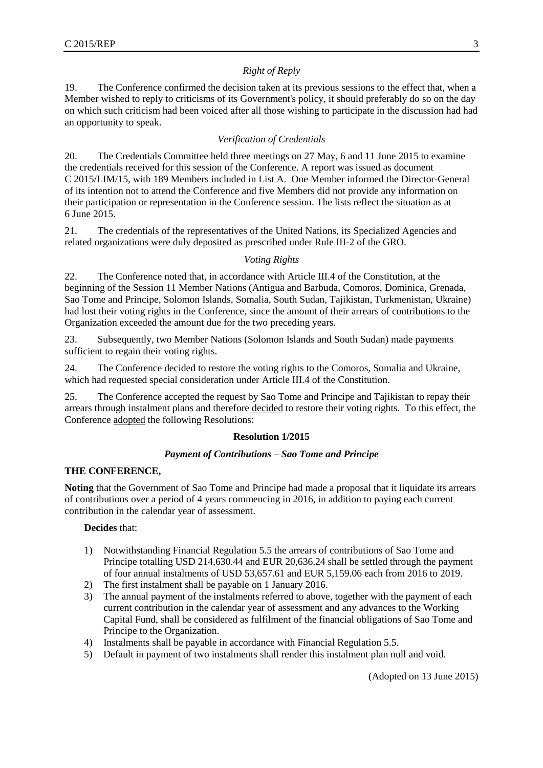#### *Right of Reply*

<span id="page-10-0"></span>19. The Conference confirmed the decision taken at its previous sessions to the effect that, when a Member wished to reply to criticisms of its Government's policy, it should preferably do so on the day on which such criticism had been voiced after all those wishing to participate in the discussion had had an opportunity to speak.

## *Verification of Credentials*

<span id="page-10-1"></span>20. The Credentials Committee held three meetings on 27 May, 6 and 11 June 2015 to examine the credentials received for this session of the Conference. A report was issued as document C 2015/LIM/15, with 189 Members included in List A. One Member informed the Director-General of its intention not to attend the Conference and five Members did not provide any information on their participation or representation in the Conference session. The lists reflect the situation as at 6 June 2015.

21. The credentials of the representatives of the United Nations, its Specialized Agencies and related organizations were duly deposited as prescribed under Rule III-2 of the GRO.

#### *Voting Rights*

<span id="page-10-2"></span>22. The Conference noted that, in accordance with Article III.4 of the Constitution, at the beginning of the Session 11 Member Nations (Antigua and Barbuda, Comoros, Dominica, Grenada, Sao Tome and Principe, Solomon Islands, Somalia, South Sudan, Tajikistan, Turkmenistan, Ukraine) had lost their voting rights in the Conference, since the amount of their arrears of contributions to the Organization exceeded the amount due for the two preceding years.

23. Subsequently, two Member Nations (Solomon Islands and South Sudan) made payments sufficient to regain their voting rights.

24. The Conference decided to restore the voting rights to the Comoros, Somalia and Ukraine, which had requested special consideration under Article III.4 of the Constitution.

25. The Conference accepted the request by Sao Tome and Principe and Tajikistan to repay their arrears through instalment plans and therefore decided to restore their voting rights. To this effect, the Conference adopted the following Resolutions:

#### **Resolution 1/2015**

#### *Payment of Contributions – Sao Tome and Principe*

#### **THE CONFERENCE,**

**Noting** that the Government of Sao Tome and Principe had made a proposal that it liquidate its arrears of contributions over a period of 4 years commencing in 2016, in addition to paying each current contribution in the calendar year of assessment.

#### **Decides** that:

- 1) Notwithstanding Financial Regulation 5.5 the arrears of contributions of Sao Tome and Principe totalling USD 214,630.44 and EUR 20,636.24 shall be settled through the payment of four annual instalments of USD 53,657.61 and EUR 5,159.06 each from 2016 to 2019.
- 2) The first instalment shall be payable on 1 January 2016.
- 3) The annual payment of the instalments referred to above, together with the payment of each current contribution in the calendar year of assessment and any advances to the Working Capital Fund, shall be considered as fulfilment of the financial obligations of Sao Tome and Principe to the Organization.
- 4) Instalments shall be payable in accordance with Financial Regulation 5.5.
- 5) Default in payment of two instalments shall render this instalment plan null and void.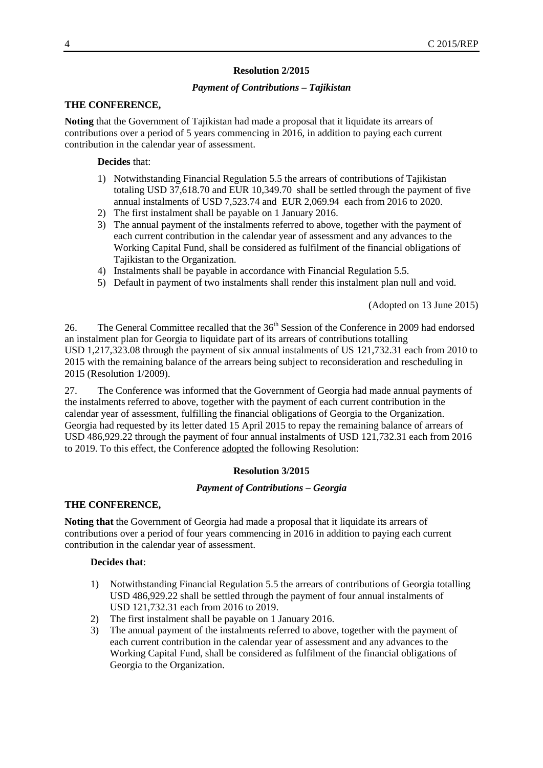#### **Resolution 2/2015**

#### *Payment of Contributions – Tajikistan*

#### **THE CONFERENCE,**

**Noting** that the Government of Tajikistan had made a proposal that it liquidate its arrears of contributions over a period of 5 years commencing in 2016, in addition to paying each current contribution in the calendar year of assessment.

#### **Decides** that:

- 1) Notwithstanding Financial Regulation 5.5 the arrears of contributions of Tajikistan totaling USD 37,618.70 and EUR 10,349.70 shall be settled through the payment of five annual instalments of USD 7,523.74 and EUR 2,069.94 each from 2016 to 2020.
- 2) The first instalment shall be payable on 1 January 2016.
- 3) The annual payment of the instalments referred to above, together with the payment of each current contribution in the calendar year of assessment and any advances to the Working Capital Fund, shall be considered as fulfilment of the financial obligations of Tajikistan to the Organization.
- 4) Instalments shall be payable in accordance with Financial Regulation 5.5.
- 5) Default in payment of two instalments shall render this instalment plan null and void.

(Adopted on 13 June 2015)

26. The General Committee recalled that the 36<sup>th</sup> Session of the Conference in 2009 had endorsed an instalment plan for Georgia to liquidate part of its arrears of contributions totalling USD 1,217,323.08 through the payment of six annual instalments of US 121,732.31 each from 2010 to 2015 with the remaining balance of the arrears being subject to reconsideration and rescheduling in 2015 (Resolution 1/2009).

27. The Conference was informed that the Government of Georgia had made annual payments of the instalments referred to above, together with the payment of each current contribution in the calendar year of assessment, fulfilling the financial obligations of Georgia to the Organization. Georgia had requested by its letter dated 15 April 2015 to repay the remaining balance of arrears of USD 486,929.22 through the payment of four annual instalments of USD 121,732.31 each from 2016 to 2019. To this effect, the Conference adopted the following Resolution:

#### **Resolution 3/2015**

#### *Payment of Contributions – Georgia*

## **THE CONFERENCE,**

**Noting that** the Government of Georgia had made a proposal that it liquidate its arrears of contributions over a period of four years commencing in 2016 in addition to paying each current contribution in the calendar year of assessment.

#### **Decides that**:

- 1) Notwithstanding Financial Regulation 5.5 the arrears of contributions of Georgia totalling USD 486,929.22 shall be settled through the payment of four annual instalments of USD 121,732.31 each from 2016 to 2019.
- 2) The first instalment shall be payable on 1 January 2016.
- 3) The annual payment of the instalments referred to above, together with the payment of each current contribution in the calendar year of assessment and any advances to the Working Capital Fund, shall be considered as fulfilment of the financial obligations of Georgia to the Organization.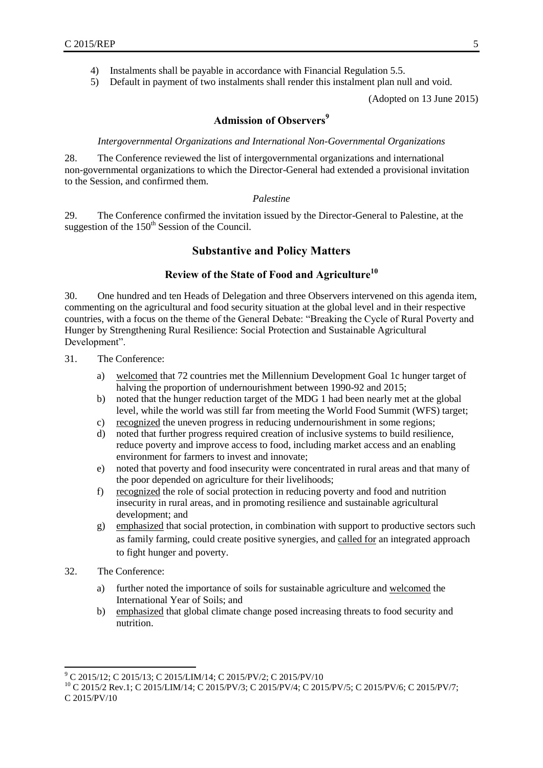- 4) Instalments shall be payable in accordance with Financial Regulation 5.5.
- 5) Default in payment of two instalments shall render this instalment plan null and void.

(Adopted on 13 June 2015)

## **Admission of Observers<sup>9</sup>**

#### *Intergovernmental Organizations and International Non-Governmental Organizations*

<span id="page-12-1"></span><span id="page-12-0"></span>28. The Conference reviewed the list of intergovernmental organizations and international non-governmental organizations to which the Director-General had extended a provisional invitation to the Session, and confirmed them.

#### *Palestine*

<span id="page-12-3"></span><span id="page-12-2"></span>29. The Conference confirmed the invitation issued by the Director-General to Palestine, at the suggestion of the 150<sup>th</sup> Session of the Council.

#### **Substantive and Policy Matters**

## **Review of the State of Food and Agriculture<sup>10</sup>**

<span id="page-12-4"></span>30. One hundred and ten Heads of Delegation and three Observers intervened on this agenda item, commenting on the agricultural and food security situation at the global level and in their respective countries, with a focus on the theme of the General Debate: "Breaking the Cycle of Rural Poverty and Hunger by Strengthening Rural Resilience: Social Protection and Sustainable Agricultural Development".

- 31. The Conference:
	- a) welcomed that 72 countries met the Millennium Development Goal 1c hunger target of halving the proportion of undernourishment between 1990-92 and 2015;
	- b) noted that the hunger reduction target of the MDG 1 had been nearly met at the global level, while the world was still far from meeting the World Food Summit (WFS) target;
	- c) recognized the uneven progress in reducing undernourishment in some regions;
	- d) noted that further progress required creation of inclusive systems to build resilience, reduce poverty and improve access to food, including market access and an enabling environment for farmers to invest and innovate;
	- e) noted that poverty and food insecurity were concentrated in rural areas and that many of the poor depended on agriculture for their livelihoods;
	- f) recognized the role of social protection in reducing poverty and food and nutrition insecurity in rural areas, and in promoting resilience and sustainable agricultural development; and
	- g) emphasized that social protection, in combination with support to productive sectors such as family farming, could create positive synergies, and called for an integrated approach to fight hunger and poverty.
- 32. The Conference:

l

- a) further noted the importance of soils for sustainable agriculture and welcomed the International Year of Soils; and
- b) emphasized that global climate change posed increasing threats to food security and nutrition.

<sup>9</sup> C 2015/12; C 2015/13; C 2015/LIM/14; C 2015/PV/2; C 2015/PV/10

<sup>&</sup>lt;sup>10</sup> C 2015/2 Rev.1; C 2015/LIM/14; C 2015/PV/3; C 2015/PV/4; C 2015/PV/5; C 2015/PV/6; C 2015/PV/7; C 2015/PV/10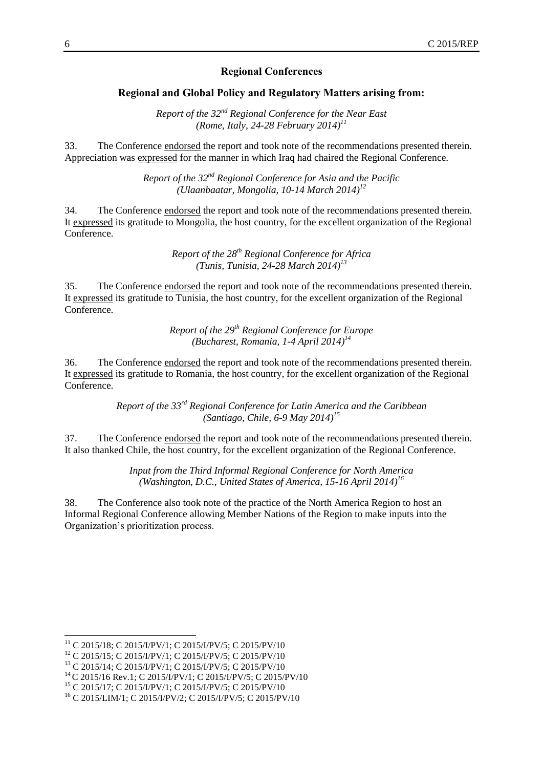#### **Regional Conferences**

#### <span id="page-13-0"></span>**Regional and Global Policy and Regulatory Matters arising from:**

*Report of the 32nd Regional Conference for the Near East (Rome, Italy, 24-28 February 2014)<sup>11</sup>*

<span id="page-13-2"></span><span id="page-13-1"></span>33. The Conference endorsed the report and took note of the recommendations presented therein. Appreciation was expressed for the manner in which Iraq had chaired the Regional Conference.

> *Report of the 32nd Regional Conference for Asia and the Pacific (Ulaanbaatar, Mongolia, 10-14 March 2014)<sup>12</sup>*

<span id="page-13-3"></span>34. The Conference endorsed the report and took note of the recommendations presented therein. It expressed its gratitude to Mongolia, the host country, for the excellent organization of the Regional Conference.

> *Report of the 28th Regional Conference for Africa (Tunis, Tunisia, 24-28 March 2014)<sup>13</sup>*

<span id="page-13-4"></span>35. The Conference endorsed the report and took note of the recommendations presented therein. It expressed its gratitude to Tunisia, the host country, for the excellent organization of the Regional Conference.

> *Report of the 29th Regional Conference for Europe (Bucharest, Romania, 1-4 April 2014)<sup>14</sup>*

<span id="page-13-5"></span>36. The Conference endorsed the report and took note of the recommendations presented therein. It expressed its gratitude to Romania, the host country, for the excellent organization of the Regional Conference.

> *Report of the 33rd Regional Conference for Latin America and the Caribbean (Santiago, Chile, 6-9 May 2014)<sup>15</sup>*

<span id="page-13-6"></span>37. The Conference endorsed the report and took note of the recommendations presented therein. It also thanked Chile, the host country, for the excellent organization of the Regional Conference.

> *Input from the Third Informal Regional Conference for North America (Washington, D.C., United States of America, 15-16 April 2014)<sup>16</sup>*

38. The Conference also took note of the practice of the North America Region to host an Informal Regional Conference allowing Member Nations of the Region to make inputs into the Organization's prioritization process.

l

<sup>&</sup>lt;sup>11</sup> C 2015/18; C 2015/I/PV/1; C 2015/I/PV/5; C 2015/PV/10

<sup>&</sup>lt;sup>12</sup> C 2015/15; C 2015/I/PV/1; C 2015/I/PV/5; C 2015/PV/10

<sup>&</sup>lt;sup>13</sup> C 2015/14; C 2015/I/PV/1; C 2015/I/PV/5; C 2015/PV/10

<sup>&</sup>lt;sup>14</sup> C 2015/16 Rev.1; C 2015/I/PV/1; C 2015/I/PV/5; C 2015/PV/10

<sup>15</sup> C 2015/17; C 2015/I/PV/1; C 2015/I/PV/5; C 2015/PV/10

<sup>16</sup> C 2015/LIM/1; C 2015/I/PV/2; C 2015/I/PV/5; C 2015/PV/10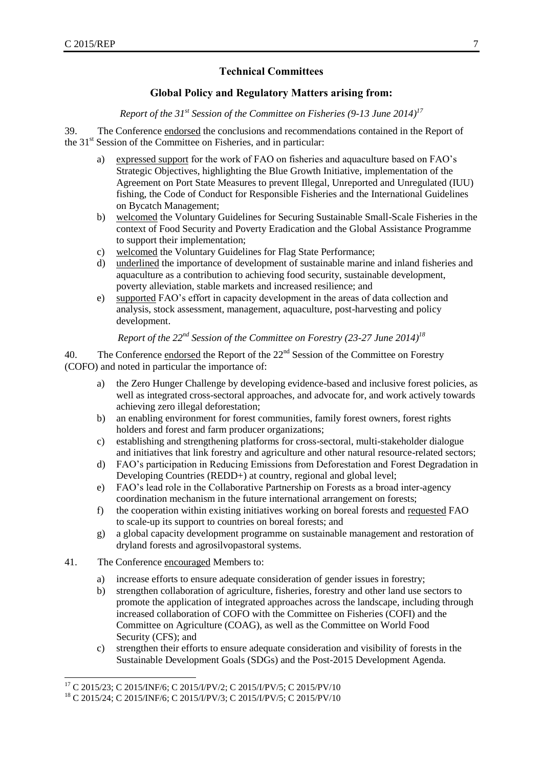## **Technical Committees**

## **Global Policy and Regulatory Matters arising from:**

*Report of the 31st Session of the Committee on Fisheries (9-13 June 2014)<sup>17</sup>*

<span id="page-14-1"></span><span id="page-14-0"></span>39. The Conference endorsed the conclusions and recommendations contained in the Report of the 31<sup>st</sup> Session of the Committee on Fisheries, and in particular:

- a) expressed support for the work of FAO on fisheries and aquaculture based on FAO's Strategic Objectives, highlighting the Blue Growth Initiative, implementation of the Agreement on Port State Measures to prevent Illegal, Unreported and Unregulated (IUU) fishing, the Code of Conduct for Responsible Fisheries and the International Guidelines on Bycatch Management;
- b) welcomed the Voluntary Guidelines for Securing Sustainable Small-Scale Fisheries in the context of Food Security and Poverty Eradication and the Global Assistance Programme to support their implementation;
- c) welcomed the Voluntary Guidelines for Flag State Performance;
- d) underlined the importance of development of sustainable marine and inland fisheries and aquaculture as a contribution to achieving food security, sustainable development, poverty alleviation, stable markets and increased resilience; and
- e) supported FAO's effort in capacity development in the areas of data collection and analysis, stock assessment, management, aquaculture, post-harvesting and policy development.

*Report of the 22nd Session of the Committee on Forestry (23-27 June 2014)<sup>18</sup>*

<span id="page-14-2"></span>40. The Conference endorsed the Report of the  $22<sup>nd</sup>$  Session of the Committee on Forestry (COFO) and noted in particular the importance of:

- a) the Zero Hunger Challenge by developing evidence-based and inclusive forest policies, as well as integrated cross-sectoral approaches, and advocate for, and work actively towards achieving zero illegal deforestation;
- b) an enabling environment for forest communities, family forest owners, forest rights holders and forest and farm producer organizations;
- c) establishing and strengthening platforms for cross-sectoral, multi-stakeholder dialogue and initiatives that link forestry and agriculture and other natural resource-related sectors;
- d) FAO's participation in Reducing Emissions from Deforestation and Forest Degradation in Developing Countries (REDD+) at country, regional and global level;
- e) FAO's lead role in the Collaborative Partnership on Forests as a broad inter-agency coordination mechanism in the future international arrangement on forests;
- f) the cooperation within existing initiatives working on boreal forests and requested FAO to scale-up its support to countries on boreal forests; and
- g) a global capacity development programme on sustainable management and restoration of dryland forests and agrosilvopastoral systems.
- 41. The Conference encouraged Members to:
	- a) increase efforts to ensure adequate consideration of gender issues in forestry;
	- b) strengthen collaboration of agriculture, fisheries, forestry and other land use sectors to promote the application of integrated approaches across the landscape, including through increased collaboration of COFO with the Committee on Fisheries (COFI) and the Committee on Agriculture (COAG), as well as the Committee on World Food Security (CFS); and
	- c) strengthen their efforts to ensure adequate consideration and visibility of forests in the Sustainable Development Goals (SDGs) and the Post-2015 Development Agenda.

l <sup>17</sup> C 2015/23; C 2015/INF/6; C 2015/I/PV/2; C 2015/I/PV/5; C 2015/PV/10

<sup>18</sup> C 2015/24; C 2015/INF/6; C 2015/I/PV/3; C 2015/I/PV/5; C 2015/PV/10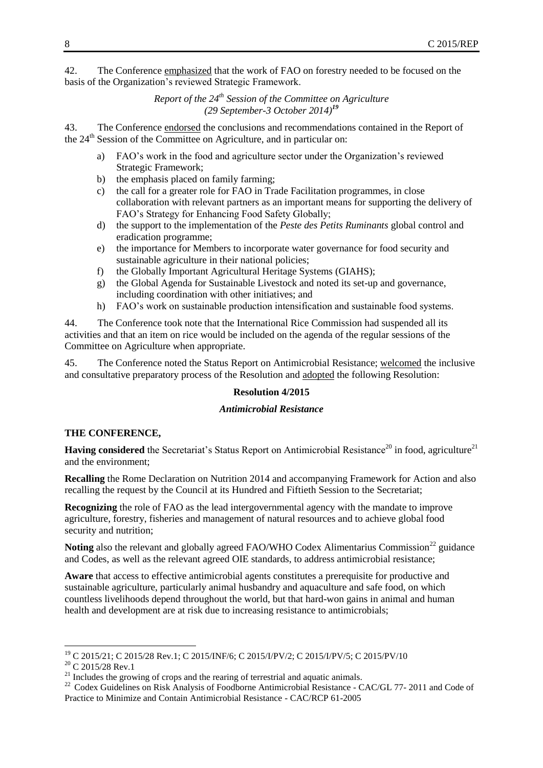<span id="page-15-0"></span>42. The Conference emphasized that the work of FAO on forestry needed to be focused on the basis of the Organization's reviewed Strategic Framework.

> *Report of the 24th Session of the Committee on Agriculture (29 September-3 October 2014) 19*

43. The Conference endorsed the conclusions and recommendations contained in the Report of the 24<sup>th</sup> Session of the Committee on Agriculture, and in particular on:

- a) FAO's work in the food and agriculture sector under the Organization's reviewed Strategic Framework;
- b) the emphasis placed on family farming;
- c) the call for a greater role for FAO in Trade Facilitation programmes, in close collaboration with relevant partners as an important means for supporting the delivery of FAO's Strategy for Enhancing Food Safety Globally;
- d) the support to the implementation of the *Peste des Petits Ruminants* global control and eradication programme;
- e) the importance for Members to incorporate water governance for food security and sustainable agriculture in their national policies;
- f) the Globally Important Agricultural Heritage Systems (GIAHS);
- g) the Global Agenda for Sustainable Livestock and noted its set-up and governance, including coordination with other initiatives; and
- h) FAO's work on sustainable production intensification and sustainable food systems.

44. The Conference took note that the International Rice Commission had suspended all its activities and that an item on rice would be included on the agenda of the regular sessions of the Committee on Agriculture when appropriate.

45. The Conference noted the Status Report on Antimicrobial Resistance; welcomed the inclusive and consultative preparatory process of the Resolution and adopted the following Resolution:

#### **Resolution 4/2015**

#### *Antimicrobial Resistance*

#### **THE CONFERENCE,**

**Having considered** the Secretariat's Status Report on Antimicrobial Resistance<sup>20</sup> in food, agriculture<sup>21</sup> and the environment;

**Recalling** the Rome Declaration on Nutrition 2014 and accompanying Framework for Action and also recalling the request by the Council at its Hundred and Fiftieth Session to the Secretariat;

**Recognizing** the role of FAO as the lead intergovernmental agency with the mandate to improve agriculture, forestry, fisheries and management of natural resources and to achieve global food security and nutrition;

**Noting** also the relevant and globally agreed FAO/WHO Codex Alimentarius Commission<sup>22</sup> guidance and Codes, as well as the relevant agreed OIE standards, to address antimicrobial resistance;

**Aware** that access to effective antimicrobial agents constitutes a prerequisite for productive and sustainable agriculture, particularly animal husbandry and aquaculture and safe food, on which countless livelihoods depend throughout the world, but that hard-won gains in animal and human health and development are at risk due to increasing resistance to antimicrobials;

l

<sup>19</sup> C 2015/21; C 2015/28 Rev.1; C 2015/INF/6; C 2015/I/PV/2; C 2015/I/PV/5; C 2015/PV/10

 $\rm ^{20}$  C 2015/28 Rev.1

<sup>&</sup>lt;sup>21</sup> Includes the growing of crops and the rearing of terrestrial and aquatic animals.

<sup>&</sup>lt;sup>22</sup> Codex Guidelines on Risk Analysis of Foodborne Antimicrobial Resistance - CAC/GL 77- 2011 and Code of Practice to Minimize and Contain Antimicrobial Resistance - CAC/RCP 61-2005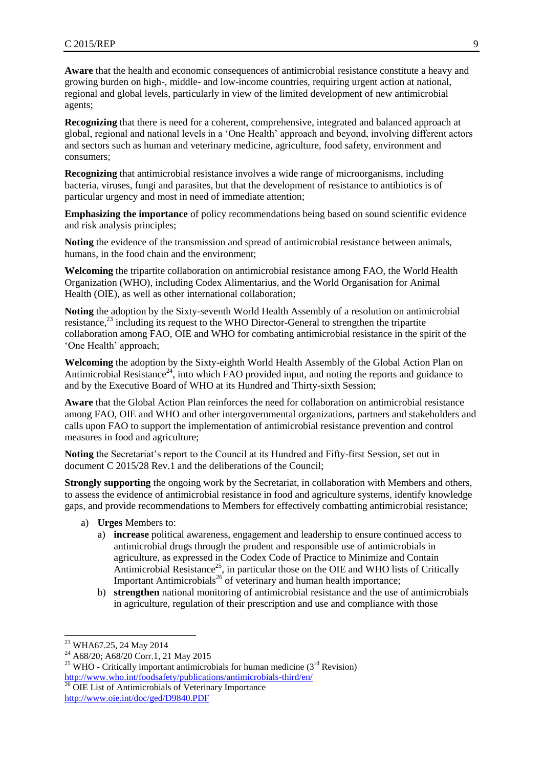Aware that the health and economic consequences of antimicrobial resistance constitute a heavy and growing burden on high-, middle- and low-income countries, requiring urgent action at national, regional and global levels, particularly in view of the limited development of new antimicrobial agents;

**Recognizing** that there is need for a coherent, comprehensive, integrated and balanced approach at global, regional and national levels in a 'One Health' approach and beyond, involving different actors and sectors such as human and veterinary medicine, agriculture, food safety, environment and consumers;

**Recognizing** that antimicrobial resistance involves a wide range of microorganisms, including bacteria, viruses, fungi and parasites, but that the development of resistance to antibiotics is of particular urgency and most in need of immediate attention;

**Emphasizing the importance** of policy recommendations being based on sound scientific evidence and risk analysis principles;

**Noting** the evidence of the transmission and spread of antimicrobial resistance between animals, humans, in the food chain and the environment;

**Welcoming** the tripartite collaboration on antimicrobial resistance among FAO, the World Health Organization (WHO), including Codex Alimentarius, and the World Organisation for Animal Health (OIE), as well as other international collaboration;

**Noting** the adoption by the Sixty-seventh World Health Assembly of a resolution on antimicrobial resistance,<sup>23</sup> including its request to the WHO Director-General to strengthen the tripartite collaboration among FAO, OIE and WHO for combating antimicrobial resistance in the spirit of the 'One Health' approach;

**Welcoming** the adoption by the Sixty-eighth World Health Assembly of the Global Action Plan on Antimicrobial Resistance<sup>24</sup>, into which FAO provided input, and noting the reports and guidance to and by the Executive Board of WHO at its Hundred and Thirty-sixth Session;

**Aware** that the Global Action Plan reinforces the need for collaboration on antimicrobial resistance among FAO, OIE and WHO and other intergovernmental organizations, partners and stakeholders and calls upon FAO to support the implementation of antimicrobial resistance prevention and control measures in food and agriculture;

**Noting** the Secretariat's report to the Council at its Hundred and Fifty-first Session, set out in document C 2015/28 Rev.1 and the deliberations of the Council;

**Strongly supporting** the ongoing work by the Secretariat, in collaboration with Members and others, to assess the evidence of antimicrobial resistance in food and agriculture systems, identify knowledge gaps, and provide recommendations to Members for effectively combatting antimicrobial resistance;

- a) **Urges** Members to:
	- a) **increase** political awareness, engagement and leadership to ensure continued access to antimicrobial drugs through the prudent and responsible use of antimicrobials in agriculture, as expressed in the Codex Code of Practice to Minimize and Contain Antimicrobial Resistance<sup>25</sup>, in particular those on the OIE and WHO lists of Critically Important Antimicrobials<sup>26</sup> of veterinary and human health importance;
	- b) **strengthen** national monitoring of antimicrobial resistance and the use of antimicrobials in agriculture, regulation of their prescription and use and compliance with those

l

<sup>&</sup>lt;sup>23</sup> WHA67.25, 24 May 2014

<sup>&</sup>lt;sup>24</sup> A68/20; A68/20 Corr.1, 21 May 2015

<sup>&</sup>lt;sup>25</sup> WHO - Critically important antimicrobials for human medicine ( $3<sup>rd</sup>$  Revision) <http://www.who.int/foodsafety/publications/antimicrobials-third/en/>

 $26$  OIE List of Antimicrobials of Veterinary Importance

<http://www.oie.int/doc/ged/D9840.PDF>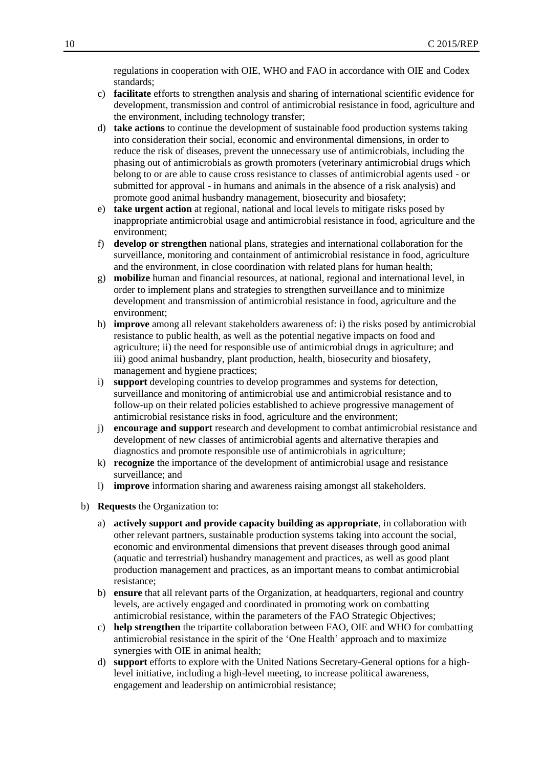regulations in cooperation with OIE, WHO and FAO in accordance with OIE and Codex standards;

- c) **facilitate** efforts to strengthen analysis and sharing of international scientific evidence for development, transmission and control of antimicrobial resistance in food, agriculture and the environment, including technology transfer;
- d) **take actions** to continue the development of sustainable food production systems taking into consideration their social, economic and environmental dimensions, in order to reduce the risk of diseases, prevent the unnecessary use of antimicrobials, including the phasing out of antimicrobials as growth promoters (veterinary antimicrobial drugs which belong to or are able to cause cross resistance to classes of antimicrobial agents used - or submitted for approval - in humans and animals in the absence of a risk analysis) and promote good animal husbandry management, biosecurity and biosafety;
- e) **take urgent action** at regional, national and local levels to mitigate risks posed by inappropriate antimicrobial usage and antimicrobial resistance in food, agriculture and the environment;
- f) **develop or strengthen** national plans, strategies and international collaboration for the surveillance, monitoring and containment of antimicrobial resistance in food, agriculture and the environment, in close coordination with related plans for human health;
- g) **mobilize** human and financial resources, at national, regional and international level, in order to implement plans and strategies to strengthen surveillance and to minimize development and transmission of antimicrobial resistance in food, agriculture and the environment;
- h) **improve** among all relevant stakeholders awareness of: i) the risks posed by antimicrobial resistance to public health, as well as the potential negative impacts on food and agriculture; ii) the need for responsible use of antimicrobial drugs in agriculture; and iii) good animal husbandry, plant production, health, biosecurity and biosafety, management and hygiene practices;
- i) **support** developing countries to develop programmes and systems for detection, surveillance and monitoring of antimicrobial use and antimicrobial resistance and to follow-up on their related policies established to achieve progressive management of antimicrobial resistance risks in food, agriculture and the environment;
- j) **encourage and support** research and development to combat antimicrobial resistance and development of new classes of antimicrobial agents and alternative therapies and diagnostics and promote responsible use of antimicrobials in agriculture;
- k) **recognize** the importance of the development of antimicrobial usage and resistance surveillance; and
- l) **improve** information sharing and awareness raising amongst all stakeholders.
- b) **Requests** the Organization to:
	- a) **actively support and provide capacity building as appropriate**, in collaboration with other relevant partners, sustainable production systems taking into account the social, economic and environmental dimensions that prevent diseases through good animal (aquatic and terrestrial) husbandry management and practices, as well as good plant production management and practices, as an important means to combat antimicrobial resistance;
	- b) **ensure** that all relevant parts of the Organization, at headquarters, regional and country levels, are actively engaged and coordinated in promoting work on combatting antimicrobial resistance, within the parameters of the FAO Strategic Objectives;
	- c) **help strengthen** the tripartite collaboration between FAO, OIE and WHO for combatting antimicrobial resistance in the spirit of the 'One Health' approach and to maximize synergies with OIE in animal health;
	- d) **support** efforts to explore with the United Nations Secretary-General options for a highlevel initiative, including a high-level meeting, to increase political awareness, engagement and leadership on antimicrobial resistance;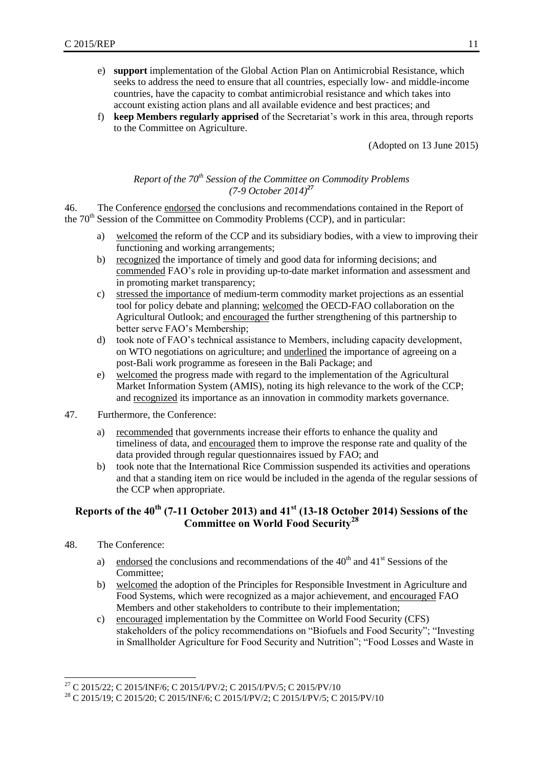- e) **support** implementation of the Global Action Plan on Antimicrobial Resistance, which seeks to address the need to ensure that all countries, especially low- and middle-income countries, have the capacity to combat antimicrobial resistance and which takes into account existing action plans and all available evidence and best practices; and
- f) **keep Members regularly apprised** of the Secretariat's work in this area, through reports to the Committee on Agriculture.

(Adopted on 13 June 2015)

## *Report of the 70th Session of the Committee on Commodity Problems (7-9 October 2014)<sup>27</sup>*

<span id="page-18-0"></span>46. The Conference endorsed the conclusions and recommendations contained in the Report of the 70<sup>th</sup> Session of the Committee on Commodity Problems (CCP), and in particular:

- a) welcomed the reform of the CCP and its subsidiary bodies, with a view to improving their functioning and working arrangements;
- b) recognized the importance of timely and good data for informing decisions; and commended FAO's role in providing up-to-date market information and assessment and in promoting market transparency;
- c) stressed the importance of medium-term commodity market projections as an essential tool for policy debate and planning; welcomed the OECD-FAO collaboration on the Agricultural Outlook; and encouraged the further strengthening of this partnership to better serve FAO's Membership;
- d) took note of FAO's technical assistance to Members, including capacity development, on WTO negotiations on agriculture; and underlined the importance of agreeing on a post-Bali work programme as foreseen in the Bali Package; and
- e) welcomed the progress made with regard to the implementation of the Agricultural Market Information System (AMIS), noting its high relevance to the work of the CCP; and recognized its importance as an innovation in commodity markets governance.
- 47. Furthermore, the Conference:
	- a) recommended that governments increase their efforts to enhance the quality and timeliness of data, and encouraged them to improve the response rate and quality of the data provided through regular questionnaires issued by FAO; and
	- b) took note that the International Rice Commission suspended its activities and operations and that a standing item on rice would be included in the agenda of the regular sessions of the CCP when appropriate.

## <span id="page-18-1"></span>**Reports of the 40th (7-11 October 2013) and 41st (13-18 October 2014) Sessions of the Committee on World Food Security<sup>28</sup>**

- 48. The Conference:
	- a) endorsed the conclusions and recommendations of the  $40<sup>th</sup>$  and  $41<sup>st</sup>$  Sessions of the Committee;
	- b) welcomed the adoption of the Principles for Responsible Investment in Agriculture and Food Systems, which were recognized as a major achievement, and encouraged FAO Members and other stakeholders to contribute to their implementation;
	- c) encouraged implementation by the Committee on World Food Security (CFS) stakeholders of the policy recommendations on "Biofuels and Food Security"; "Investing in Smallholder Agriculture for Food Security and Nutrition"; "Food Losses and Waste in

l <sup>27</sup> C 2015/22; C 2015/INF/6; C 2015/I/PV/2; C 2015/I/PV/5; C 2015/PV/10

<sup>28</sup> C 2015/19; C 2015/20; C 2015/INF/6; C 2015/I/PV/2; C 2015/I/PV/5; C 2015/PV/10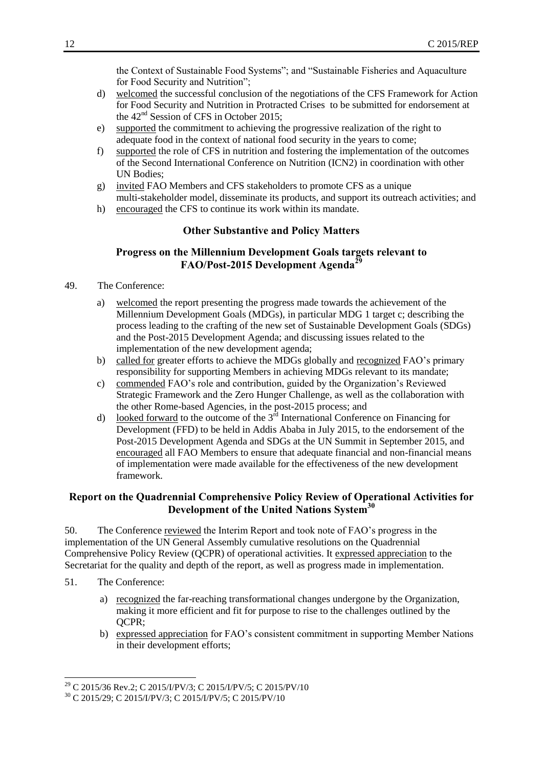the Context of Sustainable Food Systems"; and "Sustainable Fisheries and Aquaculture for Food Security and Nutrition";

- d) welcomed the successful conclusion of the negotiations of the CFS Framework for Action for Food Security and Nutrition in Protracted Crises to be submitted for endorsement at the 42<sup>nd</sup> Session of CFS in October 2015;
- e) supported the commitment to achieving the progressive realization of the right to adequate food in the context of national food security in the years to come;
- f) supported the role of CFS in nutrition and fostering the implementation of the outcomes of the Second International Conference on Nutrition (ICN2) in coordination with other UN Bodies;
- g) invited FAO Members and CFS stakeholders to promote CFS as a unique multi-stakeholder model, disseminate its products, and support its outreach activities; and
- <span id="page-19-0"></span>h) encouraged the CFS to continue its work within its mandate.

#### **Other Substantive and Policy Matters**

## **Progress on the Millennium Development Goals targets relevant to FAO/Post-2015 Development Agenda<sup>29</sup>**

- <span id="page-19-1"></span>49. The Conference:
	- a) welcomed the report presenting the progress made towards the achievement of the Millennium Development Goals (MDGs), in particular MDG 1 target c; describing the process leading to the crafting of the new set of Sustainable Development Goals (SDGs) and the Post-2015 Development Agenda; and discussing issues related to the implementation of the new development agenda;
	- b) called for greater efforts to achieve the MDGs globally and recognized FAO's primary responsibility for supporting Members in achieving MDGs relevant to its mandate;
	- c) commended FAO's role and contribution, guided by the Organization's Reviewed Strategic Framework and the Zero Hunger Challenge, as well as the collaboration with the other Rome-based Agencies, in the post-2015 process; and
	- d) looked forward to the outcome of the  $3<sup>rd</sup>$  International Conference on Financing for Development (FFD) to be held in Addis Ababa in July 2015, to the endorsement of the Post-2015 Development Agenda and SDGs at the UN Summit in September 2015, and encouraged all FAO Members to ensure that adequate financial and non-financial means of implementation were made available for the effectiveness of the new development framework.

## <span id="page-19-2"></span>**Report on the Quadrennial Comprehensive Policy Review of Operational Activities for Development of the United Nations System<sup>30</sup>**

50. The Conference reviewed the Interim Report and took note of FAO's progress in the implementation of the UN General Assembly cumulative resolutions on the Quadrennial Comprehensive Policy Review (QCPR) of operational activities. It expressed appreciation to the Secretariat for the quality and depth of the report, as well as progress made in implementation.

51. The Conference:

l

- a) recognized the far-reaching transformational changes undergone by the Organization, making it more efficient and fit for purpose to rise to the challenges outlined by the QCPR;
- b) expressed appreciation for FAO's consistent commitment in supporting Member Nations in their development efforts;

<sup>&</sup>lt;sup>29</sup> C 2015/36 Rev.2; C 2015/I/PV/3; C 2015/I/PV/5; C 2015/PV/10

<sup>30</sup> C 2015/29; C 2015/I/PV/3; C 2015/I/PV/5; C 2015/PV/10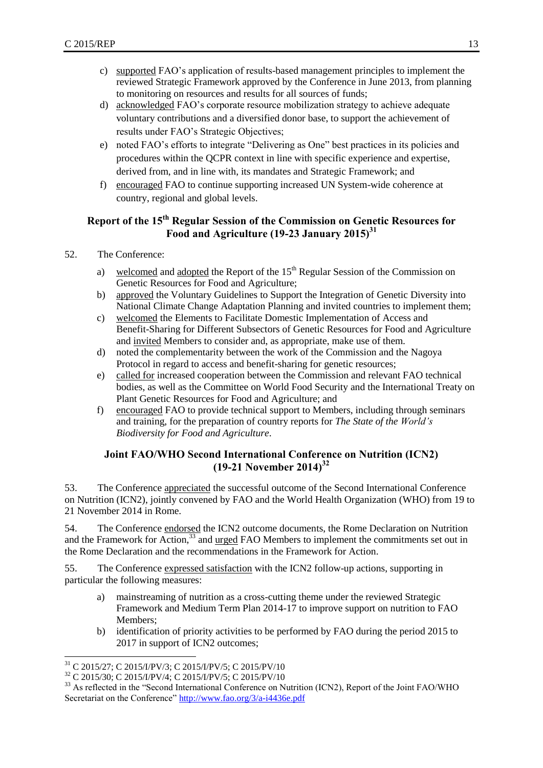- c) supported FAO's application of results-based management principles to implement the reviewed Strategic Framework approved by the Conference in June 2013, from planning to monitoring on resources and results for all sources of funds;
- d) acknowledged FAO's corporate resource mobilization strategy to achieve adequate voluntary contributions and a diversified donor base, to support the achievement of results under FAO's Strategic Objectives;
- e) noted FAO's efforts to integrate "Delivering as One" best practices in its policies and procedures within the QCPR context in line with specific experience and expertise, derived from, and in line with, its mandates and Strategic Framework; and
- f) encouraged FAO to continue supporting increased UN System-wide coherence at country, regional and global levels.

## <span id="page-20-0"></span>**Report of the 15th Regular Session of the Commission on Genetic Resources for Food and Agriculture (19-23 January 2015)<sup>31</sup>**

- 52. The Conference:
	- a) welcomed and adopted the Report of the  $15<sup>th</sup>$  Regular Session of the Commission on Genetic Resources for Food and Agriculture;
	- b) approved the Voluntary Guidelines to Support the Integration of Genetic Diversity into National Climate Change Adaptation Planning and invited countries to implement them;
	- c) welcomed the Elements to Facilitate Domestic Implementation of Access and Benefit-Sharing for Different Subsectors of Genetic Resources for Food and Agriculture and invited Members to consider and, as appropriate, make use of them.
	- d) noted the complementarity between the work of the Commission and the Nagoya Protocol in regard to access and benefit-sharing for genetic resources;
	- e) called for increased cooperation between the Commission and relevant FAO technical bodies, as well as the Committee on World Food Security and the International Treaty on Plant Genetic Resources for Food and Agriculture; and
	- f) encouraged FAO to provide technical support to Members, including through seminars and training, for the preparation of country reports for *The State of the World's Biodiversity for Food and Agriculture*.

## **Joint FAO/WHO Second International Conference on Nutrition (ICN2) (19-21 November 2014) 32**

<span id="page-20-1"></span>53. The Conference appreciated the successful outcome of the Second International Conference on Nutrition (ICN2), jointly convened by FAO and the World Health Organization (WHO) from 19 to 21 November 2014 in Rome.

54. The Conference endorsed the ICN2 outcome documents, the Rome Declaration on Nutrition and the Framework for Action,<sup>33</sup> and <u>urged</u> FAO Members to implement the commitments set out in the Rome Declaration and the recommendations in the Framework for Action.

55. The Conference expressed satisfaction with the ICN2 follow-up actions, supporting in particular the following measures:

- a) mainstreaming of nutrition as a cross-cutting theme under the reviewed Strategic Framework and Medium Term Plan 2014-17 to improve support on nutrition to FAO Members;
- b) identification of priority activities to be performed by FAO during the period 2015 to 2017 in support of ICN2 outcomes;

 $\overline{a}$ <sup>31</sup> C 2015/27; C 2015/I/PV/3; C 2015/I/PV/5; C 2015/PV/10

<sup>32</sup> C 2015/30; C 2015/I/PV/4; C 2015/I/PV/5; C 2015/PV/10

<sup>&</sup>lt;sup>33</sup> As reflected in the "Second International Conference on Nutrition (ICN2), Report of the Joint FAO/WHO Secretariat on the Conference"<http://www.fao.org/3/a-i4436e.pdf>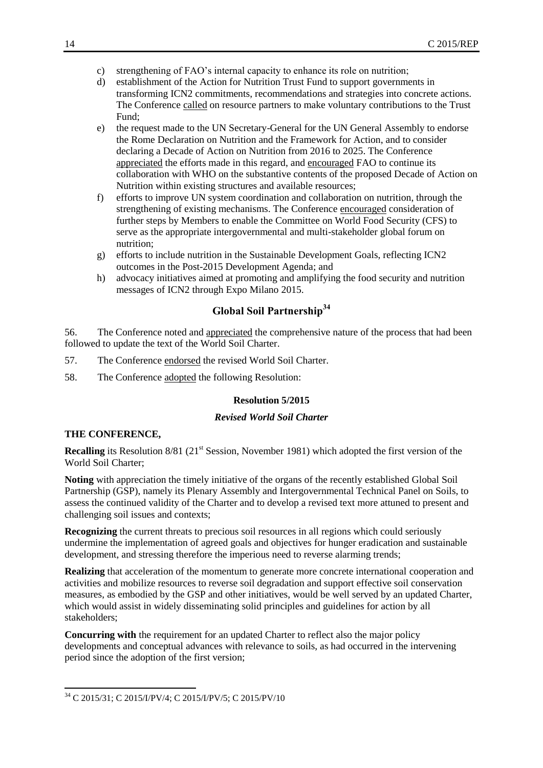- c) strengthening of FAO's internal capacity to enhance its role on nutrition;
- d) establishment of the Action for Nutrition Trust Fund to support governments in transforming ICN2 commitments, recommendations and strategies into concrete actions. The Conference called on resource partners to make voluntary contributions to the Trust Fund;
- e) the request made to the UN Secretary-General for the UN General Assembly to endorse the Rome Declaration on Nutrition and the Framework for Action, and to consider declaring a Decade of Action on Nutrition from 2016 to 2025. The Conference appreciated the efforts made in this regard, and encouraged FAO to continue its collaboration with WHO on the substantive contents of the proposed Decade of Action on Nutrition within existing structures and available resources;
- f) efforts to improve UN system coordination and collaboration on nutrition, through the strengthening of existing mechanisms. The Conference encouraged consideration of further steps by Members to enable the Committee on World Food Security (CFS) to serve as the appropriate intergovernmental and multi-stakeholder global forum on nutrition;
- g) efforts to include nutrition in the Sustainable Development Goals, reflecting ICN2 outcomes in the Post-2015 Development Agenda; and
- h) advocacy initiatives aimed at promoting and amplifying the food security and nutrition messages of ICN2 through Expo Milano 2015.

## **Global Soil Partnership<sup>34</sup>**

<span id="page-21-0"></span>56. The Conference noted and appreciated the comprehensive nature of the process that had been followed to update the text of the World Soil Charter.

- 57. The Conference endorsed the revised World Soil Charter.
- 58. The Conference adopted the following Resolution:

#### **Resolution 5/2015**

#### *Revised World Soil Charter*

#### **THE CONFERENCE,**

 $\overline{a}$ 

**Recalling** its Resolution 8/81 (21<sup>st</sup> Session, November 1981) which adopted the first version of the World Soil Charter;

**Noting** with appreciation the timely initiative of the organs of the recently established Global Soil Partnership (GSP), namely its Plenary Assembly and Intergovernmental Technical Panel on Soils, to assess the continued validity of the Charter and to develop a revised text more attuned to present and challenging soil issues and contexts;

**Recognizing** the current threats to precious soil resources in all regions which could seriously undermine the implementation of agreed goals and objectives for hunger eradication and sustainable development, and stressing therefore the imperious need to reverse alarming trends;

**Realizing** that acceleration of the momentum to generate more concrete international cooperation and activities and mobilize resources to reverse soil degradation and support effective soil conservation measures, as embodied by the GSP and other initiatives, would be well served by an updated Charter, which would assist in widely disseminating solid principles and guidelines for action by all stakeholders;

**Concurring with** the requirement for an updated Charter to reflect also the major policy developments and conceptual advances with relevance to soils, as had occurred in the intervening period since the adoption of the first version;

<sup>34</sup> C 2015/31; C 2015/I/PV/4; C 2015/I/PV/5; C 2015/PV/10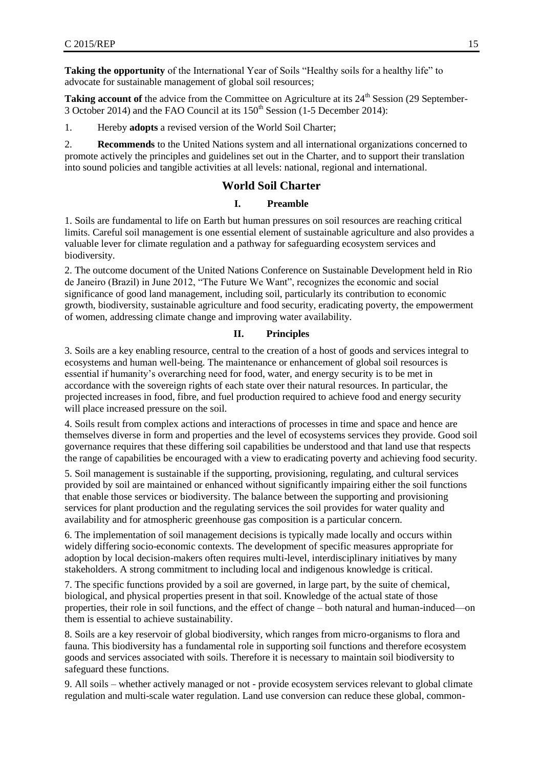**Taking the opportunity** of the International Year of Soils "Healthy soils for a healthy life" to advocate for sustainable management of global soil resources;

**Taking account of** the advice from the Committee on Agriculture at its 24<sup>th</sup> Session (29 September-3 October 2014) and the FAO Council at its  $150<sup>th</sup>$  Session (1-5 December 2014):

1. Hereby **adopts** a revised version of the World Soil Charter;

2. **Recommends** to the United Nations system and all international organizations concerned to promote actively the principles and guidelines set out in the Charter, and to support their translation into sound policies and tangible activities at all levels: national, regional and international.

#### **World Soil Charter**

#### **I. Preamble**

1. Soils are fundamental to life on Earth but human pressures on soil resources are reaching critical limits. Careful soil management is one essential element of sustainable agriculture and also provides a valuable lever for climate regulation and a pathway for safeguarding ecosystem services and biodiversity.

2. The outcome document of the United Nations Conference on Sustainable Development held in Rio de Janeiro (Brazil) in June 2012, "The Future We Want", recognizes the economic and social significance of good land management, including soil, particularly its contribution to economic growth, biodiversity, sustainable agriculture and food security, eradicating poverty, the empowerment of women, addressing climate change and improving water availability.

#### **II. Principles**

3. Soils are a key enabling resource, central to the creation of a host of goods and services integral to ecosystems and human well-being. The maintenance or enhancement of global soil resources is essential if humanity's overarching need for food, water, and energy security is to be met in accordance with the sovereign rights of each state over their natural resources. In particular, the projected increases in food, fibre, and fuel production required to achieve food and energy security will place increased pressure on the soil.

4. Soils result from complex actions and interactions of processes in time and space and hence are themselves diverse in form and properties and the level of ecosystems services they provide. Good soil governance requires that these differing soil capabilities be understood and that land use that respects the range of capabilities be encouraged with a view to eradicating poverty and achieving food security.

5. Soil management is sustainable if the supporting, provisioning, regulating, and cultural services provided by soil are maintained or enhanced without significantly impairing either the soil functions that enable those services or biodiversity. The balance between the supporting and provisioning services for plant production and the regulating services the soil provides for water quality and availability and for atmospheric greenhouse gas composition is a particular concern.

6. The implementation of soil management decisions is typically made locally and occurs within widely differing socio-economic contexts. The development of specific measures appropriate for adoption by local decision-makers often requires multi-level, interdisciplinary initiatives by many stakeholders. A strong commitment to including local and indigenous knowledge is critical.

7. The specific functions provided by a soil are governed, in large part, by the suite of chemical, biological, and physical properties present in that soil. Knowledge of the actual state of those properties, their role in soil functions, and the effect of change – both natural and human-induced—on them is essential to achieve sustainability.

8. Soils are a key reservoir of global biodiversity, which ranges from micro-organisms to flora and fauna. This biodiversity has a fundamental role in supporting soil functions and therefore ecosystem goods and services associated with soils. Therefore it is necessary to maintain soil biodiversity to safeguard these functions.

9. All soils – whether actively managed or not - provide ecosystem services relevant to global climate regulation and multi-scale water regulation. Land use conversion can reduce these global, common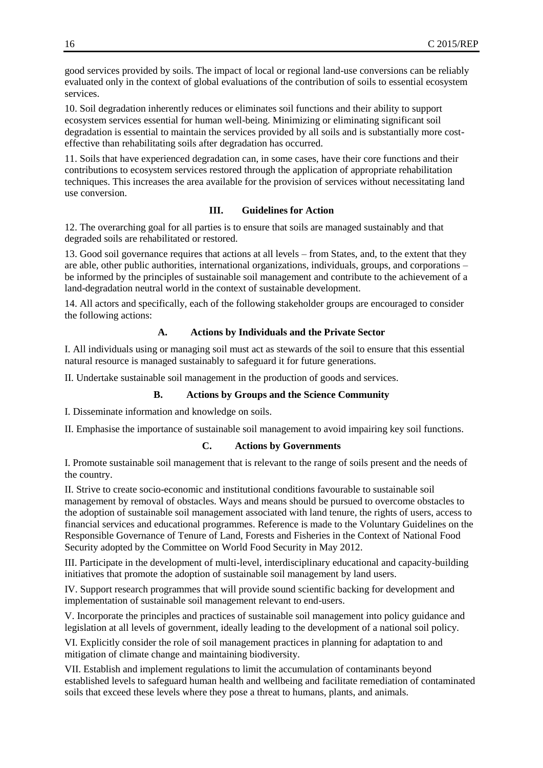good services provided by soils. The impact of local or regional land-use conversions can be reliably evaluated only in the context of global evaluations of the contribution of soils to essential ecosystem services.

10. Soil degradation inherently reduces or eliminates soil functions and their ability to support ecosystem services essential for human well-being. Minimizing or eliminating significant soil degradation is essential to maintain the services provided by all soils and is substantially more costeffective than rehabilitating soils after degradation has occurred.

11. Soils that have experienced degradation can, in some cases, have their core functions and their contributions to ecosystem services restored through the application of appropriate rehabilitation techniques. This increases the area available for the provision of services without necessitating land use conversion.

#### **III. Guidelines for Action**

12. The overarching goal for all parties is to ensure that soils are managed sustainably and that degraded soils are rehabilitated or restored.

13. Good soil governance requires that actions at all levels – from States, and, to the extent that they are able, other public authorities, international organizations, individuals, groups, and corporations – be informed by the principles of sustainable soil management and contribute to the achievement of a land-degradation neutral world in the context of sustainable development.

14. All actors and specifically, each of the following stakeholder groups are encouraged to consider the following actions:

#### **A. Actions by Individuals and the Private Sector**

I. All individuals using or managing soil must act as stewards of the soil to ensure that this essential natural resource is managed sustainably to safeguard it for future generations.

II. Undertake sustainable soil management in the production of goods and services.

#### **B. Actions by Groups and the Science Community**

I. Disseminate information and knowledge on soils.

II. Emphasise the importance of sustainable soil management to avoid impairing key soil functions.

## **C. Actions by Governments**

I. Promote sustainable soil management that is relevant to the range of soils present and the needs of the country.

II. Strive to create socio-economic and institutional conditions favourable to sustainable soil management by removal of obstacles. Ways and means should be pursued to overcome obstacles to the adoption of sustainable soil management associated with land tenure, the rights of users, access to financial services and educational programmes. Reference is made to the Voluntary Guidelines on the Responsible Governance of Tenure of Land, Forests and Fisheries in the Context of National Food Security adopted by the Committee on World Food Security in May 2012.

III. Participate in the development of multi-level, interdisciplinary educational and capacity-building initiatives that promote the adoption of sustainable soil management by land users.

IV. Support research programmes that will provide sound scientific backing for development and implementation of sustainable soil management relevant to end-users.

V. Incorporate the principles and practices of sustainable soil management into policy guidance and legislation at all levels of government, ideally leading to the development of a national soil policy.

VI. Explicitly consider the role of soil management practices in planning for adaptation to and mitigation of climate change and maintaining biodiversity.

VII. Establish and implement regulations to limit the accumulation of contaminants beyond established levels to safeguard human health and wellbeing and facilitate remediation of contaminated soils that exceed these levels where they pose a threat to humans, plants, and animals.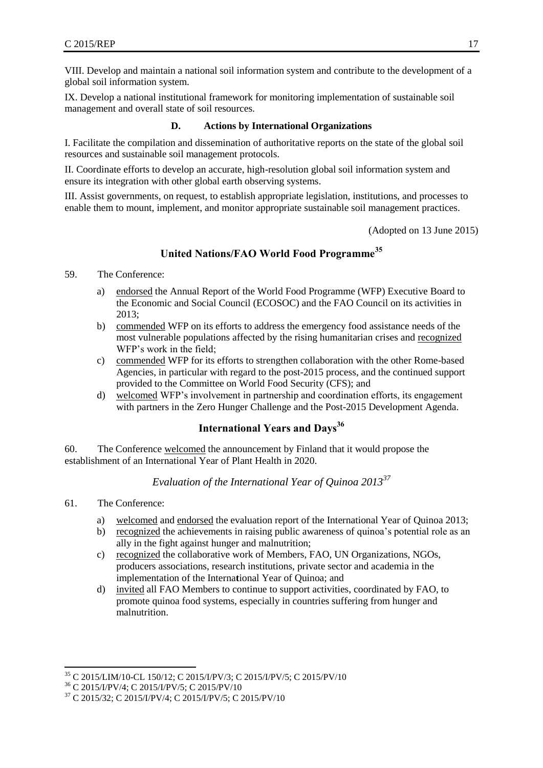VIII. Develop and maintain a national soil information system and contribute to the development of a global soil information system.

IX. Develop a national institutional framework for monitoring implementation of sustainable soil management and overall state of soil resources.

#### **D. Actions by International Organizations**

I. Facilitate the compilation and dissemination of authoritative reports on the state of the global soil resources and sustainable soil management protocols.

II. Coordinate efforts to develop an accurate, high-resolution global soil information system and ensure its integration with other global earth observing systems.

III. Assist governments, on request, to establish appropriate legislation, institutions, and processes to enable them to mount, implement, and monitor appropriate sustainable soil management practices.

(Adopted on 13 June 2015)

## **United Nations/FAO World Food Programme<sup>35</sup>**

- <span id="page-24-0"></span>59. The Conference:
	- a) endorsed the Annual Report of the World Food Programme (WFP) Executive Board to the Economic and Social Council (ECOSOC) and the FAO Council on its activities in 2013;
	- b) commended WFP on its efforts to address the emergency food assistance needs of the most vulnerable populations affected by the rising humanitarian crises and recognized WFP's work in the field;
	- c) commended WFP for its efforts to strengthen collaboration with the other Rome-based Agencies, in particular with regard to the post-2015 process, and the continued support provided to the Committee on World Food Security (CFS); and
	- d) welcomed WFP's involvement in partnership and coordination efforts, its engagement with partners in the Zero Hunger Challenge and the Post-2015 Development Agenda.

## **International Years and Days<sup>36</sup>**

<span id="page-24-1"></span>60. The Conference welcomed the announcement by Finland that it would propose the establishment of an International Year of Plant Health in 2020.

## *Evaluation of the International Year of Quinoa 2013<sup>37</sup>*

<span id="page-24-2"></span>61. The Conference:

l

- a) welcomed and endorsed the evaluation report of the International Year of Quinoa 2013;
- b) recognized the achievements in raising public awareness of quinoa's potential role as an ally in the fight against hunger and malnutrition;
- c) recognized the collaborative work of Members, FAO, UN Organizations, NGOs, producers associations, research institutions, private sector and academia in the implementation of the Interna**t**ional Year of Quinoa; and
- d) invited all FAO Members to continue to support activities, coordinated by FAO, to promote quinoa food systems, especially in countries suffering from hunger and malnutrition.

<sup>35</sup> C 2015/LIM/10-CL 150/12; C 2015/I/PV/3; C 2015/I/PV/5; C 2015/PV/10

<sup>36</sup> C 2015/I/PV/4; C 2015/I/PV/5; C 2015/PV/10

<sup>37</sup> C 2015/32; C 2015/I/PV/4; C 2015/I/PV/5; C 2015/PV/10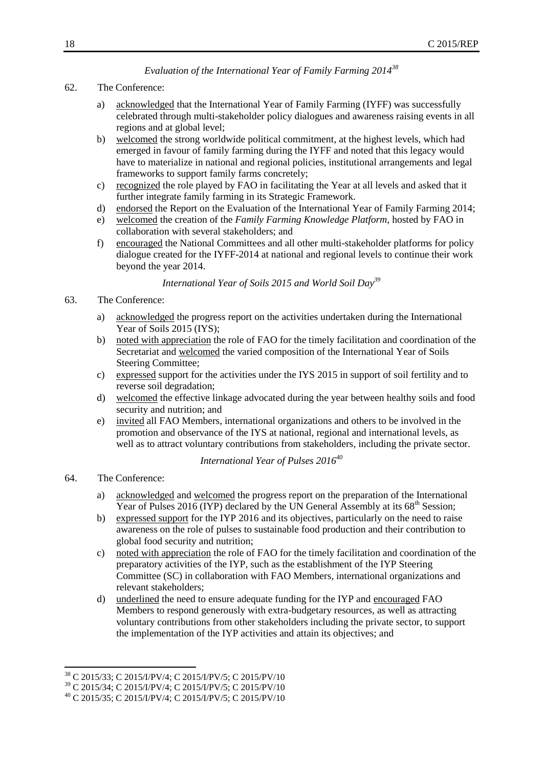## *Evaluation of the International Year of Family Farming 2014<sup>38</sup>*

#### <span id="page-25-0"></span>62. The Conference:

- a) acknowledged that the International Year of Family Farming (IYFF) was successfully celebrated through multi-stakeholder policy dialogues and awareness raising events in all regions and at global level;
- b) welcomed the strong worldwide political commitment, at the highest levels, which had emerged in favour of family farming during the IYFF and noted that this legacy would have to materialize in national and regional policies, institutional arrangements and legal frameworks to support family farms concretely;
- c) recognized the role played by FAO in facilitating the Year at all levels and asked that it further integrate family farming in its Strategic Framework.
- d) endorsed the Report on the Evaluation of the International Year of Family Farming 2014;
- e) welcomed the creation of the *Family Farming Knowledge Platform*, hosted by FAO in collaboration with several stakeholders; and
- f) encouraged the National Committees and all other multi-stakeholder platforms for policy dialogue created for the IYFF-2014 at national and regional levels to continue their work beyond the year 2014.

*International Year of Soils 2015 and World Soil Day<sup>39</sup>*

- <span id="page-25-1"></span>63. The Conference:
	- a) acknowledged the progress report on the activities undertaken during the International Year of Soils 2015 (IYS);
	- b) noted with appreciation the role of FAO for the timely facilitation and coordination of the Secretariat and welcomed the varied composition of the International Year of Soils Steering Committee;
	- c) expressed support for the activities under the IYS 2015 in support of soil fertility and to reverse soil degradation;
	- d) welcomed the effective linkage advocated during the year between healthy soils and food security and nutrition; and
	- e) invited all FAO Members, international organizations and others to be involved in the promotion and observance of the IYS at national, regional and international levels, as well as to attract voluntary contributions from stakeholders, including the private sector.

## *International Year of Pulses 2016<sup>40</sup>*

#### <span id="page-25-2"></span>64. The Conference:

- a) acknowledged and welcomed the progress report on the preparation of the International Year of Pulses 2016 (IYP) declared by the UN General Assembly at its  $68<sup>th</sup>$  Session;
- b) expressed support for the IYP 2016 and its objectives, particularly on the need to raise awareness on the role of pulses to sustainable food production and their contribution to global food security and nutrition;
- c) noted with appreciation the role of FAO for the timely facilitation and coordination of the preparatory activities of the IYP, such as the establishment of the IYP Steering Committee (SC) in collaboration with FAO Members, international organizations and relevant stakeholders;
- d) underlined the need to ensure adequate funding for the IYP and encouraged FAO Members to respond generously with extra-budgetary resources, as well as attracting voluntary contributions from other stakeholders including the private sector, to support the implementation of the IYP activities and attain its objectives; and

l <sup>38</sup> C 2015/33; C 2015/I/PV/4; C 2015/I/PV/5; C 2015/PV/10

<sup>39</sup> C 2015/34; C 2015/I/PV/4; C 2015/I/PV/5; C 2015/PV/10

<sup>40</sup> C 2015/35; C 2015/I/PV/4; C 2015/I/PV/5; C 2015/PV/10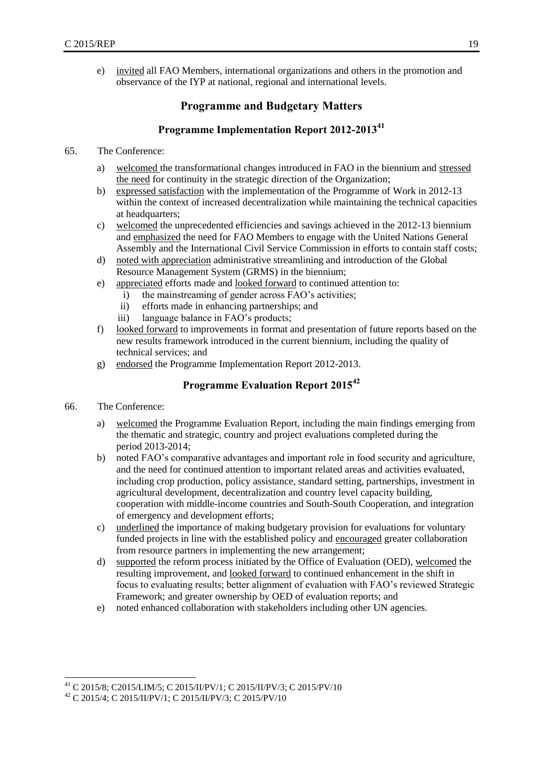<span id="page-26-0"></span>e) invited all FAO Members, international organizations and others in the promotion and observance of the IYP at national, regional and international levels.

## **Programme and Budgetary Matters**

## **Programme Implementation Report 2012-2013<sup>41</sup>**

- <span id="page-26-1"></span>65. The Conference:
	- a) welcomed the transformational changes introduced in FAO in the biennium and stressed the need for continuity in the strategic direction of the Organization;
	- b) expressed satisfaction with the implementation of the Programme of Work in 2012-13 within the context of increased decentralization while maintaining the technical capacities at headquarters;
	- c) welcomed the unprecedented efficiencies and savings achieved in the 2012-13 biennium and emphasized the need for FAO Members to engage with the United Nations General Assembly and the International Civil Service Commission in efforts to contain staff costs;
	- d) noted with appreciation administrative streamlining and introduction of the Global Resource Management System (GRMS) in the biennium;
	- e) appreciated efforts made and looked forward to continued attention to:
		- i) the mainstreaming of gender across FAO's activities;
		- ii) efforts made in enhancing partnerships; and
		- iii) language balance in FAO's products;
	- f) looked forward to improvements in format and presentation of future reports based on the new results framework introduced in the current biennium, including the quality of technical services; and
	- g) endorsed the Programme Implementation Report 2012-2013.

## **Programme Evaluation Report 2015<sup>42</sup>**

- <span id="page-26-2"></span>66. The Conference:
	- a) welcomed the Programme Evaluation Report, including the main findings emerging from the thematic and strategic, country and project evaluations completed during the period 2013-2014;
	- b) noted FAO's comparative advantages and important role in food security and agriculture, and the need for continued attention to important related areas and activities evaluated, including crop production, policy assistance, standard setting, partnerships, investment in agricultural development, decentralization and country level capacity building, cooperation with middle-income countries and South-South Cooperation, and integration of emergency and development efforts;
	- c) underlined the importance of making budgetary provision for evaluations for voluntary funded projects in line with the established policy and encouraged greater collaboration from resource partners in implementing the new arrangement;
	- d) supported the reform process initiated by the Office of Evaluation (OED), welcomed the resulting improvement, and looked forward to continued enhancement in the shift in focus to evaluating results; better alignment of evaluation with FAO's reviewed Strategic Framework; and greater ownership by OED of evaluation reports; and
	- e) noted enhanced collaboration with stakeholders including other UN agencies.

<span id="page-26-3"></span>l <sup>41</sup> C 2015/8; C2015/LIM/5; C 2015/II/PV/1; C 2015/II/PV/3; C 2015/PV/10

<sup>42</sup> C 2015/4; C 2015/II/PV/1; C 2015/II/PV/3; C 2015/PV/10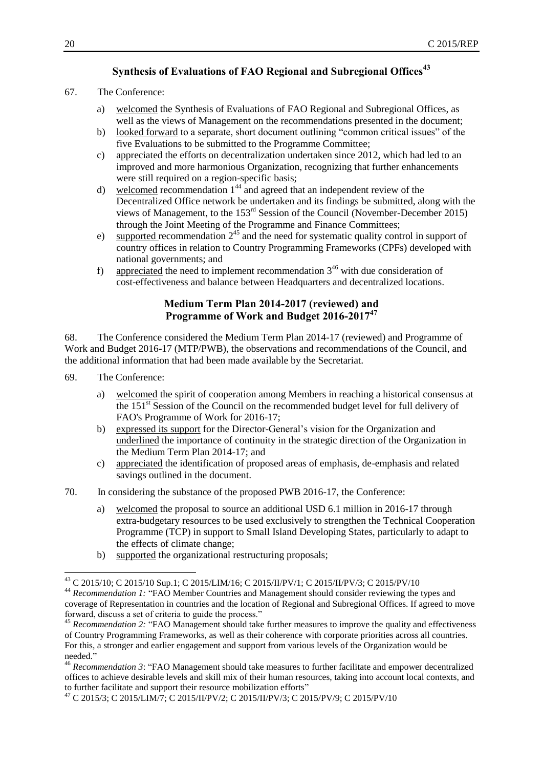## **Synthesis of Evaluations of FAO Regional and Subregional Offices<sup>43</sup>**

- 67. The Conference:
	- a) welcomed the Synthesis of Evaluations of FAO Regional and Subregional Offices, as well as the views of Management on the recommendations presented in the document;
	- b) looked forward to a separate, short document outlining "common critical issues" of the five Evaluations to be submitted to the Programme Committee;
	- c) appreciated the efforts on decentralization undertaken since 2012, which had led to an improved and more harmonious Organization, recognizing that further enhancements were still required on a region-specific basis;
	- d) welcomed recommendation  $1<sup>44</sup>$  and agreed that an independent review of the Decentralized Office network be undertaken and its findings be submitted, along with the views of Management, to the 153rd Session of the Council (November-December 2015) through the Joint Meeting of the Programme and Finance Committees;
	- e) supported recommendation  $2^{45}$  and the need for systematic quality control in support of country offices in relation to Country Programming Frameworks (CPFs) developed with national governments; and
	- f) appreciated the need to implement recommendation  $3^{46}$  with due consideration of cost-effectiveness and balance between Headquarters and decentralized locations.

## **Medium Term Plan 2014-2017 (reviewed) and Programme of Work and Budget 2016-2017<sup>47</sup>**

<span id="page-27-0"></span>68. The Conference considered the Medium Term Plan 2014-17 (reviewed) and Programme of Work and Budget 2016-17 (MTP/PWB), the observations and recommendations of the Council, and the additional information that had been made available by the Secretariat.

69. The Conference:

- a) welcomed the spirit of cooperation among Members in reaching a historical consensus at the 151<sup>st</sup> Session of the Council on the recommended budget level for full delivery of FAO's Programme of Work for 2016-17;
- b) expressed its support for the Director-General's vision for the Organization and underlined the importance of continuity in the strategic direction of the Organization in the Medium Term Plan 2014-17; and
- c) appreciated the identification of proposed areas of emphasis, de-emphasis and related savings outlined in the document.
- 70. In considering the substance of the proposed PWB 2016-17, the Conference:
	- a) welcomed the proposal to source an additional USD 6.1 million in 2016-17 through extra-budgetary resources to be used exclusively to strengthen the Technical Cooperation Programme (TCP) in support to Small Island Developing States, particularly to adapt to the effects of climate change;
	- b) supported the organizational restructuring proposals;

<sup>43</sup> C 2015/10; C 2015/10 Sup.1; C 2015/LIM/16; C 2015/II/PV/1; C 2015/II/PV/3; C 2015/PV/10

<sup>&</sup>lt;sup>44</sup> Recommendation 1: "FAO Member Countries and Management should consider reviewing the types and coverage of Representation in countries and the location of Regional and Subregional Offices. If agreed to move forward, discuss a set of criteria to guide the process."

<sup>&</sup>lt;sup>45</sup> *Recommendation 2:* "FAO Management should take further measures to improve the quality and effectiveness of Country Programming Frameworks, as well as their coherence with corporate priorities across all countries. For this, a stronger and earlier engagement and support from various levels of the Organization would be needed."

<sup>46</sup> *Recommendation 3*: "FAO Management should take measures to further facilitate and empower decentralized offices to achieve desirable levels and skill mix of their human resources, taking into account local contexts, and to further facilitate and support their resource mobilization efforts"

<sup>47</sup> C 2015/3; C 2015/LIM/7; C 2015/II/PV/2; C 2015/II/PV/3; C 2015/PV/9; C 2015/PV/10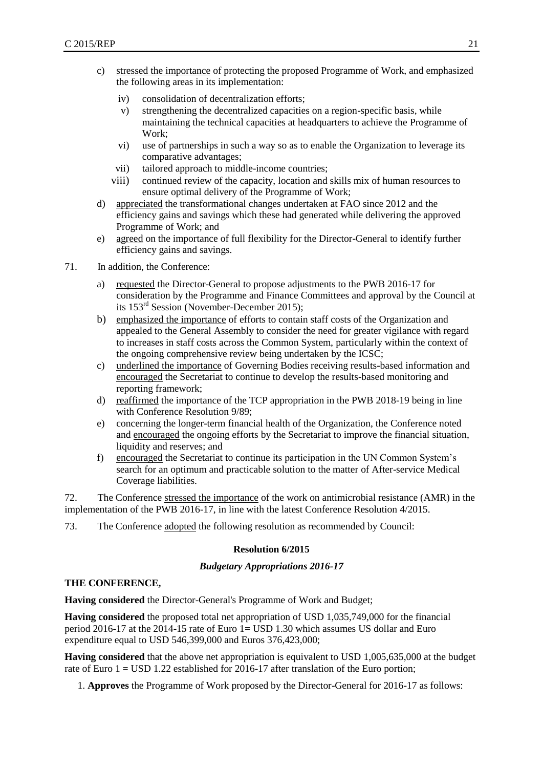- c) stressed the importance of protecting the proposed Programme of Work, and emphasized the following areas in its implementation:
	- iv) consolidation of decentralization efforts;
	- v) strengthening the decentralized capacities on a region-specific basis, while maintaining the technical capacities at headquarters to achieve the Programme of Work;
	- vi) use of partnerships in such a way so as to enable the Organization to leverage its comparative advantages;
	- vii) tailored approach to middle-income countries;
	- viii) continued review of the capacity, location and skills mix of human resources to ensure optimal delivery of the Programme of Work;
- d) appreciated the transformational changes undertaken at FAO since 2012 and the efficiency gains and savings which these had generated while delivering the approved Programme of Work; and
- e) agreed on the importance of full flexibility for the Director-General to identify further efficiency gains and savings.
- 71. In addition, the Conference:
	- a) requested the Director-General to propose adjustments to the PWB 2016-17 for consideration by the Programme and Finance Committees and approval by the Council at its 153rd Session (November-December 2015);
	- b) emphasized the importance of efforts to contain staff costs of the Organization and appealed to the General Assembly to consider the need for greater vigilance with regard to increases in staff costs across the Common System, particularly within the context of the ongoing comprehensive review being undertaken by the ICSC;
	- c) underlined the importance of Governing Bodies receiving results-based information and encouraged the Secretariat to continue to develop the results-based monitoring and reporting framework;
	- d) reaffirmed the importance of the TCP appropriation in the PWB 2018-19 being in line with Conference Resolution 9/89;
	- e) concerning the longer-term financial health of the Organization, the Conference noted and encouraged the ongoing efforts by the Secretariat to improve the financial situation, liquidity and reserves; and
	- f) encouraged the Secretariat to continue its participation in the UN Common System's search for an optimum and practicable solution to the matter of After-service Medical Coverage liabilities.

72. The Conference stressed the importance of the work on antimicrobial resistance (AMR) in the implementation of the PWB 2016-17, in line with the latest Conference Resolution 4/2015.

73. The Conference adopted the following resolution as recommended by Council:

#### **Resolution 6/2015**

#### *Budgetary Appropriations 2016-17*

#### **THE CONFERENCE,**

**Having considered** the Director-General's Programme of Work and Budget;

**Having considered** the proposed total net appropriation of USD 1,035,749,000 for the financial period 2016-17 at the 2014-15 rate of Euro 1= USD 1.30 which assumes US dollar and Euro expenditure equal to USD 546,399,000 and Euros 376,423,000;

**Having considered** that the above net appropriation is equivalent to USD 1,005,635,000 at the budget rate of Euro  $1 =$  USD 1.22 established for 2016-17 after translation of the Euro portion;

1. **Approves** the Programme of Work proposed by the Director-General for 2016-17 as follows: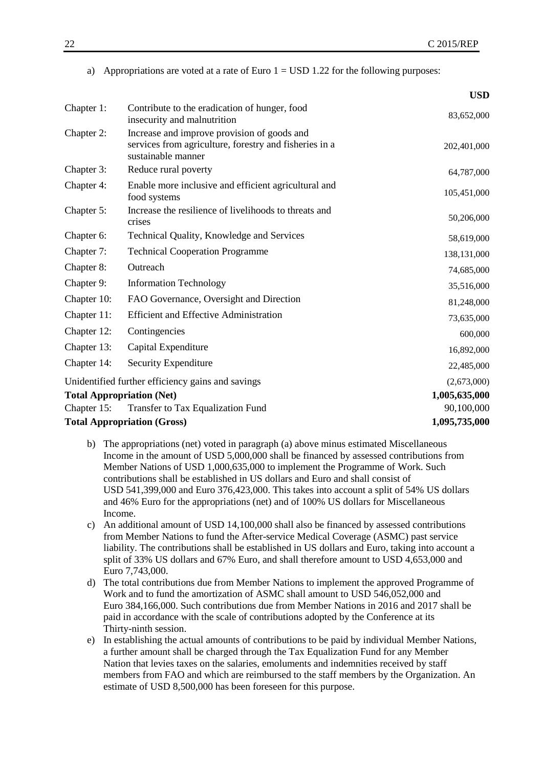|  |  | a) Appropriations are voted at a rate of Euro $1 =$ USD 1.22 for the following purposes: |  |  |  |
|--|--|------------------------------------------------------------------------------------------|--|--|--|
|--|--|------------------------------------------------------------------------------------------|--|--|--|

|             |                                                                                                                             | USD           |
|-------------|-----------------------------------------------------------------------------------------------------------------------------|---------------|
| Chapter 1:  | Contribute to the eradication of hunger, food<br>insecurity and malnutrition                                                | 83,652,000    |
| Chapter 2:  | Increase and improve provision of goods and<br>services from agriculture, forestry and fisheries in a<br>sustainable manner | 202,401,000   |
| Chapter 3:  | Reduce rural poverty                                                                                                        | 64,787,000    |
| Chapter 4:  | Enable more inclusive and efficient agricultural and<br>food systems                                                        | 105,451,000   |
| Chapter 5:  | Increase the resilience of livelihoods to threats and<br>crises                                                             | 50,206,000    |
| Chapter 6:  | Technical Quality, Knowledge and Services                                                                                   | 58,619,000    |
| Chapter 7:  | <b>Technical Cooperation Programme</b>                                                                                      | 138,131,000   |
| Chapter 8:  | Outreach                                                                                                                    | 74,685,000    |
| Chapter 9:  | <b>Information Technology</b>                                                                                               | 35,516,000    |
| Chapter 10: | FAO Governance, Oversight and Direction                                                                                     | 81,248,000    |
| Chapter 11: | <b>Efficient and Effective Administration</b>                                                                               | 73,635,000    |
| Chapter 12: | Contingencies                                                                                                               | 600,000       |
| Chapter 13: | Capital Expenditure                                                                                                         | 16,892,000    |
| Chapter 14: | Security Expenditure                                                                                                        | 22,485,000    |
|             | Unidentified further efficiency gains and savings                                                                           | (2,673,000)   |
|             | <b>Total Appropriation (Net)</b>                                                                                            | 1,005,635,000 |
| Chapter 15: | Transfer to Tax Equalization Fund                                                                                           | 90,100,000    |
|             | <b>Total Appropriation (Gross)</b>                                                                                          | 1,095,735,000 |

- b) The appropriations (net) voted in paragraph (a) above minus estimated Miscellaneous Income in the amount of USD 5,000,000 shall be financed by assessed contributions from Member Nations of USD 1,000,635,000 to implement the Programme of Work. Such contributions shall be established in US dollars and Euro and shall consist of USD 541,399,000 and Euro 376,423,000. This takes into account a split of 54% US dollars and 46% Euro for the appropriations (net) and of 100% US dollars for Miscellaneous Income.
- c) An additional amount of USD 14,100,000 shall also be financed by assessed contributions from Member Nations to fund the After-service Medical Coverage (ASMC) past service liability. The contributions shall be established in US dollars and Euro, taking into account a split of 33% US dollars and 67% Euro, and shall therefore amount to USD 4,653,000 and Euro 7,743,000.
- d) The total contributions due from Member Nations to implement the approved Programme of Work and to fund the amortization of ASMC shall amount to USD 546,052,000 and Euro 384,166,000. Such contributions due from Member Nations in 2016 and 2017 shall be paid in accordance with the scale of contributions adopted by the Conference at its Thirty-ninth session.
- e) In establishing the actual amounts of contributions to be paid by individual Member Nations, a further amount shall be charged through the Tax Equalization Fund for any Member Nation that levies taxes on the salaries, emoluments and indemnities received by staff members from FAO and which are reimbursed to the staff members by the Organization. An estimate of USD 8,500,000 has been foreseen for this purpose.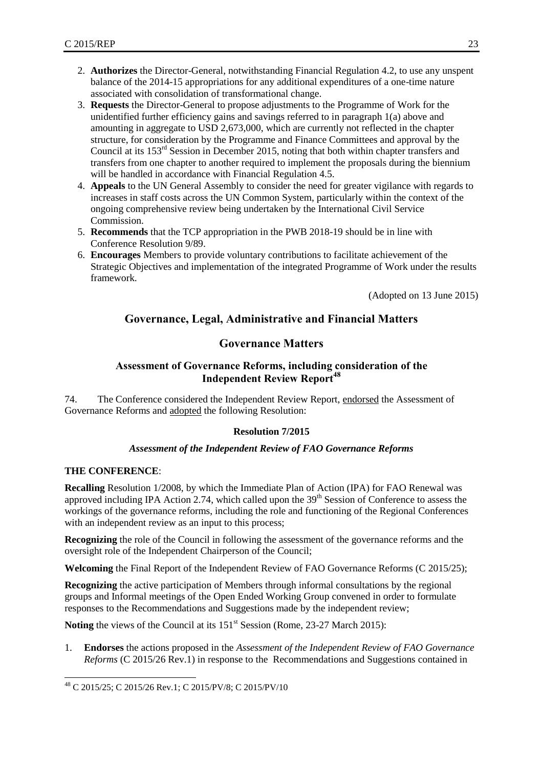- 2. **Authorizes** the Director-General, notwithstanding Financial Regulation 4.2, to use any unspent balance of the 2014-15 appropriations for any additional expenditures of a one-time nature associated with consolidation of transformational change.
- 3. **Requests** the Director-General to propose adjustments to the Programme of Work for the unidentified further efficiency gains and savings referred to in paragraph 1(a) above and amounting in aggregate to USD 2,673,000, which are currently not reflected in the chapter structure, for consideration by the Programme and Finance Committees and approval by the Council at its 153rd Session in December 2015, noting that both within chapter transfers and transfers from one chapter to another required to implement the proposals during the biennium will be handled in accordance with Financial Regulation 4.5.
- 4. **Appeals** to the UN General Assembly to consider the need for greater vigilance with regards to increases in staff costs across the UN Common System, particularly within the context of the ongoing comprehensive review being undertaken by the International Civil Service Commission.
- 5. **Recommends** that the TCP appropriation in the PWB 2018-19 should be in line with Conference Resolution 9/89.
- 6. **Encourages** Members to provide voluntary contributions to facilitate achievement of the Strategic Objectives and implementation of the integrated Programme of Work under the results framework.

(Adopted on 13 June 2015)

## <span id="page-30-0"></span>**Governance, Legal, Administrative and Financial Matters**

## **Governance Matters**

## **Assessment of Governance Reforms, including consideration of the Independent Review Report<sup>48</sup>**

<span id="page-30-2"></span><span id="page-30-1"></span>74. The Conference considered the Independent Review Report, endorsed the Assessment of Governance Reforms and adopted the following Resolution:

## **Resolution 7/2015**

## *Assessment of the Independent Review of FAO Governance Reforms*

#### **THE CONFERENCE**:

**Recalling** Resolution 1/2008, by which the Immediate Plan of Action (IPA) for FAO Renewal was approved including IPA Action 2.74, which called upon the 39<sup>th</sup> Session of Conference to assess the workings of the governance reforms, including the role and functioning of the Regional Conferences with an independent review as an input to this process;

**Recognizing** the role of the Council in following the assessment of the governance reforms and the oversight role of the Independent Chairperson of the Council;

**Welcoming** the Final Report of the Independent Review of FAO Governance Reforms (C 2015/25);

**Recognizing** the active participation of Members through informal consultations by the regional groups and Informal meetings of the Open Ended Working Group convened in order to formulate responses to the Recommendations and Suggestions made by the independent review;

**Noting** the views of the Council at its 151<sup>st</sup> Session (Rome, 23-27 March 2015):

1. **Endorses** the actions proposed in the *Assessment of the Independent Review of FAO Governance Reforms* (C 2015/26 Rev.1) in response to the Recommendations and Suggestions contained in

l <sup>48</sup> C 2015/25; C 2015/26 Rev.1; C 2015/PV/8; C 2015/PV/10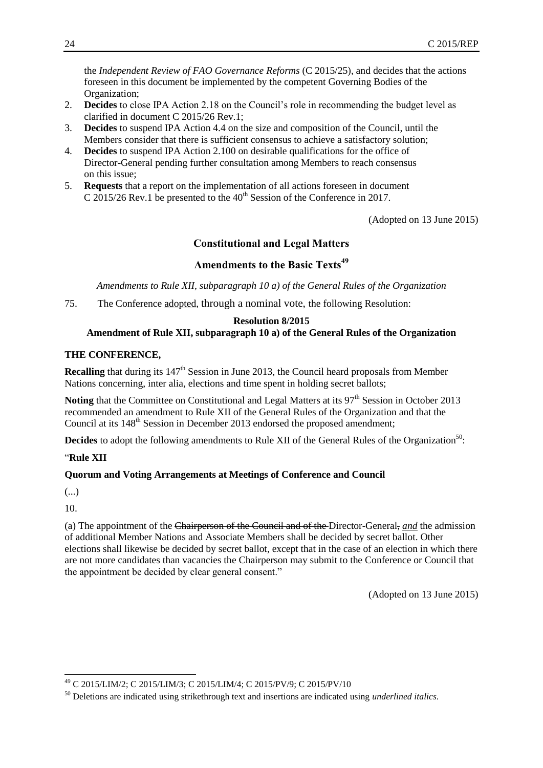the *Independent Review of FAO Governance Reforms* (C 2015/25), and decides that the actions foreseen in this document be implemented by the competent Governing Bodies of the Organization;

- 2. **Decides** to close IPA Action 2.18 on the Council's role in recommending the budget level as clarified in document C 2015/26 Rev.1;
- 3. **Decides** to suspend IPA Action 4.4 on the size and composition of the Council, until the Members consider that there is sufficient consensus to achieve a satisfactory solution;
- 4. **Decides** to suspend IPA Action 2.100 on desirable qualifications for the office of Director-General pending further consultation among Members to reach consensus on this issue;
- 5. **Requests** that a report on the implementation of all actions foreseen in document C 2015/26 Rev.1 be presented to the  $40<sup>th</sup>$  Session of the Conference in 2017.

(Adopted on 13 June 2015)

## **Constitutional and Legal Matters**

## **Amendments to the Basic Texts<sup>49</sup>**

<span id="page-31-0"></span>*Amendments to Rule XII, subparagraph 10 a) of the General Rules of the Organization*

<span id="page-31-2"></span><span id="page-31-1"></span>75. The Conference adopted, through a nominal vote, the following Resolution:

## **Resolution 8/2015**

#### **Amendment of Rule XII, subparagraph 10 a) of the General Rules of the Organization**

#### **THE CONFERENCE,**

**Recalling** that during its 147<sup>th</sup> Session in June 2013, the Council heard proposals from Member Nations concerning, inter alia, elections and time spent in holding secret ballots;

Noting that the Committee on Constitutional and Legal Matters at its 97<sup>th</sup> Session in October 2013 recommended an amendment to Rule XII of the General Rules of the Organization and that the Council at its 148<sup>th</sup> Session in December 2013 endorsed the proposed amendment;

**Decides** to adopt the following amendments to Rule XII of the General Rules of the Organization<sup>50</sup>:

#### "**Rule XII**

#### **Quorum and Voting Arrangements at Meetings of Conference and Council**

(...)

10.

<span id="page-31-3"></span> $\overline{a}$ 

(a) The appointment of the Chairperson of the Council and of the Director-General, *and* the admission of additional Member Nations and Associate Members shall be decided by secret ballot. Other elections shall likewise be decided by secret ballot, except that in the case of an election in which there are not more candidates than vacancies the Chairperson may submit to the Conference or Council that the appointment be decided by clear general consent."

(Adopted on 13 June 2015)

<sup>49</sup> C 2015/LIM/2; C 2015/LIM/3; C 2015/LIM/4; C 2015/PV/9; C 2015/PV/10

<sup>50</sup> Deletions are indicated using strikethrough text and insertions are indicated using *underlined italics*.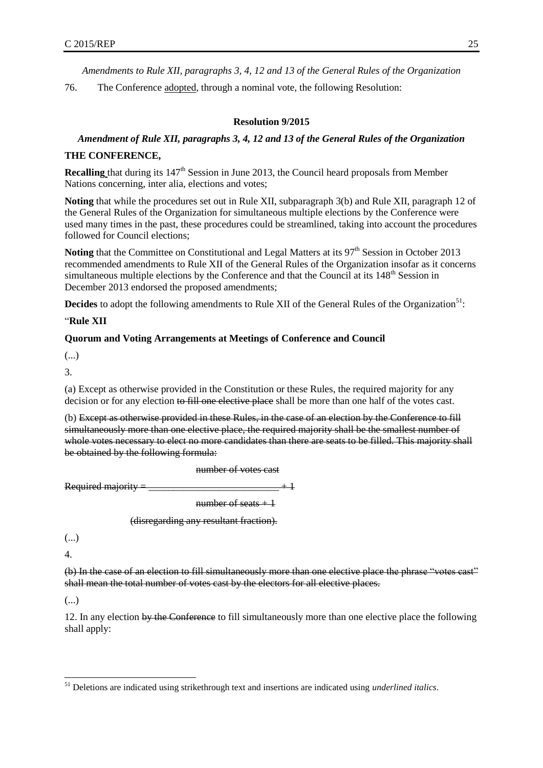*Amendments to Rule XII, paragraphs 3, 4, 12 and 13 of the General Rules of the Organization*

76. The Conference adopted, through a nominal vote, the following Resolution:

#### **Resolution 9/2015**

## *Amendment of Rule XII, paragraphs 3, 4, 12 and 13 of the General Rules of the Organization*

#### **THE CONFERENCE,**

**Recalling** that during its 147<sup>th</sup> Session in June 2013, the Council heard proposals from Member Nations concerning, inter alia, elections and votes;

**Noting** that while the procedures set out in Rule XII, subparagraph 3(b) and Rule XII, paragraph 12 of the General Rules of the Organization for simultaneous multiple elections by the Conference were used many times in the past, these procedures could be streamlined, taking into account the procedures followed for Council elections;

Noting that the Committee on Constitutional and Legal Matters at its 97<sup>th</sup> Session in October 2013 recommended amendments to Rule XII of the General Rules of the Organization insofar as it concerns simultaneous multiple elections by the Conference and that the Council at its  $148<sup>th</sup>$  Session in December 2013 endorsed the proposed amendments;

**Decides** to adopt the following amendments to Rule XII of the General Rules of the Organization<sup>51</sup>:

#### "**Rule XII**

#### **Quorum and Voting Arrangements at Meetings of Conference and Council**

(...)

3.

(a) Except as otherwise provided in the Constitution or these Rules, the required majority for any decision or for any election to fill one elective place shall be more than one half of the votes cast.

(b) Except as otherwise provided in these Rules, in the case of an election by the Conference to fill simultaneously more than one elective place, the required majority shall be the smallest number of whole votes necessary to elect no more candidates than there are seats to be filled. This majority shall be obtained by the following formula:

number of votes cast

Required majority

number of seats  $+1$ 

(disregarding any resultant fraction).

(...)

4.

(b) In the case of an election to fill simultaneously more than one elective place the phrase "votes cast" shall mean the total number of votes cast by the electors for all elective places.

(...)

l

12. In any election by the Conference to fill simultaneously more than one elective place the following shall apply:

<sup>51</sup> Deletions are indicated using strikethrough text and insertions are indicated using *underlined italics*.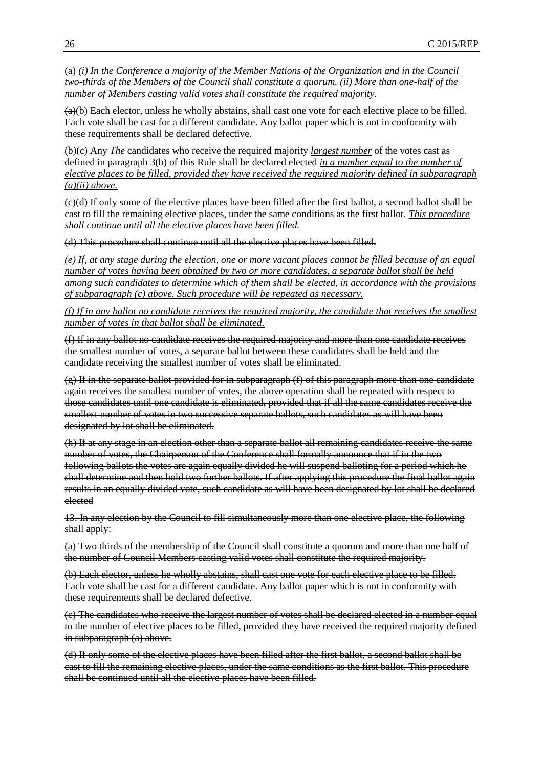(a) *(i) In the Conference a majority of the Member Nations of the Organization and in the Council two-thirds of the Members of the Council shall constitute a quorum. (ii) More than one-half of the number of Members casting valid votes shall constitute the required majority.*

 $(a)(b)$  Each elector, unless he wholly abstains, shall cast one vote for each elective place to be filled. Each vote shall be cast for a different candidate. Any ballot paper which is not in conformity with these requirements shall be declared defective.

(b)(c) Any *The* candidates who receive the required majority *largest number* of the votes cast as defined in paragraph 3(b) of this Rule shall be declared elected *in a number equal to the number of elective places to be filled, provided they have received the required majority defined in subparagraph (a)(ii) above.*

 $\left(\frac{c}{c}\right)$  If only some of the elective places have been filled after the first ballot, a second ballot shall be cast to fill the remaining elective places, under the same conditions as the first ballot. *This procedure shall continue until all the elective places have been filled.*

(d) This procedure shall continue until all the elective places have been filled.

*(e) If, at any stage during the election, one or more vacant places cannot be filled because of an equal number of votes having been obtained by two or more candidates, a separate ballot shall be held among such candidates to determine which of them shall be elected, in accordance with the provisions of subparagraph (c) above. Such procedure will be repeated as necessary.*

*(f) If in any ballot no candidate receives the required majority, the candidate that receives the smallest number of votes in that ballot shall be eliminated.*

(f) If in any ballot no candidate receives the required majority and more than one candidate receives the smallest number of votes, a separate ballot between these candidates shall be held and the candidate receiving the smallest number of votes shall be eliminated.

(g) If in the separate ballot provided for in subparagraph (f) of this paragraph more than one candidate again receives the smallest number of votes, the above operation shall be repeated with respect to those candidates until one candidate is eliminated, provided that if all the same candidates receive the smallest number of votes in two successive separate ballots, such candidates as will have been designated by lot shall be eliminated.

(h) If at any stage in an election other than a separate ballot all remaining candidates receive the same number of votes, the Chairperson of the Conference shall formally announce that if in the two following ballots the votes are again equally divided he will suspend balloting for a period which he shall determine and then hold two further ballots. If after applying this procedure the final ballot again results in an equally divided vote, such candidate as will have been designated by lot shall be declared elected

13. In any election by the Council to fill simultaneously more than one elective place, the following shall apply:

(a) Two thirds of the membership of the Council shall constitute a quorum and more than one half of the number of Council Members casting valid votes shall constitute the required majority.

(b) Each elector, unless he wholly abstains, shall cast one vote for each elective place to be filled. Each vote shall be cast for a different candidate. Any ballot paper which is not in conformity with these requirements shall be declared defective.

(c) The candidates who receive the largest number of votes shall be declared elected in a number equal to the number of elective places to be filled, provided they have received the required majority defined in subparagraph (a) above.

(d) If only some of the elective places have been filled after the first ballot, a second ballot shall be cast to fill the remaining elective places, under the same conditions as the first ballot. This procedure shall be continued until all the elective places have been filled.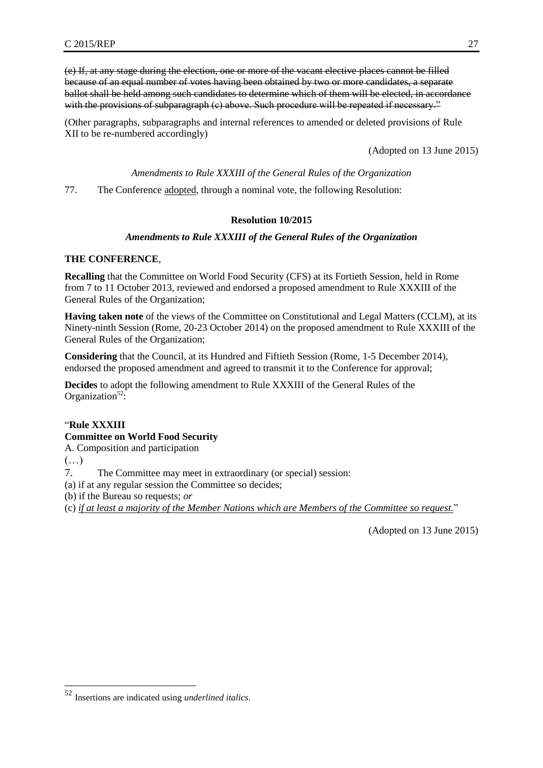(e) If, at any stage during the election, one or more of the vacant elective places cannot be filled because of an equal number of votes having been obtained by two or more candidates, a separate ballot shall be held among such candidates to determine which of them will be elected, in accordance with the provisions of subparagraph (c) above. Such procedure will be repeated if necessary."

(Other paragraphs, subparagraphs and internal references to amended or deleted provisions of Rule XII to be re-numbered accordingly)

(Adopted on 13 June 2015)

#### *Amendments to Rule XXXIII of the General Rules of the Organization*

<span id="page-34-0"></span>77. The Conference adopted, through a nominal vote, the following Resolution:

#### **Resolution 10/2015**

#### *Amendments to Rule XXXIII of the General Rules of the Organization*

#### **THE CONFERENCE**,

**Recalling** that the Committee on World Food Security (CFS) at its Fortieth Session, held in Rome from 7 to 11 October 2013, reviewed and endorsed a proposed amendment to Rule XXXIII of the General Rules of the Organization;

**Having taken note** of the views of the Committee on Constitutional and Legal Matters (CCLM), at its Ninety-ninth Session (Rome, 20-23 October 2014) on the proposed amendment to Rule XXXIII of the General Rules of the Organization;

**Considering** that the Council, at its Hundred and Fiftieth Session (Rome, 1-5 December 2014), endorsed the proposed amendment and agreed to transmit it to the Conference for approval;

**Decides** to adopt the following amendment to Rule XXXIII of the General Rules of the Organization $52$ :

## "**Rule XXXIII**

## **Committee on World Food Security**

A. Composition and participation

 $(\ldots)$ 

l

7. The Committee may meet in extraordinary (or special) session:

(a) if at any regular session the Committee so decides;

(b) if the Bureau so requests; *or*

(c) *if at least a majority of the Member Nations which are Members of the Committee so request.*"

<span id="page-34-1"></span>(Adopted on 13 June 2015)

<sup>52</sup> Insertions are indicated using *underlined italics*.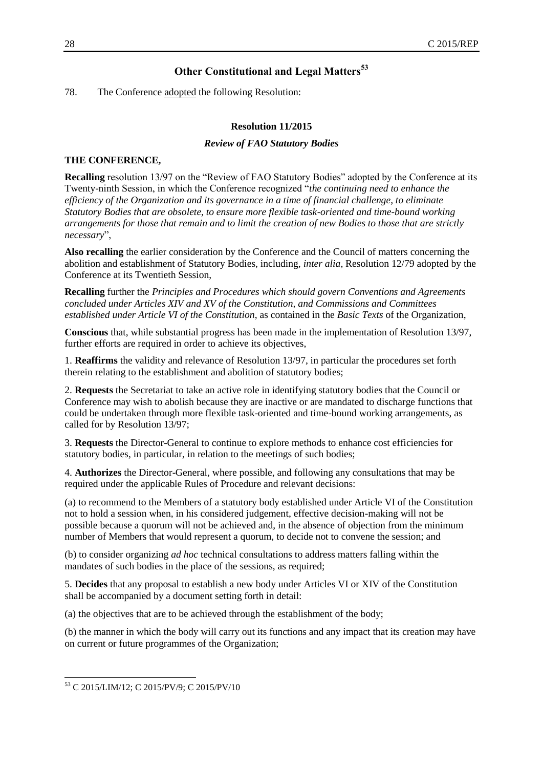## **Other Constitutional and Legal Matters<sup>53</sup>**

#### 78. The Conference adopted the following Resolution:

#### **Resolution 11/2015**

#### *Review of FAO Statutory Bodies*

#### <span id="page-35-0"></span>**THE CONFERENCE,**

**Recalling** resolution 13/97 on the "Review of FAO Statutory Bodies" adopted by the Conference at its Twenty-ninth Session, in which the Conference recognized "*the continuing need to enhance the efficiency of the Organization and its governance in a time of financial challenge, to eliminate Statutory Bodies that are obsolete, to ensure more flexible task-oriented and time-bound working arrangements for those that remain and to limit the creation of new Bodies to those that are strictly necessary*",

**Also recalling** the earlier consideration by the Conference and the Council of matters concerning the abolition and establishment of Statutory Bodies, including, *inter alia*, Resolution 12/79 adopted by the Conference at its Twentieth Session,

**Recalling** further the *Principles and Procedures which should govern Conventions and Agreements concluded under Articles XIV and XV of the Constitution, and Commissions and Committees established under Article VI of the Constitution*, as contained in the *Basic Texts* of the Organization,

**Conscious** that, while substantial progress has been made in the implementation of Resolution 13/97, further efforts are required in order to achieve its objectives,

1. **Reaffirms** the validity and relevance of Resolution 13/97, in particular the procedures set forth therein relating to the establishment and abolition of statutory bodies;

2. **Requests** the Secretariat to take an active role in identifying statutory bodies that the Council or Conference may wish to abolish because they are inactive or are mandated to discharge functions that could be undertaken through more flexible task-oriented and time-bound working arrangements, as called for by Resolution 13/97;

3. **Requests** the Director-General to continue to explore methods to enhance cost efficiencies for statutory bodies, in particular, in relation to the meetings of such bodies;

4. **Authorizes** the Director-General, where possible, and following any consultations that may be required under the applicable Rules of Procedure and relevant decisions:

(a) to recommend to the Members of a statutory body established under Article VI of the Constitution not to hold a session when, in his considered judgement, effective decision-making will not be possible because a quorum will not be achieved and, in the absence of objection from the minimum number of Members that would represent a quorum, to decide not to convene the session; and

(b) to consider organizing *ad hoc* technical consultations to address matters falling within the mandates of such bodies in the place of the sessions, as required;

5. **Decides** that any proposal to establish a new body under Articles VI or XIV of the Constitution shall be accompanied by a document setting forth in detail:

(a) the objectives that are to be achieved through the establishment of the body;

(b) the manner in which the body will carry out its functions and any impact that its creation may have on current or future programmes of the Organization;

l

<sup>53</sup> C 2015/LIM/12; C 2015/PV/9; C 2015/PV/10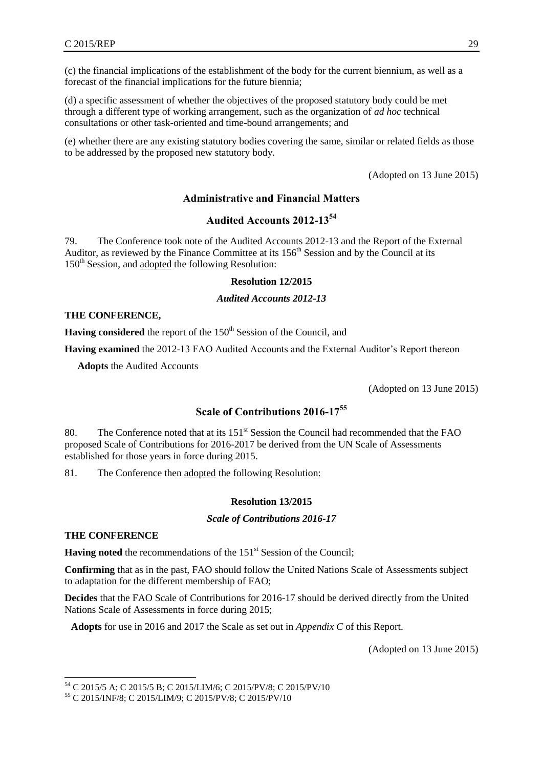(c) the financial implications of the establishment of the body for the current biennium, as well as a forecast of the financial implications for the future biennia;

(d) a specific assessment of whether the objectives of the proposed statutory body could be met through a different type of working arrangement, such as the organization of *ad hoc* technical consultations or other task-oriented and time-bound arrangements; and

(e) whether there are any existing statutory bodies covering the same, similar or related fields as those to be addressed by the proposed new statutory body.

(Adopted on 13 June 2015)

#### **Administrative and Financial Matters**

## **Audited Accounts 2012-13<sup>54</sup>**

<span id="page-36-1"></span><span id="page-36-0"></span>79. The Conference took note of the Audited Accounts 2012-13 and the Report of the External Auditor, as reviewed by the Finance Committee at its  $156<sup>th</sup>$  Session and by the Council at its 150<sup>th</sup> Session, and adopted the following Resolution:

#### **Resolution 12/2015**

*Audited Accounts 2012-13*

#### **THE CONFERENCE,**

**Having considered** the report of the 150<sup>th</sup> Session of the Council, and

**Having examined** the 2012-13 FAO Audited Accounts and the External Auditor's Report thereon

**Adopts** the Audited Accounts

(Adopted on 13 June 2015)

## **Scale of Contributions 2016-17<sup>55</sup>**

<span id="page-36-2"></span>80. The Conference noted that at its  $151<sup>st</sup>$  Session the Council had recommended that the FAO proposed Scale of Contributions for 2016-2017 be derived from the UN Scale of Assessments established for those years in force during 2015.

81. The Conference then adopted the following Resolution:

#### **Resolution 13/2015**

#### *Scale of Contributions 2016-17*

#### **THE CONFERENCE**

l

**Having noted** the recommendations of the 151<sup>st</sup> Session of the Council;

**Confirming** that as in the past, FAO should follow the United Nations Scale of Assessments subject to adaptation for the different membership of FAO;

**Decides** that the FAO Scale of Contributions for 2016-17 should be derived directly from the United Nations Scale of Assessments in force during 2015;

**Adopts** for use in 2016 and 2017 the Scale as set out in *Appendix C* of this Report.

(Adopted on 13 June 2015)

<sup>54</sup> C 2015/5 A; C 2015/5 B; C 2015/LIM/6; C 2015/PV/8; C 2015/PV/10

<sup>55</sup> C 2015/INF/8; C 2015/LIM/9; C 2015/PV/8; C 2015/PV/10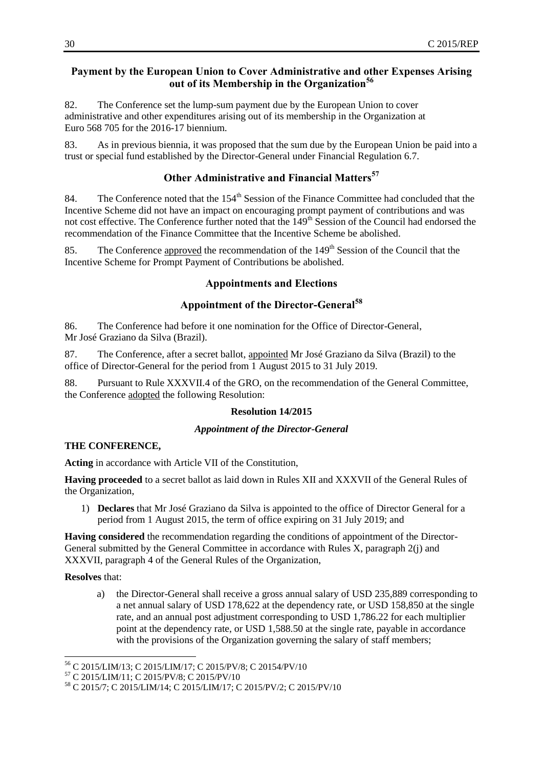## <span id="page-37-0"></span>**Payment by the European Union to Cover Administrative and other Expenses Arising out of its Membership in the Organization<sup>56</sup>**

82. The Conference set the lump-sum payment due by the European Union to cover administrative and other expenditures arising out of its membership in the Organization at Euro 568 705 for the 2016-17 biennium.

83. As in previous biennia, it was proposed that the sum due by the European Union be paid into a trust or special fund established by the Director-General under Financial Regulation 6.7.

## **Other Administrative and Financial Matters<sup>57</sup>**

84. The Conference noted that the  $154<sup>th</sup>$  Session of the Finance Committee had concluded that the Incentive Scheme did not have an impact on encouraging prompt payment of contributions and was not cost effective. The Conference further noted that the 149<sup>th</sup> Session of the Council had endorsed the recommendation of the Finance Committee that the Incentive Scheme be abolished.

<span id="page-37-1"></span>85. The Conference approved the recommendation of the 149<sup>th</sup> Session of the Council that the Incentive Scheme for Prompt Payment of Contributions be abolished.

#### **Appointments and Elections**

## **Appointment of the Director-General<sup>58</sup>**

<span id="page-37-2"></span>86. The Conference had before it one nomination for the Office of Director-General, Mr José Graziano da Silva (Brazil).

87. The Conference, after a secret ballot, appointed Mr José Graziano da Silva (Brazil) to the office of Director-General for the period from 1 August 2015 to 31 July 2019.

88. Pursuant to Rule XXXVII.4 of the GRO, on the recommendation of the General Committee, the Conference adopted the following Resolution:

#### **Resolution 14/2015**

#### *Appointment of the Director-General*

## **THE CONFERENCE,**

**Acting** in accordance with Article VII of the Constitution,

**Having proceeded** to a secret ballot as laid down in Rules XII and XXXVII of the General Rules of the Organization,

1) **Declares** that Mr José Graziano da Silva is appointed to the office of Director General for a period from 1 August 2015, the term of office expiring on 31 July 2019; and

**Having considered** the recommendation regarding the conditions of appointment of the Director-General submitted by the General Committee in accordance with Rules X, paragraph 2(j) and XXXVII, paragraph 4 of the General Rules of the Organization,

## **Resolves** that:

 $\overline{a}$ 

a) the Director-General shall receive a gross annual salary of USD 235,889 corresponding to a net annual salary of USD 178,622 at the dependency rate, or USD 158,850 at the single rate, and an annual post adjustment corresponding to USD 1,786.22 for each multiplier point at the dependency rate, or USD 1,588.50 at the single rate, payable in accordance with the provisions of the Organization governing the salary of staff members;

<sup>56</sup> C 2015/LIM/13; C 2015/LIM/17; C 2015/PV/8; C 20154/PV/10

<sup>57</sup> C 2015/LIM/11; C 2015/PV/8; C 2015/PV/10

<sup>58</sup> C 2015/7; C 2015/LIM/14; C 2015/LIM/17; C 2015/PV/2; C 2015/PV/10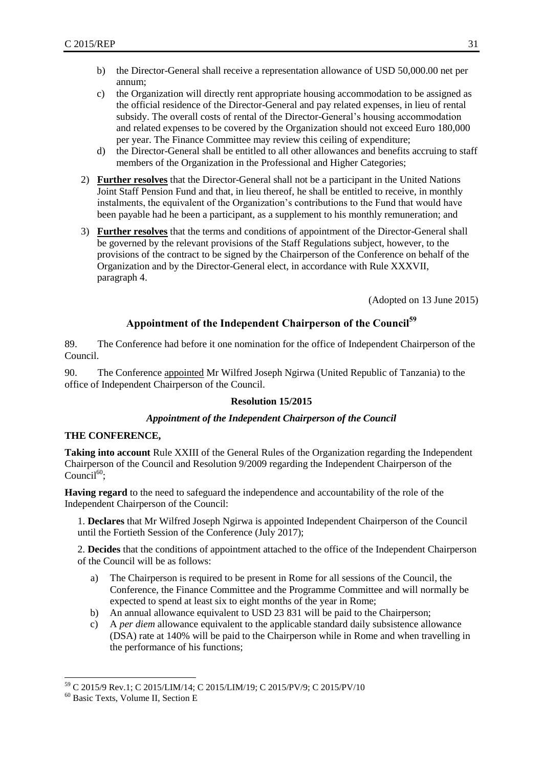- b) the Director-General shall receive a representation allowance of USD 50,000.00 net per annum;
- c) the Organization will directly rent appropriate housing accommodation to be assigned as the official residence of the Director-General and pay related expenses, in lieu of rental subsidy. The overall costs of rental of the Director-General's housing accommodation and related expenses to be covered by the Organization should not exceed Euro 180,000 per year. The Finance Committee may review this ceiling of expenditure;
- d) the Director-General shall be entitled to all other allowances and benefits accruing to staff members of the Organization in the Professional and Higher Categories;
- 2) **Further resolves** that the Director-General shall not be a participant in the United Nations Joint Staff Pension Fund and that, in lieu thereof, he shall be entitled to receive, in monthly instalments, the equivalent of the Organization's contributions to the Fund that would have been payable had he been a participant, as a supplement to his monthly remuneration; and
- 3) **Further resolves** that the terms and conditions of appointment of the Director-General shall be governed by the relevant provisions of the Staff Regulations subject, however, to the provisions of the contract to be signed by the Chairperson of the Conference on behalf of the Organization and by the Director-General elect, in accordance with Rule XXXVII, paragraph 4.

(Adopted on 13 June 2015)

## **Appointment of the Independent Chairperson of the Council<sup>59</sup>**

<span id="page-38-0"></span>89. The Conference had before it one nomination for the office of Independent Chairperson of the Council.

90. The Conference appointed Mr Wilfred Joseph Ngirwa (United Republic of Tanzania) to the office of Independent Chairperson of the Council.

#### **Resolution 15/2015**

#### *Appointment of the Independent Chairperson of the Council*

#### **THE CONFERENCE,**

**Taking into account** Rule XXIII of the General Rules of the Organization regarding the Independent Chairperson of the Council and Resolution 9/2009 regarding the Independent Chairperson of the Council $^{60}$ :

**Having regard** to the need to safeguard the independence and accountability of the role of the Independent Chairperson of the Council:

1. **Declares** that Mr Wilfred Joseph Ngirwa is appointed Independent Chairperson of the Council until the Fortieth Session of the Conference (July 2017);

2. **Decides** that the conditions of appointment attached to the office of the Independent Chairperson of the Council will be as follows:

- a) The Chairperson is required to be present in Rome for all sessions of the Council, the Conference, the Finance Committee and the Programme Committee and will normally be expected to spend at least six to eight months of the year in Rome;
- b) An annual allowance equivalent to USD 23 831 will be paid to the Chairperson;
- c) A *per diem* allowance equivalent to the applicable standard daily subsistence allowance (DSA) rate at 140% will be paid to the Chairperson while in Rome and when travelling in the performance of his functions;

l

<sup>59</sup> C 2015/9 Rev.1; C 2015/LIM/14; C 2015/LIM/19; C 2015/PV/9; C 2015/PV/10

<sup>60</sup> Basic Texts, Volume II, Section E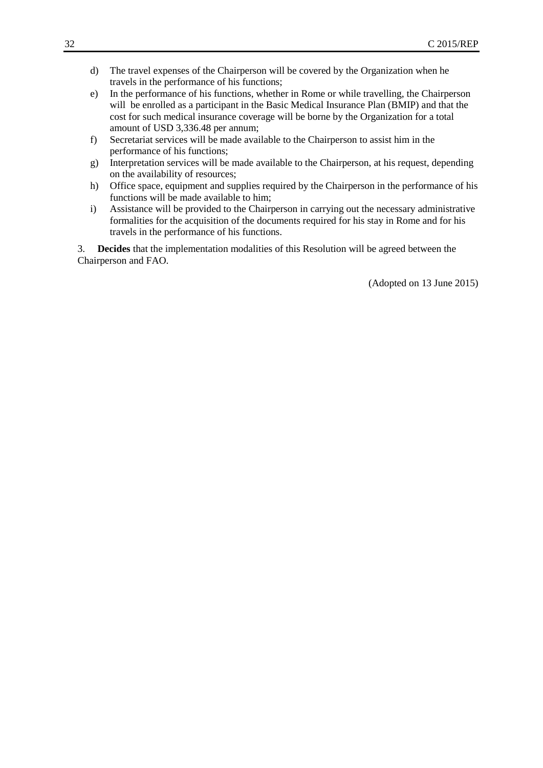- d) The travel expenses of the Chairperson will be covered by the Organization when he travels in the performance of his functions;
- e) In the performance of his functions, whether in Rome or while travelling, the Chairperson will be enrolled as a participant in the Basic Medical Insurance Plan (BMIP) and that the cost for such medical insurance coverage will be borne by the Organization for a total amount of USD 3,336.48 per annum;
- f) Secretariat services will be made available to the Chairperson to assist him in the performance of his functions;
- g) Interpretation services will be made available to the Chairperson, at his request, depending on the availability of resources;
- h) Office space, equipment and supplies required by the Chairperson in the performance of his functions will be made available to him;
- i) Assistance will be provided to the Chairperson in carrying out the necessary administrative formalities for the acquisition of the documents required for his stay in Rome and for his travels in the performance of his functions.

<span id="page-39-0"></span>3. **Decides** that the implementation modalities of this Resolution will be agreed between the Chairperson and FAO.

(Adopted on 13 June 2015)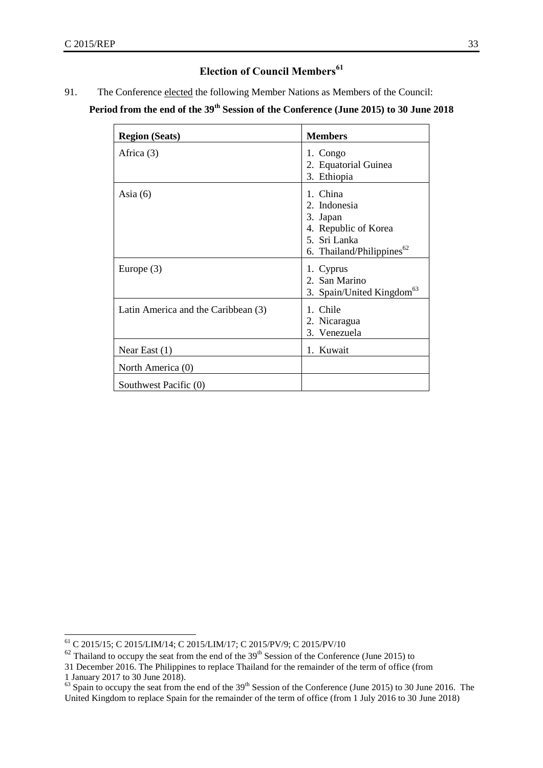## **Election of Council Members<sup>61</sup>**

91. The Conference elected the following Member Nations as Members of the Council:

## **Period from the end of the 39th Session of the Conference (June 2015) to 30 June 2018**

| <b>Region (Seats)</b>               | <b>Members</b>                                                                                                        |
|-------------------------------------|-----------------------------------------------------------------------------------------------------------------------|
| Africa $(3)$                        | 1. Congo<br>2. Equatorial Guinea<br>3. Ethiopia                                                                       |
| Asia $(6)$                          | 1. China<br>2. Indonesia<br>3. Japan<br>4. Republic of Korea<br>5. Sri Lanka<br>6. Thailand/Philippines <sup>62</sup> |
| Europe $(3)$                        | 1. Cyprus<br>2. San Marino<br>3. Spain/United Kingdom <sup>63</sup>                                                   |
| Latin America and the Caribbean (3) | 1. Chile<br>2. Nicaragua<br>3. Venezuela                                                                              |
| Near East $(1)$                     | 1. Kuwait                                                                                                             |
| North America (0)                   |                                                                                                                       |
| Southwest Pacific (0)               |                                                                                                                       |

l

<sup>61</sup> C 2015/15; C 2015/LIM/14; C 2015/LIM/17; C 2015/PV/9; C 2015/PV/10

 $62$  Thailand to occupy the seat from the end of the 39<sup>th</sup> Session of the Conference (June 2015) to

<sup>31</sup> December 2016. The Philippines to replace Thailand for the remainder of the term of office (from

<sup>1</sup> January 2017 to 30 June 2018).

 $^{63}$  Spain to occupy the seat from the end of the 39<sup>th</sup> Session of the Conference (June 2015) to 30 June 2016. The United Kingdom to replace Spain for the remainder of the term of office (from 1 July 2016 to 30 June 2018)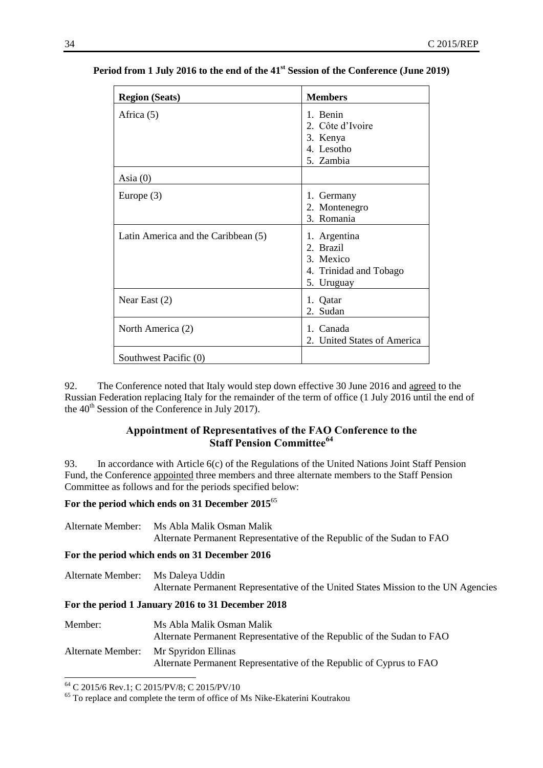| <b>Region (Seats)</b>               | <b>Members</b>                                                                 |
|-------------------------------------|--------------------------------------------------------------------------------|
| Africa (5)                          | 1. Benin<br>2. Côte d'Ivoire<br>3. Kenya<br>4. Lesotho<br>5. Zambia            |
| Asia $(0)$                          |                                                                                |
| Europe $(3)$                        | 1. Germany<br>2. Montenegro<br>3. Romania                                      |
| Latin America and the Caribbean (5) | 1. Argentina<br>2. Brazil<br>3. Mexico<br>4. Trinidad and Tobago<br>5. Uruguay |
| Near East $(2)$                     | 1. Qatar<br>Sudan<br>2.                                                        |
| North America (2)                   | 1. Canada<br>United States of America<br>2.                                    |
| Southwest Pacific (0)               |                                                                                |

## **Period from 1 July 2016 to the end of the 41st Session of the Conference (June 2019)**

92. The Conference noted that Italy would step down effective 30 June 2016 and agreed to the Russian Federation replacing Italy for the remainder of the term of office (1 July 2016 until the end of the  $40<sup>th</sup>$  Session of the Conference in July 2017).

## **Appointment of Representatives of the FAO Conference to the Staff Pension Committee<sup>64</sup>**

<span id="page-41-0"></span>93. In accordance with Article 6(c) of the Regulations of the United Nations Joint Staff Pension Fund, the Conference appointed three members and three alternate members to the Staff Pension Committee as follows and for the periods specified below:

## **For the period which ends on 31 December 2015**<sup>65</sup>

Alternate Member: Ms Abla Malik Osman Malik Alternate Permanent Representative of the Republic of the Sudan to FAO

#### **For the period which ends on 31 December 2016**

| Alternate Member: Ms Daleya Uddin |                                                                                    |
|-----------------------------------|------------------------------------------------------------------------------------|
|                                   | Alternate Permanent Representative of the United States Mission to the UN Agencies |

#### **For the period 1 January 2016 to 31 December 2018**

| Member:           | Ms Abla Malik Osman Malik<br>Alternate Permanent Representative of the Republic of the Sudan to FAO |
|-------------------|-----------------------------------------------------------------------------------------------------|
| Alternate Member: | Mr Spyridon Ellinas<br>Alternate Permanent Representative of the Republic of Cyprus to FAO          |

l <sup>64</sup> C 2015/6 Rev.1; C 2015/PV/8; C 2015/PV/10

<sup>&</sup>lt;sup>65</sup> To replace and complete the term of office of Ms Nike-Ekaterini Koutrakou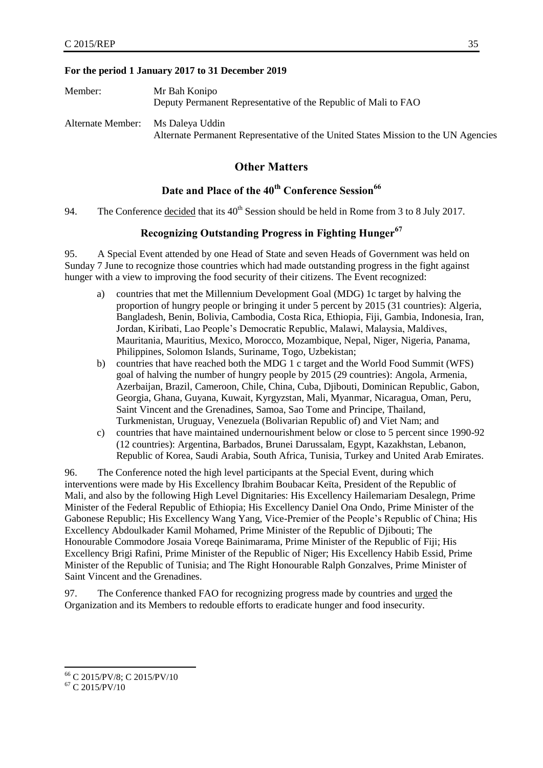#### **For the period 1 January 2017 to 31 December 2019**

| Member:           | Mr Bah Konipo<br>Deputy Permanent Representative of the Republic of Mali to FAO                       |
|-------------------|-------------------------------------------------------------------------------------------------------|
| Alternate Member: | Ms Daleya Uddin<br>Alternate Permanent Representative of the United States Mission to the UN Agencies |

## **Other Matters**

## **Date and Place of the 40th Conference Session<sup>66</sup>**

<span id="page-42-2"></span><span id="page-42-1"></span><span id="page-42-0"></span>94. The Conference decided that its  $40^{th}$  Session should be held in Rome from 3 to 8 July 2017.

## **Recognizing Outstanding Progress in Fighting Hunger<sup>67</sup>**

95. A Special Event attended by one Head of State and seven Heads of Government was held on Sunday 7 June to recognize those countries which had made outstanding progress in the fight against hunger with a view to improving the food security of their citizens. The Event recognized:

- a) countries that met the Millennium Development Goal (MDG) 1c target by halving the proportion of hungry people or bringing it under 5 percent by 2015 (31 countries): Algeria, Bangladesh, Benin, Bolivia, Cambodia, Costa Rica, Ethiopia, Fiji, Gambia, Indonesia, Iran, Jordan, Kiribati, Lao People's Democratic Republic, Malawi, Malaysia, Maldives, Mauritania, Mauritius, Mexico, Morocco, Mozambique, Nepal, Niger, Nigeria, Panama, Philippines, Solomon Islands, Suriname, Togo, Uzbekistan;
- b) countries that have reached both the MDG 1 c target and the World Food Summit (WFS) goal of halving the number of hungry people by 2015 (29 countries): Angola, Armenia, Azerbaijan, Brazil, Cameroon, Chile, China, Cuba, Djibouti, Dominican Republic, Gabon, Georgia, Ghana, Guyana, Kuwait, Kyrgyzstan, Mali, Myanmar, Nicaragua, Oman, Peru, Saint Vincent and the Grenadines, Samoa, Sao Tome and Principe, Thailand, Turkmenistan, Uruguay, Venezuela (Bolivarian Republic of) and Viet Nam; and
- c) countries that have maintained undernourishment below or close to 5 percent since 1990-92 (12 countries): Argentina, Barbados, Brunei Darussalam, Egypt, Kazakhstan, Lebanon, Republic of Korea, Saudi Arabia, South Africa, Tunisia, Turkey and United Arab Emirates.

96. The Conference noted the high level participants at the Special Event, during which interventions were made by His Excellency Ibrahim Boubacar Keïta, President of the Republic of Mali, and also by the following High Level Dignitaries: His Excellency Hailemariam Desalegn, Prime Minister of the Federal Republic of Ethiopia; His Excellency Daniel Ona Ondo, Prime Minister of the Gabonese Republic; His Excellency Wang Yang, Vice-Premier of the People's Republic of China; His Excellency Abdoulkader Kamil Mohamed, Prime Minister of the Republic of Djibouti; The Honourable Commodore Josaia Voreqe Bainimarama, Prime Minister of the Republic of Fiji; His Excellency Brigi Rafini, Prime Minister of the Republic of Niger; His Excellency Habib Essid, Prime Minister of the Republic of Tunisia; and The Right Honourable Ralph Gonzalves, Prime Minister of Saint Vincent and the Grenadines.

97. The Conference thanked FAO for recognizing progress made by countries and urged the Organization and its Members to redouble efforts to eradicate hunger and food insecurity.

l <sup>66</sup> C 2015/PV/8; C 2015/PV/10

 $67$  C 2015/PV/10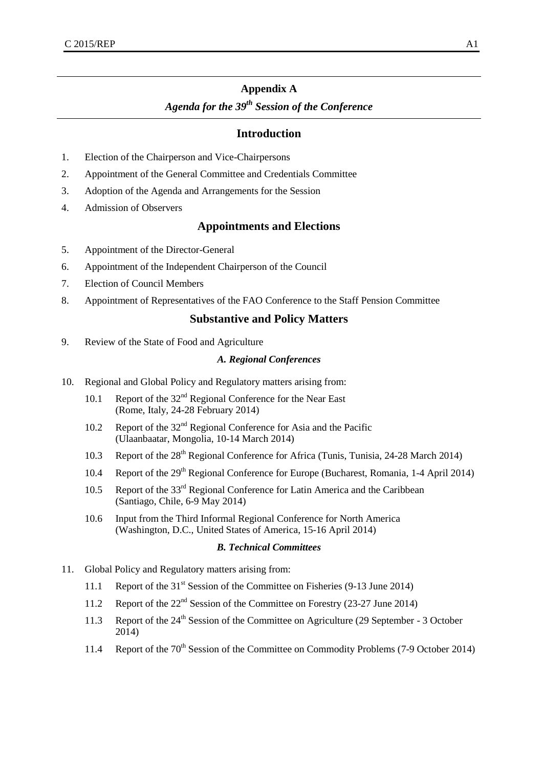## **Appendix A**

## *Agenda for the 39 th Session of the Conference*

#### **Introduction**

- 1. .Election of the Chairperson and Vice-Chairpersons
- 2. Appointment of the General Committee and Credentials Committee
- 3. Adoption of the Agenda and Arrangements for the Session
- 4. Admission of Observers

## **Appointments and Elections**

- 5. Appointment of the Director-General
- 6. Appointment of the Independent Chairperson of the Council
- 7. Election of Council Members
- 8. Appointment of Representatives of the FAO Conference to the Staff Pension Committee

#### **Substantive and Policy Matters**

9. Review of the State of Food and Agriculture

#### *A. Regional Conferences*

- 10. Regional and Global Policy and Regulatory matters arising from:
	- 10.1 Report of the 32<sup>nd</sup> Regional Conference for the Near East (Rome, Italy, 24-28 February 2014)
	- 10.2 Report of the  $32<sup>nd</sup>$  Regional Conference for Asia and the Pacific (Ulaanbaatar, Mongolia, 10-14 March 2014)
	- 10.3 Report of the 28<sup>th</sup> Regional Conference for Africa (Tunis, Tunisia, 24-28 March 2014)
	- 10.4 Report of the 29<sup>th</sup> Regional Conference for Europe (Bucharest, Romania, 1-4 April 2014)
	- 10.5 Report of the 33<sup>rd</sup> Regional Conference for Latin America and the Caribbean (Santiago, Chile, 6-9 May 2014)
	- 10.6 Input from the Third Informal Regional Conference for North America (Washington, D.C., United States of America, 15-16 April 2014)

#### *B. Technical Committees*

- 11. Global Policy and Regulatory matters arising from:
	- 11.1 Report of the 31<sup>st</sup> Session of the Committee on Fisheries (9-13 June 2014)
	- 11.2 Report of the 22<sup>nd</sup> Session of the Committee on Forestry (23-27 June 2014)
	- 11.3 Report of the 24<sup>th</sup> Session of the Committee on Agriculture (29 September 3 October 2014)
	- 11.4 Report of the 70<sup>th</sup> Session of the Committee on Commodity Problems (7-9 October 2014)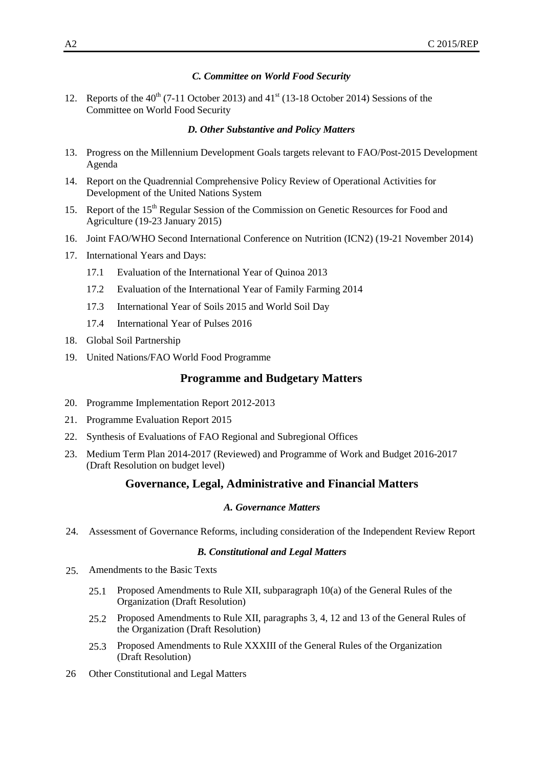#### *C. Committee on World Food Security*

12. Reports of the  $40^{th}$  (7-11 October 2013) and  $41^{st}$  (13-18 October 2014) Sessions of the Committee on World Food Security

#### *D. Other Substantive and Policy Matters*

- 13. Progress on the Millennium Development Goals targets relevant to FAO/Post-2015 Development Agenda
- 14. Report on the Quadrennial Comprehensive Policy Review of Operational Activities for Development of the United Nations System
- 15. Report of the 15<sup>th</sup> Regular Session of the Commission on Genetic Resources for Food and Agriculture (19-23 January 2015)
- 16. Joint FAO/WHO Second International Conference on Nutrition (ICN2) (19-21 November 2014)
- 17. International Years and Days:
	- 17.1 Evaluation of the International Year of Quinoa 2013
	- 17.2 Evaluation of the International Year of Family Farming 2014
	- 17.3 International Year of Soils 2015 and World Soil Day
	- 17.4 International Year of Pulses 2016
- 18. Global Soil Partnership
- 19. United Nations/FAO World Food Programme

#### **Programme and Budgetary Matters**

- 20. Programme Implementation Report 2012-2013
- 21. Programme Evaluation Report 2015
- 22. Synthesis of Evaluations of FAO Regional and Subregional Offices
- 23. Medium Term Plan 2014-2017 (Reviewed) and Programme of Work and Budget 2016-2017 (Draft Resolution on budget level)

#### **Governance, Legal, Administrative and Financial Matters**

#### *A. Governance Matters*

24. Assessment of Governance Reforms, including consideration of the Independent Review Report

#### *B. Constitutional and Legal Matters*

- 25. Amendments to the Basic Texts
	- 25.1 Proposed Amendments to Rule XII, subparagraph 10(a) of the General Rules of the Organization (Draft Resolution)
	- 25.2 Proposed Amendments to Rule XII, paragraphs 3, 4, 12 and 13 of the General Rules of the Organization (Draft Resolution)
	- 25.3 Proposed Amendments to Rule XXXIII of the General Rules of the Organization (Draft Resolution)
- 26 Other Constitutional and Legal Matters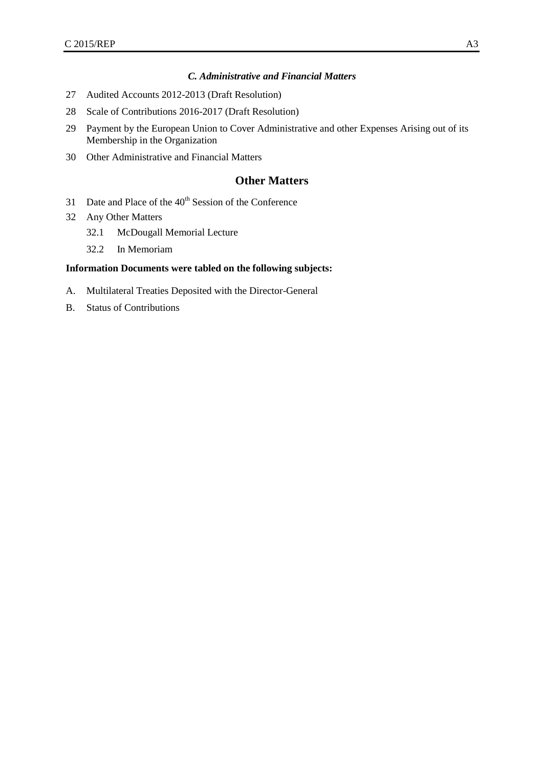#### *C. Administrative and Financial Matters*

- 27 Audited Accounts 2012-2013 (Draft Resolution)
- 28 Scale of Contributions 2016-2017 (Draft Resolution)
- 29 Payment by the European Union to Cover Administrative and other Expenses Arising out of its Membership in the Organization
- 30 Other Administrative and Financial Matters

## **Other Matters**

- 31 Date and Place of the 40<sup>th</sup> Session of the Conference
- 32 Any Other Matters
	- 32.1 McDougall Memorial Lecture
	- 32.2 In Memoriam

#### **Information Documents were tabled on the following subjects:**

- A. Multilateral Treaties Deposited with the Director-General
- B. Status of Contributions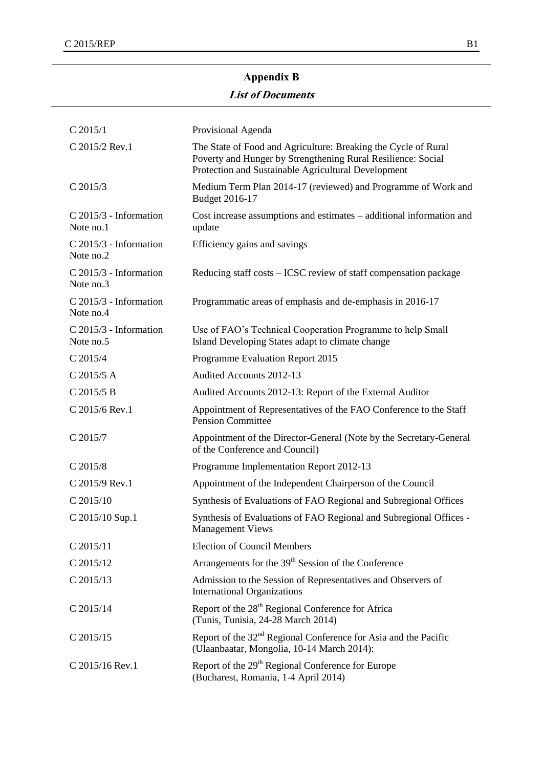## **Appendix B**

## **List of Documents**

| $C$ 2015/1                            | Provisional Agenda                                                                                                                                                                    |
|---------------------------------------|---------------------------------------------------------------------------------------------------------------------------------------------------------------------------------------|
| C 2015/2 Rev.1                        | The State of Food and Agriculture: Breaking the Cycle of Rural<br>Poverty and Hunger by Strengthening Rural Resilience: Social<br>Protection and Sustainable Agricultural Development |
| $C$ 2015/3                            | Medium Term Plan 2014-17 (reviewed) and Programme of Work and<br>Budget 2016-17                                                                                                       |
| $C$ 2015/3 - Information<br>Note no.1 | Cost increase assumptions and estimates – additional information and<br>update                                                                                                        |
| $C$ 2015/3 - Information<br>Note no.2 | Efficiency gains and savings                                                                                                                                                          |
| $C$ 2015/3 - Information<br>Note no.3 | Reducing staff costs – ICSC review of staff compensation package                                                                                                                      |
| $C$ 2015/3 - Information<br>Note no.4 | Programmatic areas of emphasis and de-emphasis in 2016-17                                                                                                                             |
| $C$ 2015/3 - Information<br>Note no.5 | Use of FAO's Technical Cooperation Programme to help Small<br>Island Developing States adapt to climate change                                                                        |
| $C$ 2015/4                            | Programme Evaluation Report 2015                                                                                                                                                      |
| C 2015/5 A                            | Audited Accounts 2012-13                                                                                                                                                              |
| $C$ 2015/5 B                          | Audited Accounts 2012-13: Report of the External Auditor                                                                                                                              |
| C 2015/6 Rev.1                        | Appointment of Representatives of the FAO Conference to the Staff<br><b>Pension Committee</b>                                                                                         |
| C 2015/7                              | Appointment of the Director-General (Note by the Secretary-General<br>of the Conference and Council)                                                                                  |
| $C$ 2015/8                            | Programme Implementation Report 2012-13                                                                                                                                               |
| C 2015/9 Rev.1                        | Appointment of the Independent Chairperson of the Council                                                                                                                             |
| $C$ 2015/10                           | Synthesis of Evaluations of FAO Regional and Subregional Offices                                                                                                                      |
| C 2015/10 Sup.1                       | Synthesis of Evaluations of FAO Regional and Subregional Offices -<br><b>Management Views</b>                                                                                         |
| $C$ 2015/11                           | <b>Election of Council Members</b>                                                                                                                                                    |
| $C$ 2015/12                           | Arrangements for the 39 <sup>th</sup> Session of the Conference                                                                                                                       |
| $C$ 2015/13                           | Admission to the Session of Representatives and Observers of<br><b>International Organizations</b>                                                                                    |
| $C$ 2015/14                           | Report of the 28 <sup>th</sup> Regional Conference for Africa<br>(Tunis, Tunisia, 24-28 March 2014)                                                                                   |
| $C$ 2015/15                           | Report of the 32 <sup>nd</sup> Regional Conference for Asia and the Pacific<br>(Ulaanbaatar, Mongolia, 10-14 March 2014):                                                             |
| C 2015/16 Rev.1                       | Report of the 29 <sup>th</sup> Regional Conference for Europe<br>(Bucharest, Romania, 1-4 April 2014)                                                                                 |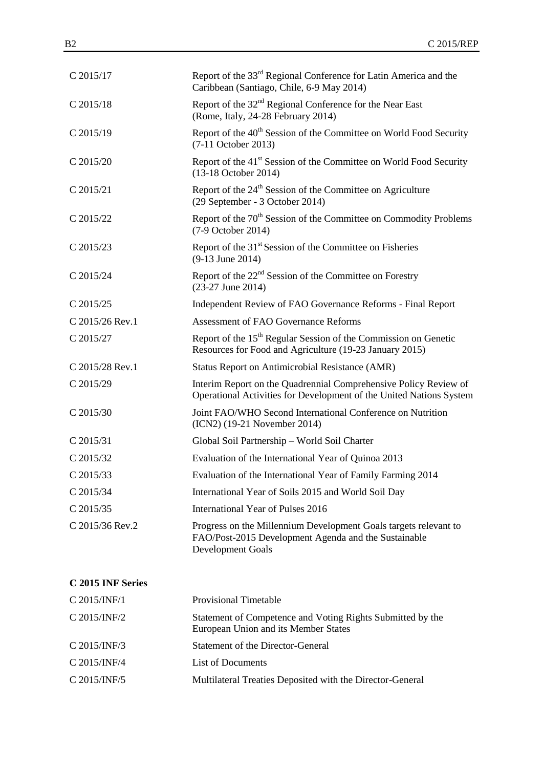| Report of the 33 <sup>rd</sup> Regional Conference for Latin America and the<br>Caribbean (Santiago, Chile, 6-9 May 2014)                     |
|-----------------------------------------------------------------------------------------------------------------------------------------------|
| Report of the 32 <sup>nd</sup> Regional Conference for the Near East<br>(Rome, Italy, 24-28 February 2014)                                    |
| Report of the 40 <sup>th</sup> Session of the Committee on World Food Security<br>$(7-11$ October 2013)                                       |
| Report of the 41 <sup>st</sup> Session of the Committee on World Food Security<br>(13-18 October 2014)                                        |
| Report of the 24 <sup>th</sup> Session of the Committee on Agriculture<br>(29 September - 3 October 2014)                                     |
| Report of the 70 <sup>th</sup> Session of the Committee on Commodity Problems<br>(7-9 October 2014)                                           |
| Report of the 31 <sup>st</sup> Session of the Committee on Fisheries<br>$(9-13$ June 2014)                                                    |
| Report of the $22nd$ Session of the Committee on Forestry<br>$(23-27$ June 2014)                                                              |
| Independent Review of FAO Governance Reforms - Final Report                                                                                   |
| <b>Assessment of FAO Governance Reforms</b>                                                                                                   |
| Report of the 15 <sup>th</sup> Regular Session of the Commission on Genetic<br>Resources for Food and Agriculture (19-23 January 2015)        |
| Status Report on Antimicrobial Resistance (AMR)                                                                                               |
| Interim Report on the Quadrennial Comprehensive Policy Review of<br>Operational Activities for Development of the United Nations System       |
| Joint FAO/WHO Second International Conference on Nutrition<br>(ICN2) (19-21 November 2014)                                                    |
| Global Soil Partnership - World Soil Charter                                                                                                  |
| Evaluation of the International Year of Quinoa 2013                                                                                           |
| Evaluation of the International Year of Family Farming 2014                                                                                   |
| International Year of Soils 2015 and World Soil Day                                                                                           |
| International Year of Pulses 2016                                                                                                             |
| Progress on the Millennium Development Goals targets relevant to<br>FAO/Post-2015 Development Agenda and the Sustainable<br>Development Goals |
|                                                                                                                                               |

## **C 2015 INF Series**

| C 2015/INF/1   | <b>Provisional Timetable</b>                                                                       |
|----------------|----------------------------------------------------------------------------------------------------|
| $C$ 2015/INF/2 | Statement of Competence and Voting Rights Submitted by the<br>European Union and its Member States |
| $C$ 2015/INF/3 | Statement of the Director-General                                                                  |
| $C$ 2015/INF/4 | List of Documents                                                                                  |
| C 2015/INF/5   | Multilateral Treaties Deposited with the Director-General                                          |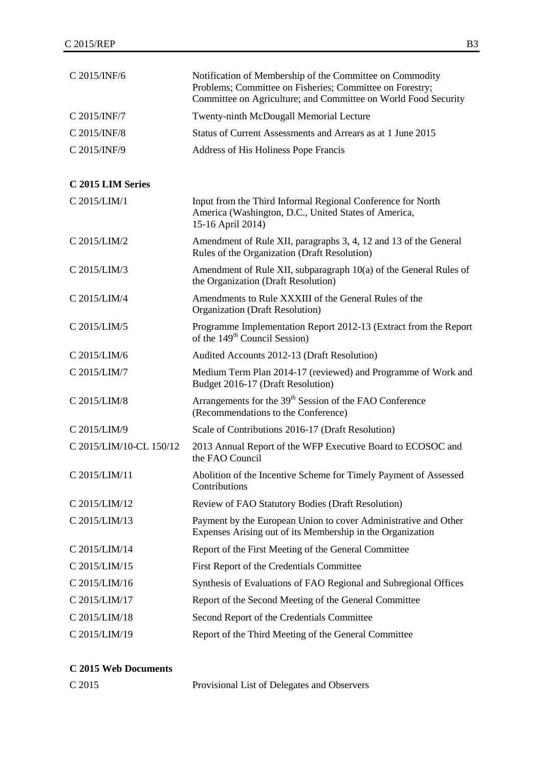| C 2015/INF/6            | Notification of Membership of the Committee on Commodity<br>Problems; Committee on Fisheries; Committee on Forestry;<br>Committee on Agriculture; and Committee on World Food Security |
|-------------------------|----------------------------------------------------------------------------------------------------------------------------------------------------------------------------------------|
| C 2015/INF/7            | Twenty-ninth McDougall Memorial Lecture                                                                                                                                                |
| C 2015/INF/8            | Status of Current Assessments and Arrears as at 1 June 2015                                                                                                                            |
| C 2015/INF/9            | Address of His Holiness Pope Francis                                                                                                                                                   |
| C 2015 LIM Series       |                                                                                                                                                                                        |
| C 2015/LIM/1            | Input from the Third Informal Regional Conference for North<br>America (Washington, D.C., United States of America,<br>15-16 April 2014)                                               |
| C 2015/LIM/2            | Amendment of Rule XII, paragraphs 3, 4, 12 and 13 of the General<br>Rules of the Organization (Draft Resolution)                                                                       |
| C 2015/LIM/3            | Amendment of Rule XII, subparagraph 10(a) of the General Rules of<br>the Organization (Draft Resolution)                                                                               |
| C 2015/LIM/4            | Amendments to Rule XXXIII of the General Rules of the<br><b>Organization</b> (Draft Resolution)                                                                                        |
| C 2015/LIM/5            | Programme Implementation Report 2012-13 (Extract from the Report<br>of the 149 <sup>th</sup> Council Session)                                                                          |
| C 2015/LIM/6            | Audited Accounts 2012-13 (Draft Resolution)                                                                                                                                            |
| C 2015/LIM/7            | Medium Term Plan 2014-17 (reviewed) and Programme of Work and<br>Budget 2016-17 (Draft Resolution)                                                                                     |
| C 2015/LIM/8            | Arrangements for the 39 <sup>th</sup> Session of the FAO Conference<br>(Recommendations to the Conference)                                                                             |
| C 2015/LIM/9            | Scale of Contributions 2016-17 (Draft Resolution)                                                                                                                                      |
| C 2015/LIM/10-CL 150/12 | 2013 Annual Report of the WFP Executive Board to ECOSOC and<br>the FAO Council                                                                                                         |
| C 2015/LIM/11           | Abolition of the Incentive Scheme for Timely Payment of Assessed<br>Contributions                                                                                                      |
| C 2015/LIM/12           | <b>Review of FAO Statutory Bodies (Draft Resolution)</b>                                                                                                                               |
| C 2015/LIM/13           | Payment by the European Union to cover Administrative and Other<br>Expenses Arising out of its Membership in the Organization                                                          |
| C 2015/LIM/14           | Report of the First Meeting of the General Committee                                                                                                                                   |
| C 2015/LIM/15           | First Report of the Credentials Committee                                                                                                                                              |
| C 2015/LIM/16           | Synthesis of Evaluations of FAO Regional and Subregional Offices                                                                                                                       |
| C 2015/LIM/17           | Report of the Second Meeting of the General Committee                                                                                                                                  |
| C 2015/LIM/18           | Second Report of the Credentials Committee                                                                                                                                             |
| C 2015/LIM/19           | Report of the Third Meeting of the General Committee                                                                                                                                   |

## **C 2015 Web Documents**

| C 2015 | Provisional List of Delegates and Observers |
|--------|---------------------------------------------|
|--------|---------------------------------------------|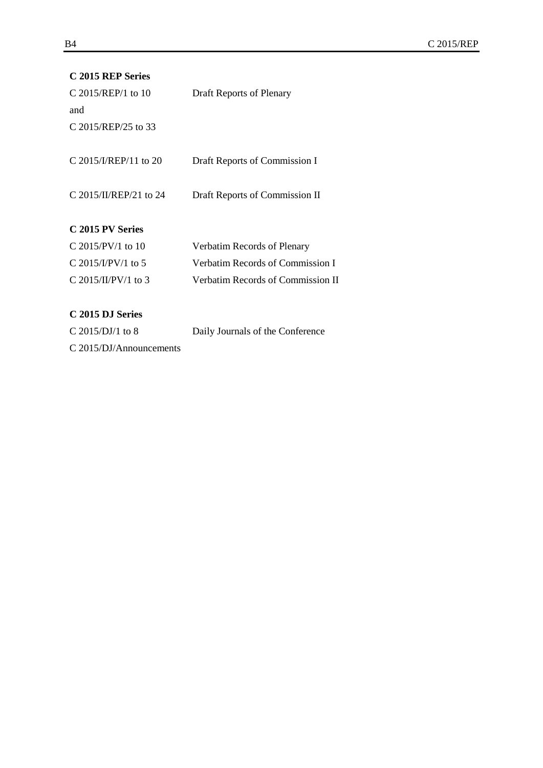| C 2015 REP Series       |                                   |
|-------------------------|-----------------------------------|
| C 2015/REP/1 to 10      | Draft Reports of Plenary          |
| and                     |                                   |
| C 2015/REP/25 to 33     |                                   |
|                         |                                   |
| C 2015/I/REP/11 to 20   | Draft Reports of Commission I     |
|                         |                                   |
| C 2015/II/REP/21 to 24  | Draft Reports of Commission II    |
|                         |                                   |
| C 2015 PV Series        |                                   |
| C 2015/PV/1 to 10       | Verbatim Records of Plenary       |
| C 2015/I/PV/1 to 5      | Verbatim Records of Commission I  |
| C 2015/II/PV/1 to 3     | Verbatim Records of Commission II |
|                         |                                   |
| C 2015 DJ Series        |                                   |
| C 2015/DJ/1 to 8        | Daily Journals of the Conference  |
| C 2015/DJ/Announcements |                                   |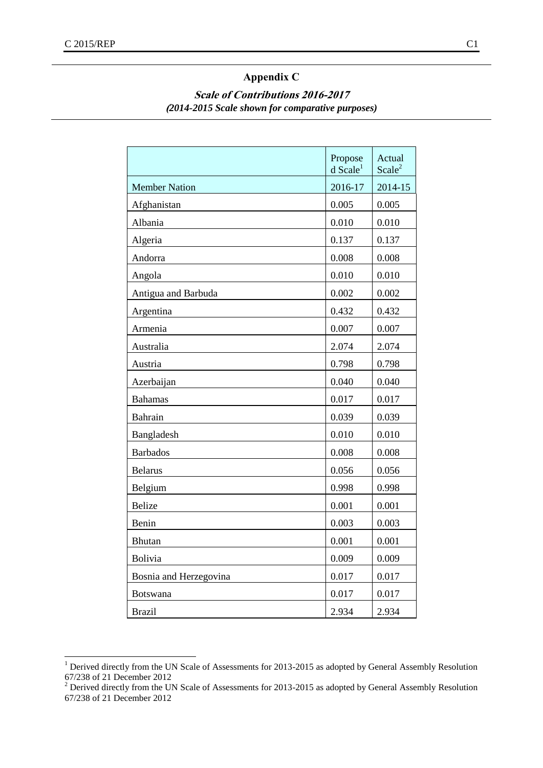## **Appendix C**

## **Scale of Contributions 2016-2017 (***2014-2015 Scale shown for comparative purposes)*

|                        | Propose<br>$d$ Scale <sup>1</sup> | Actual<br>Scale <sup>2</sup> |
|------------------------|-----------------------------------|------------------------------|
| <b>Member Nation</b>   | 2016-17                           | 2014-15                      |
| Afghanistan            | 0.005                             | 0.005                        |
| Albania                | 0.010                             | 0.010                        |
| Algeria                | 0.137                             | 0.137                        |
| Andorra                | 0.008                             | 0.008                        |
| Angola                 | 0.010                             | 0.010                        |
| Antigua and Barbuda    | 0.002                             | 0.002                        |
| Argentina              | 0.432                             | 0.432                        |
| Armenia                | 0.007                             | 0.007                        |
| Australia              | 2.074                             | 2.074                        |
| Austria                | 0.798                             | 0.798                        |
| Azerbaijan             | 0.040                             | 0.040                        |
| <b>Bahamas</b>         | 0.017                             | 0.017                        |
| <b>Bahrain</b>         | 0.039                             | 0.039                        |
| Bangladesh             | 0.010                             | 0.010                        |
| <b>Barbados</b>        | 0.008                             | 0.008                        |
| <b>Belarus</b>         | 0.056                             | 0.056                        |
| Belgium                | 0.998                             | 0.998                        |
| Belize                 | 0.001                             | 0.001                        |
| Benin                  | 0.003                             | 0.003                        |
| Bhutan                 | 0.001                             | 0.001                        |
| Bolivia                | 0.009                             | 0.009                        |
| Bosnia and Herzegovina | 0.017                             | 0.017                        |
| Botswana               | 0.017                             | 0.017                        |
| <b>Brazil</b>          | 2.934                             | 2.934                        |

 $1$  Derived directly from the UN Scale of Assessments for 2013-2015 as adopted by General Assembly Resolution 67/238 of 21 December 2012

<sup>&</sup>lt;sup>2</sup> Derived directly from the UN Scale of Assessments for 2013-2015 as adopted by General Assembly Resolution 67/238 of 21 December 2012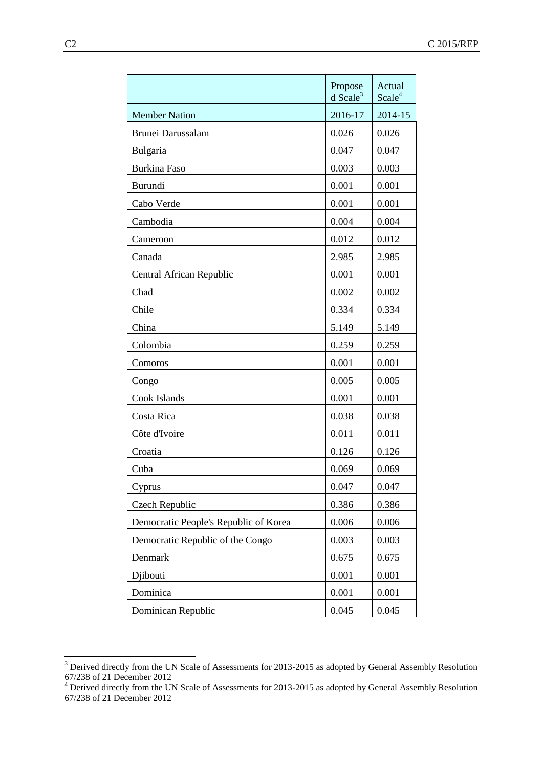|                                       | Propose<br>$d$ Scale <sup>3</sup> | Actual<br>Scale <sup>4</sup> |
|---------------------------------------|-----------------------------------|------------------------------|
| <b>Member Nation</b>                  | 2016-17                           | 2014-15                      |
| Brunei Darussalam                     | 0.026                             | 0.026                        |
| Bulgaria                              | 0.047                             | 0.047                        |
| <b>Burkina Faso</b>                   | 0.003                             | 0.003                        |
| Burundi                               | 0.001                             | 0.001                        |
| Cabo Verde                            | 0.001                             | 0.001                        |
| Cambodia                              | 0.004                             | 0.004                        |
| Cameroon                              | 0.012                             | 0.012                        |
| Canada                                | 2.985                             | 2.985                        |
| Central African Republic              | 0.001                             | 0.001                        |
| Chad                                  | 0.002                             | 0.002                        |
| Chile                                 | 0.334                             | 0.334                        |
| China                                 | 5.149                             | 5.149                        |
| Colombia                              | 0.259                             | 0.259                        |
| Comoros                               | 0.001                             | 0.001                        |
| Congo                                 | 0.005                             | 0.005                        |
| Cook Islands                          | 0.001                             | 0.001                        |
| Costa Rica                            | 0.038                             | 0.038                        |
| Côte d'Ivoire                         | 0.011                             | 0.011                        |
| Croatia                               | 0.126                             | 0.126                        |
| Cuba                                  | 0.069                             | 0.069                        |
| Cyprus                                | 0.047                             | 0.047                        |
| Czech Republic                        | 0.386                             | 0.386                        |
| Democratic People's Republic of Korea | 0.006                             | 0.006                        |
| Democratic Republic of the Congo      | 0.003                             | 0.003                        |
| Denmark                               | 0.675                             | 0.675                        |
| Djibouti                              | 0.001                             | 0.001                        |
| Dominica                              | 0.001                             | 0.001                        |
| Dominican Republic                    | 0.045                             | 0.045                        |

 $3$  Derived directly from the UN Scale of Assessments for 2013-2015 as adopted by General Assembly Resolution 67/238 of 21 December 2012

 $4$  Derived directly from the UN Scale of Assessments for 2013-2015 as adopted by General Assembly Resolution 67/238 of 21 December 2012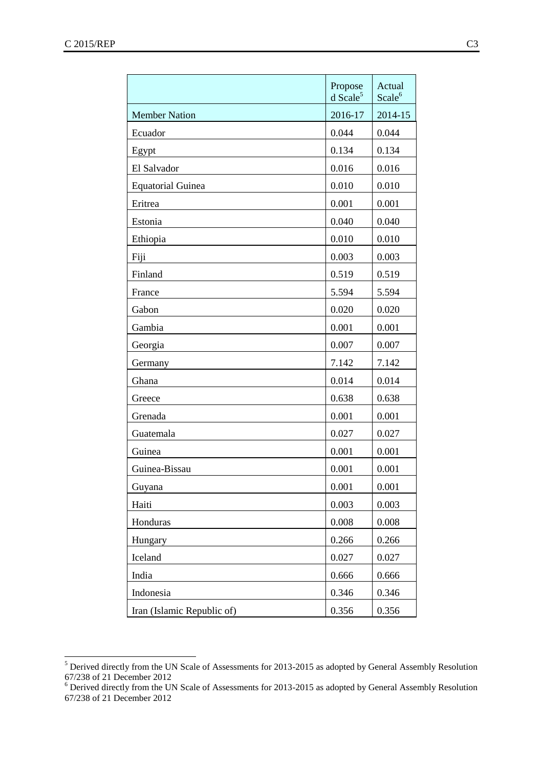|                            | Propose<br>$d$ Scale <sup>5</sup> | Actual<br>Scale <sup>6</sup> |
|----------------------------|-----------------------------------|------------------------------|
| <b>Member Nation</b>       | 2016-17                           | 2014-15                      |
| Ecuador                    | 0.044                             | 0.044                        |
| Egypt                      | 0.134                             | 0.134                        |
| El Salvador                | 0.016                             | 0.016                        |
| <b>Equatorial Guinea</b>   | 0.010                             | 0.010                        |
| Eritrea                    | 0.001                             | 0.001                        |
| Estonia                    | 0.040                             | 0.040                        |
| Ethiopia                   | 0.010                             | 0.010                        |
| Fiji                       | 0.003                             | 0.003                        |
| Finland                    | 0.519                             | 0.519                        |
| France                     | 5.594                             | 5.594                        |
| Gabon                      | 0.020                             | 0.020                        |
| Gambia                     | 0.001                             | 0.001                        |
| Georgia                    | 0.007                             | 0.007                        |
| Germany                    | 7.142                             | 7.142                        |
| Ghana                      | 0.014                             | 0.014                        |
| Greece                     | 0.638                             | 0.638                        |
| Grenada                    | 0.001                             | 0.001                        |
| Guatemala                  | 0.027                             | 0.027                        |
| Guinea                     | 0.001                             | 0.001                        |
| Guinea-Bissau              | 0.001                             | 0.001                        |
| Guyana                     | 0.001                             | 0.001                        |
| Haiti                      | 0.003                             | 0.003                        |
| Honduras                   | 0.008                             | 0.008                        |
| Hungary                    | 0.266                             | 0.266                        |
| Iceland                    | 0.027                             | 0.027                        |
| India                      | 0.666                             | 0.666                        |
| Indonesia                  | 0.346                             | 0.346                        |
| Iran (Islamic Republic of) | 0.356                             | 0.356                        |

 $<sup>5</sup>$  Derived directly from the UN Scale of Assessments for 2013-2015 as adopted by General Assembly Resolution</sup> 67/238 of 21 December 2012

<sup>6</sup> Derived directly from the UN Scale of Assessments for 2013-2015 as adopted by General Assembly Resolution 67/238 of 21 December 2012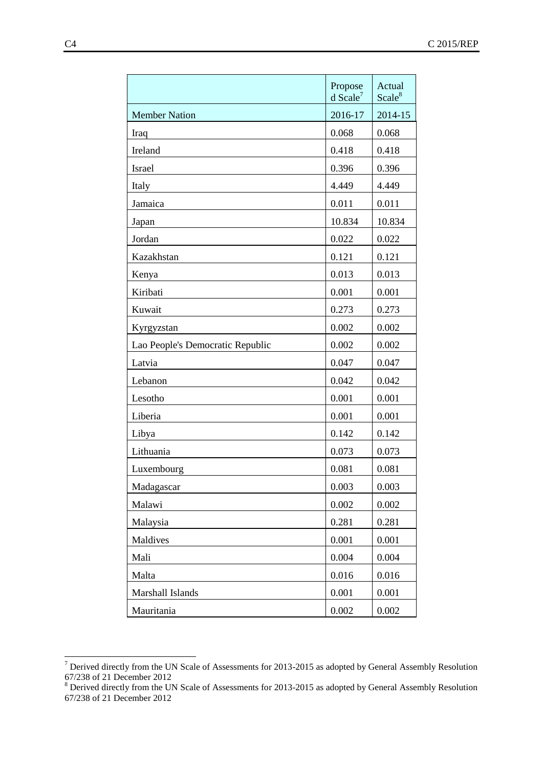|                                  | Propose<br>$d$ Scale <sup>7</sup> | Actual<br>Scale <sup>8</sup> |
|----------------------------------|-----------------------------------|------------------------------|
| <b>Member Nation</b>             | 2016-17                           | 2014-15                      |
| Iraq                             | 0.068                             | 0.068                        |
| Ireland                          | 0.418                             | 0.418                        |
| Israel                           | 0.396                             | 0.396                        |
| Italy                            | 4.449                             | 4.449                        |
| Jamaica                          | 0.011                             | 0.011                        |
| Japan                            | 10.834                            | 10.834                       |
| Jordan                           | 0.022                             | 0.022                        |
| Kazakhstan                       | 0.121                             | 0.121                        |
| Kenya                            | 0.013                             | 0.013                        |
| Kiribati                         | 0.001                             | 0.001                        |
| Kuwait                           | 0.273                             | 0.273                        |
| Kyrgyzstan                       | 0.002                             | 0.002                        |
| Lao People's Democratic Republic | 0.002                             | 0.002                        |
| Latvia                           | 0.047                             | 0.047                        |
| Lebanon                          | 0.042                             | 0.042                        |
| Lesotho                          | 0.001                             | 0.001                        |
| Liberia                          | 0.001                             | 0.001                        |
| Libya                            | 0.142                             | 0.142                        |
| Lithuania                        | 0.073                             | 0.073                        |
| Luxembourg                       | 0.081                             | 0.081                        |
| Madagascar                       | 0.003                             | 0.003                        |
| Malawi                           | 0.002                             | 0.002                        |
| Malaysia                         | 0.281                             | 0.281                        |
| Maldives                         | 0.001                             | 0.001                        |
| Mali                             | 0.004                             | 0.004                        |
| Malta                            | 0.016                             | 0.016                        |
| Marshall Islands                 | 0.001                             | 0.001                        |
| Mauritania                       | 0.002                             | 0.002                        |

 $7$  Derived directly from the UN Scale of Assessments for 2013-2015 as adopted by General Assembly Resolution 67/238 of 21 December 2012

 $8$  Derived directly from the UN Scale of Assessments for 2013-2015 as adopted by General Assembly Resolution 67/238 of 21 December 2012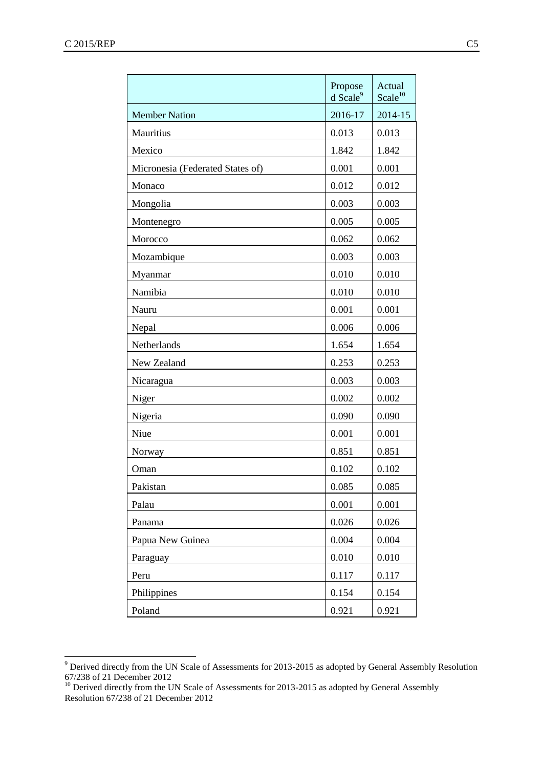|                                  | Propose<br>$d$ Scale <sup>9</sup> | Actual<br>Scale <sup>10</sup> |
|----------------------------------|-----------------------------------|-------------------------------|
| <b>Member Nation</b>             | 2016-17                           | 2014-15                       |
| Mauritius                        | 0.013                             | 0.013                         |
| Mexico                           | 1.842                             | 1.842                         |
| Micronesia (Federated States of) | 0.001                             | 0.001                         |
| Monaco                           | 0.012                             | 0.012                         |
| Mongolia                         | 0.003                             | 0.003                         |
| Montenegro                       | 0.005                             | 0.005                         |
| Morocco                          | 0.062                             | 0.062                         |
| Mozambique                       | 0.003                             | 0.003                         |
| Myanmar                          | 0.010                             | 0.010                         |
| Namibia                          | 0.010                             | 0.010                         |
| Nauru                            | 0.001                             | 0.001                         |
| Nepal                            | 0.006                             | 0.006                         |
| Netherlands                      | 1.654                             | 1.654                         |
| New Zealand                      | 0.253                             | 0.253                         |
| Nicaragua                        | 0.003                             | 0.003                         |
| Niger                            | 0.002                             | 0.002                         |
| Nigeria                          | 0.090                             | 0.090                         |
| Niue                             | 0.001                             | 0.001                         |
| Norway                           | 0.851                             | 0.851                         |
| Oman                             | 0.102                             | 0.102                         |
| Pakistan                         | 0.085                             | 0.085                         |
| Palau                            | 0.001                             | 0.001                         |
| Panama                           | 0.026                             | 0.026                         |
| Papua New Guinea                 | 0.004                             | 0.004                         |
| Paraguay                         | 0.010                             | 0.010                         |
| Peru                             | 0.117                             | 0.117                         |
| Philippines                      | 0.154                             | 0.154                         |
| Poland                           | 0.921                             | 0.921                         |

 $9$  Derived directly from the UN Scale of Assessments for 2013-2015 as adopted by General Assembly Resolution 67/238 of 21 December 2012

<sup>&</sup>lt;sup>10</sup> Derived directly from the UN Scale of Assessments for 2013-2015 as adopted by General Assembly Resolution 67/238 of 21 December 2012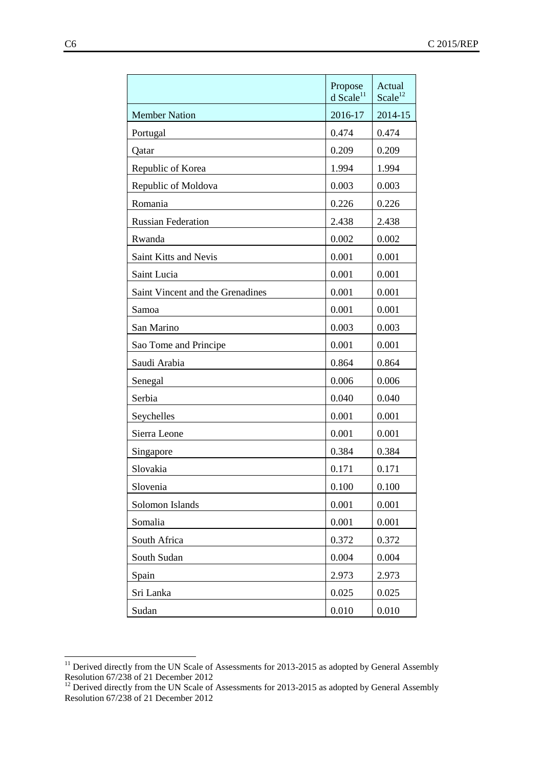|                                  | Propose<br>$d$ Scale <sup>11</sup> | Actual<br>Scale <sup>12</sup> |
|----------------------------------|------------------------------------|-------------------------------|
| <b>Member Nation</b>             | 2016-17                            | 2014-15                       |
| Portugal                         | 0.474                              | 0.474                         |
| Qatar                            | 0.209                              | 0.209                         |
| Republic of Korea                | 1.994                              | 1.994                         |
| Republic of Moldova              | 0.003                              | 0.003                         |
| Romania                          | 0.226                              | 0.226                         |
| <b>Russian Federation</b>        | 2.438                              | 2.438                         |
| Rwanda                           | 0.002                              | 0.002                         |
| Saint Kitts and Nevis            | 0.001                              | 0.001                         |
| Saint Lucia                      | 0.001                              | 0.001                         |
| Saint Vincent and the Grenadines | 0.001                              | 0.001                         |
| Samoa                            | 0.001                              | 0.001                         |
| San Marino                       | 0.003                              | 0.003                         |
| Sao Tome and Principe            | 0.001                              | 0.001                         |
| Saudi Arabia                     | 0.864                              | 0.864                         |
| Senegal                          | 0.006                              | 0.006                         |
| Serbia                           | 0.040                              | 0.040                         |
| Seychelles                       | 0.001                              | 0.001                         |
| Sierra Leone                     | 0.001                              | 0.001                         |
| Singapore                        | 0.384                              | 0.384                         |
| Slovakia                         | 0.171                              | 0.171                         |
| Slovenia                         | 0.100                              | 0.100                         |
| Solomon Islands                  | 0.001                              | 0.001                         |
| Somalia                          | 0.001                              | 0.001                         |
| South Africa                     | 0.372                              | 0.372                         |
| South Sudan                      | 0.004                              | 0.004                         |
| Spain                            | 2.973                              | 2.973                         |
| Sri Lanka                        | 0.025                              | 0.025                         |
| Sudan                            | 0.010                              | 0.010                         |

 $11$  Derived directly from the UN Scale of Assessments for 2013-2015 as adopted by General Assembly Resolution 67/238 of 21 December 2012

 $12$  Derived directly from the UN Scale of Assessments for 2013-2015 as adopted by General Assembly Resolution 67/238 of 21 December 2012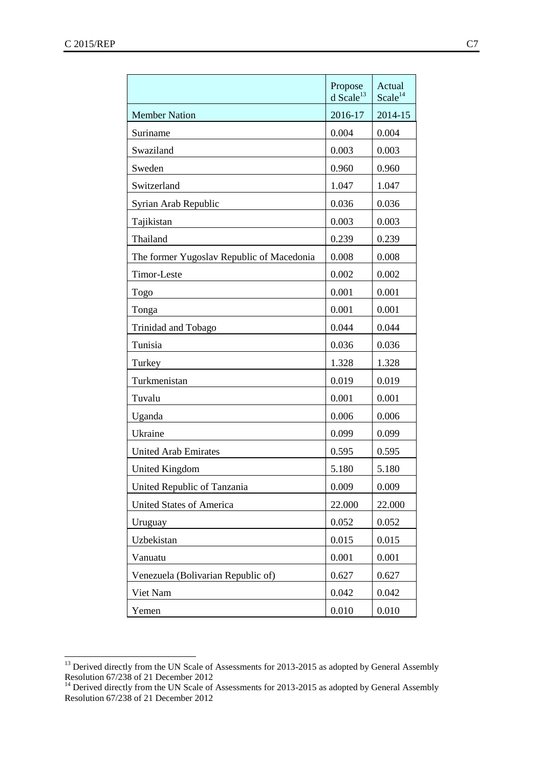|                                           | Propose<br>$d$ Scale <sup>13</sup> | Actual<br>Scale <sup>14</sup> |
|-------------------------------------------|------------------------------------|-------------------------------|
| <b>Member Nation</b>                      | 2016-17                            | 2014-15                       |
| Suriname                                  | 0.004                              | 0.004                         |
| Swaziland                                 | 0.003                              | 0.003                         |
| Sweden                                    | 0.960                              | 0.960                         |
| Switzerland                               | 1.047                              | 1.047                         |
| Syrian Arab Republic                      | 0.036                              | 0.036                         |
| Tajikistan                                | 0.003                              | 0.003                         |
| Thailand                                  | 0.239                              | 0.239                         |
| The former Yugoslav Republic of Macedonia | 0.008                              | 0.008                         |
| Timor-Leste                               | 0.002                              | 0.002                         |
| Togo                                      | 0.001                              | 0.001                         |
| Tonga                                     | 0.001                              | 0.001                         |
| Trinidad and Tobago                       | 0.044                              | 0.044                         |
| Tunisia                                   | 0.036                              | 0.036                         |
| Turkey                                    | 1.328                              | 1.328                         |
| Turkmenistan                              | 0.019                              | 0.019                         |
| Tuvalu                                    | 0.001                              | 0.001                         |
| Uganda                                    | 0.006                              | 0.006                         |
| Ukraine                                   | 0.099                              | 0.099                         |
| <b>United Arab Emirates</b>               | 0.595                              | 0.595                         |
| <b>United Kingdom</b>                     | 5.180                              | 5.180                         |
| United Republic of Tanzania               | 0.009                              | 0.009                         |
| <b>United States of America</b>           | 22.000                             | 22.000                        |
| Uruguay                                   | 0.052                              | 0.052                         |
| Uzbekistan                                | 0.015                              | 0.015                         |
| Vanuatu                                   | 0.001                              | 0.001                         |
| Venezuela (Bolivarian Republic of)        | 0.627                              | 0.627                         |
| Viet Nam                                  | 0.042                              | 0.042                         |
| Yemen                                     | 0.010                              | 0.010                         |

<sup>&</sup>lt;sup>13</sup> Derived directly from the UN Scale of Assessments for 2013-2015 as adopted by General Assembly Resolution 67/238 of 21 December 2012

 $14$  Derived directly from the UN Scale of Assessments for 2013-2015 as adopted by General Assembly Resolution 67/238 of 21 December 2012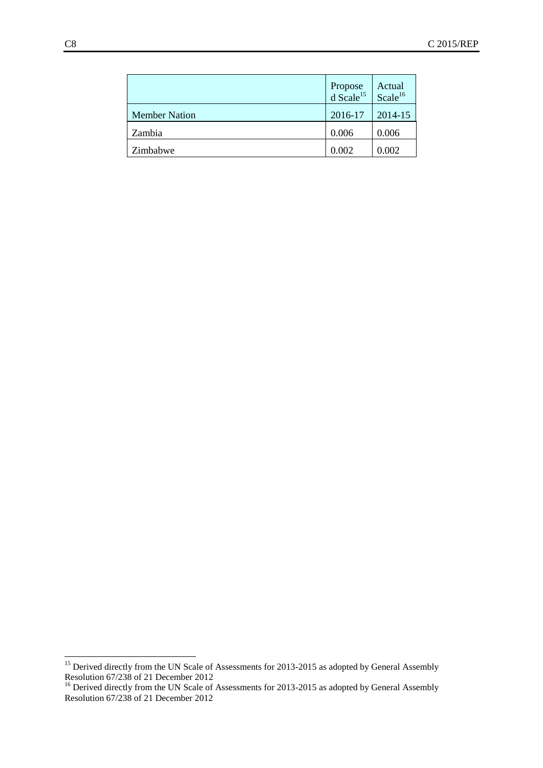|                      | Propose<br>d Scale <sup>15</sup> | Actual<br>Scale <sup>16</sup> |
|----------------------|----------------------------------|-------------------------------|
| <b>Member Nation</b> | 2016-17                          | 2014-15                       |
| Zambia               | 0.006                            | 0.006                         |
| Zimbabwe             | 0.002                            | 0.002                         |

<sup>&</sup>lt;sup>15</sup> Derived directly from the UN Scale of Assessments for 2013-2015 as adopted by General Assembly Resolution 67/238 of 21 December 2012

<sup>&</sup>lt;sup>16</sup> Derived directly from the UN Scale of Assessments for 2013-2015 as adopted by General Assembly Resolution 67/238 of 21 December 2012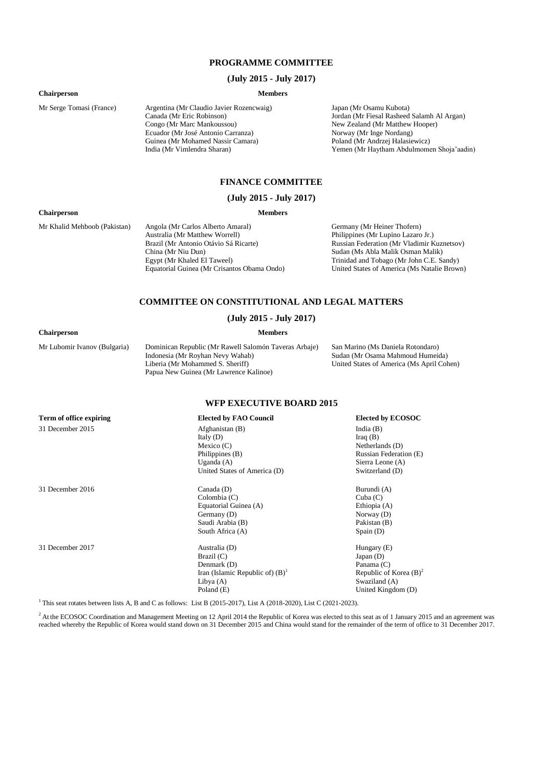#### **PROGRAMME COMMITTEE**

#### **(July 2015 - July 2017)**

#### **Chairperson Members**

Mr Serge Tomasi (France) Argentina (Mr Claudio Javier Rozencwaig) Canada (Mr Eric Robinson) Congo (Mr Marc Mankoussou) Ecuador (Mr José Antonio Carranza) Guinea (Mr Mohamed Nassir Camara) India (Mr Vimlendra Sharan)

Japan (Mr Osamu Kubota) Jordan (Mr Fiesal Rasheed Salamh Al Argan) New Zealand (Mr Matthew Hooper) Norway (Mr Inge Nordang) Poland (Mr Andrzej Halasiewicz) Yemen (Mr Haytham Abdulmomen Shoja'aadin)

#### **FINANCE COMMITTEE**

#### **(July 2015 - July 2017)**

#### **Chairperson Members**

Mr Khalid Mehboob (Pakistan) Angola (Mr Carlos Alberto Amaral) Australia (Mr Matthew Worrell) Brazil (Mr Antonio Otávio Sá Ricarte) China (Mr Niu Dun) Egypt (Mr Khaled El Taweel) Equatorial Guinea (Mr Crisantos Obama Ondo) Germany (Mr Heiner Thofern) Philippines (Mr Lupino Lazaro Jr.) Russian Federation (Mr Vladimir Kuznetsov) Sudan (Ms Abla Malik Osman Malik) Trinidad and Tobago (Mr John C.E. Sandy) United States of America (Ms Natalie Brown)

#### **COMMITTEE ON CONSTITUTIONAL AND LEGAL MATTERS**

#### **(July 2015 - July 2017)**

#### **Chairperson Members**

Mr Lubomir Ivanov (Bulgaria) Dominican Republic (Mr Rawell Salomón Taveras Arbaje) Indonesia (Mr Royhan Nevy Wahab) Liberia (Mr Mohammed S. Sheriff) Papua New Guinea (Mr Lawrence Kalinoe)

San Marino (Ms Daniela Rotondaro) Sudan (Mr Osama Mahmoud Humeida) United States of America (Ms April Cohen)

#### **WFP EXECUTIVE BOARD 2015**

#### **Term of office expiring Elected by FAO Council Elected by ECOSOC**

31 December 2015 Afghanistan (B)

31 December 2016 Canada (D)

Italy (D) Mexico (C) Philippines (B) Uganda (A) United States of America (D)

Colombia (C) Equatorial Guinea (A) Germany (D) Saudi Arabia (B) South Africa (A)

31 December 2017 Australia (D) Brazil (C) Denmark (D) Iran (Islamic Republic of)  $(B)^1$ Libya (A) Poland (E)

India (B) Iraq (B) Netherlands (D) Russian Federation (E) Sierra Leone (A) Switzerland (D)

Burundi (A) Cuba (C) Ethiopia (A) Norway (D) Pakistan (B) Spain (D)

Hungary (E) Japan (D) Panama (C) Republic of Korea  $(B)^2$ Swaziland (A) United Kingdom (D)

<sup>1</sup> This seat rotates between lists A, B and C as follows: List B (2015-2017), List A (2018-2020), List C (2021-2023).

<sup>2</sup> At the ECOSOC Coordination and Management Meeting on 12 April 2014 the Republic of Korea was elected to this seat as of 1 January 2015 and an agreement was reached whereby the Republic of Korea would stand down on 31 December 2015 and China would stand for the remainder of the term of office to 31 December 2017.